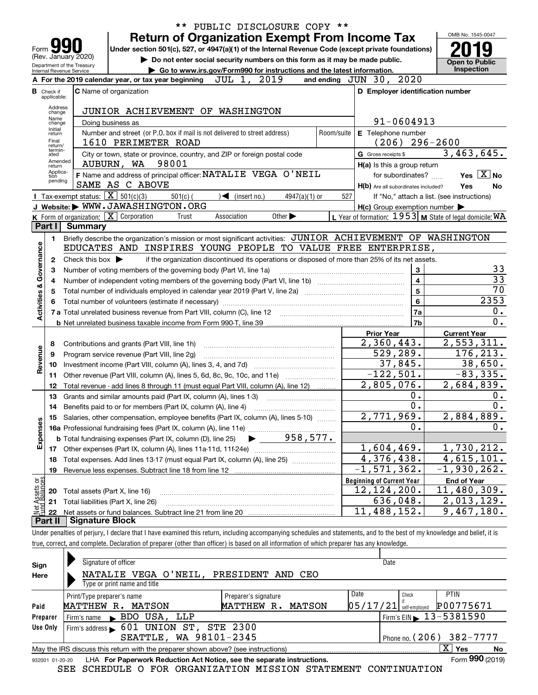|                                                                                                            |                                                                                                                                  |                                                   | ** PUBLIC DISCLOSURE COPY **                                                                                                                                               |                |                                                     |                                                           |  |  |  |
|------------------------------------------------------------------------------------------------------------|----------------------------------------------------------------------------------------------------------------------------------|---------------------------------------------------|----------------------------------------------------------------------------------------------------------------------------------------------------------------------------|----------------|-----------------------------------------------------|-----------------------------------------------------------|--|--|--|
|                                                                                                            |                                                                                                                                  |                                                   | <b>Return of Organization Exempt From Income Tax</b>                                                                                                                       |                |                                                     | OMB No. 1545-0047                                         |  |  |  |
| Under section 501(c), 527, or 4947(a)(1) of the Internal Revenue Code (except private foundations)<br>Form |                                                                                                                                  |                                                   |                                                                                                                                                                            |                |                                                     |                                                           |  |  |  |
|                                                                                                            | (Rev. January 2020)<br>Do not enter social security numbers on this form as it may be made public.<br>Department of the Treasury |                                                   |                                                                                                                                                                            |                |                                                     |                                                           |  |  |  |
| Go to www.irs.gov/Form990 for instructions and the latest information.<br>Internal Revenue Service         |                                                                                                                                  |                                                   |                                                                                                                                                                            |                |                                                     |                                                           |  |  |  |
|                                                                                                            |                                                                                                                                  |                                                   | A For the 2019 calendar year, or tax year beginning JUL 1, 2019                                                                                                            |                | and ending JUN 30, 2020                             |                                                           |  |  |  |
|                                                                                                            | <b>B</b> Check if                                                                                                                |                                                   | <b>C</b> Name of organization                                                                                                                                              |                | D Employer identification number                    |                                                           |  |  |  |
|                                                                                                            | applicable:                                                                                                                      |                                                   |                                                                                                                                                                            |                |                                                     |                                                           |  |  |  |
|                                                                                                            | Address<br>change                                                                                                                |                                                   | JUNIOR ACHIEVEMENT OF WASHINGTON                                                                                                                                           |                |                                                     |                                                           |  |  |  |
|                                                                                                            | Name<br>change                                                                                                                   |                                                   | Doing business as                                                                                                                                                          |                | 91-0604913                                          |                                                           |  |  |  |
|                                                                                                            | Initial<br>return                                                                                                                |                                                   | Number and street (or P.O. box if mail is not delivered to street address)                                                                                                 | Room/suite     | E Telephone number                                  |                                                           |  |  |  |
|                                                                                                            | Final<br>return/                                                                                                                 |                                                   | 1610 PERIMETER ROAD                                                                                                                                                        |                | (206)                                               | $296 - 2600$                                              |  |  |  |
|                                                                                                            | termin-<br>ated                                                                                                                  |                                                   | City or town, state or province, country, and ZIP or foreign postal code                                                                                                   |                | G Gross receipts \$                                 | 3,463,645.                                                |  |  |  |
|                                                                                                            | Amended<br>return                                                                                                                |                                                   | AUBURN, WA 98001                                                                                                                                                           |                | H(a) Is this a group return                         |                                                           |  |  |  |
|                                                                                                            | Applica-<br>tion                                                                                                                 |                                                   | F Name and address of principal officer: NATALIE VEGA O'NEIL                                                                                                               |                | for subordinates?                                   | Yes $X$ No                                                |  |  |  |
|                                                                                                            | pending                                                                                                                          |                                                   | SAME AS C ABOVE                                                                                                                                                            |                | H(b) Are all subordinates included?                 | Yes<br>No                                                 |  |  |  |
|                                                                                                            |                                                                                                                                  | Tax-exempt status: $\boxed{\mathbf{X}}$ 501(c)(3) | $\sqrt{\phantom{a}}$ (insert no.)<br>$501(c)$ (<br>$4947(a)(1)$ or                                                                                                         | 527            |                                                     | If "No," attach a list. (see instructions)                |  |  |  |
|                                                                                                            |                                                                                                                                  |                                                   | J Website: WWW.JAWASHINGTON.ORG                                                                                                                                            |                | $H(c)$ Group exemption number $\blacktriangleright$ |                                                           |  |  |  |
|                                                                                                            |                                                                                                                                  | K Form of organization: X Corporation             | Association<br>Other $\blacktriangleright$<br>Trust                                                                                                                        |                |                                                     | L Year of formation: $1953$ M State of legal domicile: WA |  |  |  |
|                                                                                                            | Part I                                                                                                                           | <b>Summary</b>                                    |                                                                                                                                                                            |                |                                                     |                                                           |  |  |  |
|                                                                                                            | 1.                                                                                                                               |                                                   | Briefly describe the organization's mission or most significant activities: JUNIOR ACHIEVEMENT OF WASHINGTON                                                               |                |                                                     |                                                           |  |  |  |
|                                                                                                            |                                                                                                                                  |                                                   | EDUCATES AND INSPIRES YOUNG PEOPLE TO VALUE FREE ENTERPRISE,                                                                                                               |                |                                                     |                                                           |  |  |  |
|                                                                                                            | $\mathbf{2}$                                                                                                                     | Check this box $\blacktriangleright$              | if the organization discontinued its operations or disposed of more than 25% of its net assets.                                                                            |                |                                                     |                                                           |  |  |  |
|                                                                                                            | з                                                                                                                                |                                                   | Number of voting members of the governing body (Part VI, line 1a)                                                                                                          |                | 3                                                   | 33                                                        |  |  |  |
|                                                                                                            | 4                                                                                                                                |                                                   |                                                                                                                                                                            |                | $\overline{\mathbf{4}}$<br>$\overline{5}$           | $\overline{33}$                                           |  |  |  |
| Activities & Governance                                                                                    | 5                                                                                                                                |                                                   | $\overline{70}$                                                                                                                                                            |                |                                                     |                                                           |  |  |  |
|                                                                                                            | 6                                                                                                                                |                                                   | Total number of volunteers (estimate if necessary) manufacture content content to a manufacture content of the                                                             |                | $6\phantom{a}$                                      | 2353                                                      |  |  |  |
|                                                                                                            |                                                                                                                                  |                                                   |                                                                                                                                                                            |                | <b>7a</b>                                           | 0.                                                        |  |  |  |
|                                                                                                            |                                                                                                                                  |                                                   |                                                                                                                                                                            | 7 <sub>b</sub> | $\overline{0}$ .                                    |                                                           |  |  |  |
|                                                                                                            |                                                                                                                                  |                                                   |                                                                                                                                                                            |                | <b>Prior Year</b>                                   | <b>Current Year</b>                                       |  |  |  |
|                                                                                                            | 8                                                                                                                                |                                                   | Contributions and grants (Part VIII, line 1h)                                                                                                                              |                | 2,360,443.                                          | 2,553,311.                                                |  |  |  |
| Revenue                                                                                                    | 9                                                                                                                                |                                                   | Program service revenue (Part VIII, line 2g)                                                                                                                               |                | 529,289.                                            | 176, 213.                                                 |  |  |  |
|                                                                                                            | 10                                                                                                                               |                                                   |                                                                                                                                                                            |                | 37,845.                                             | 38,650.                                                   |  |  |  |
|                                                                                                            | 11                                                                                                                               |                                                   | Other revenue (Part VIII, column (A), lines 5, 6d, 8c, 9c, 10c, and 11e)                                                                                                   |                | $-122,501.$                                         | $-83, 335.$                                               |  |  |  |
|                                                                                                            | 12                                                                                                                               |                                                   | Total revenue - add lines 8 through 11 (must equal Part VIII, column (A), line 12)                                                                                         |                | 2,805,076.                                          | 2,684,839.                                                |  |  |  |
|                                                                                                            | 13                                                                                                                               |                                                   | Grants and similar amounts paid (Part IX, column (A), lines 1-3)                                                                                                           |                | 0.<br>$\overline{0}$ .                              | 0.<br>$\overline{0}$ .                                    |  |  |  |
|                                                                                                            | 14                                                                                                                               |                                                   | Benefits paid to or for members (Part IX, column (A), line 4)                                                                                                              |                |                                                     |                                                           |  |  |  |
|                                                                                                            | 15                                                                                                                               |                                                   | Salaries, other compensation, employee benefits (Part IX, column (A), lines 5-10)                                                                                          |                | 2,771,969.<br>0.                                    | 2,884,889.                                                |  |  |  |
| Expenses                                                                                                   |                                                                                                                                  |                                                   | <b>16a</b> Professional fundraising fees (Part IX, column (A), line 11e)                                                                                                   |                |                                                     | 0.                                                        |  |  |  |
|                                                                                                            |                                                                                                                                  |                                                   | 958,577.<br><b>b</b> Total fundraising expenses (Part IX, column (D), line 25)                                                                                             |                |                                                     |                                                           |  |  |  |
|                                                                                                            | 17                                                                                                                               |                                                   | Other expenses (Part IX, column (A), lines 11a-11d, 11f-24e)                                                                                                               |                | 1,604,469.<br>$\overline{4,376,438}$ .              | 1,730,212.<br>$\overline{4,615,101.}$                     |  |  |  |
|                                                                                                            | 18                                                                                                                               |                                                   | Total expenses. Add lines 13-17 (must equal Part IX, column (A), line 25)                                                                                                  |                |                                                     | $-1,930,262.$                                             |  |  |  |
|                                                                                                            | 19                                                                                                                               |                                                   | Revenue less expenses. Subtract line 18 from line 12                                                                                                                       |                | $\overline{-1}$ , 571, 362.                         |                                                           |  |  |  |
| Net Assets or<br>Eund Balances                                                                             |                                                                                                                                  |                                                   |                                                                                                                                                                            |                | <b>Beginning of Current Year</b>                    | <b>End of Year</b><br>11,480,309.                         |  |  |  |
|                                                                                                            | 20                                                                                                                               | Total assets (Part X, line 16)                    |                                                                                                                                                                            |                | <u>12,124,200.</u><br>636,048.                      | 2,013,129.                                                |  |  |  |
|                                                                                                            | 21                                                                                                                               |                                                   | Total liabilities (Part X, line 26)                                                                                                                                        |                | 11,488,152.                                         | 9,467,180.                                                |  |  |  |
|                                                                                                            | 22<br>Part II                                                                                                                    | <b>Signature Block</b>                            |                                                                                                                                                                            |                |                                                     |                                                           |  |  |  |
|                                                                                                            |                                                                                                                                  |                                                   | Under penalties of perjury, I declare that I have examined this return, including accompanying schedules and statements, and to the best of my knowledge and belief, it is |                |                                                     |                                                           |  |  |  |
|                                                                                                            |                                                                                                                                  |                                                   | true correct and complete Declaration of preparer (other than officer) is based on all information of which preparer has any knowledge                                     |                |                                                     |                                                           |  |  |  |

true, correct, and complete. Declaration of preparer (other than officer) is based on all information of which preparer has any knowledge.

| Sign<br>Here    | Signature of officer<br>NATALIE VEGA O'NEIL, PRESIDENT AND CEO<br>Type or print name and title |                      |      |                                              |  |  |  |  |
|-----------------|------------------------------------------------------------------------------------------------|----------------------|------|----------------------------------------------|--|--|--|--|
|                 | Print/Type preparer's name                                                                     | Preparer's signature | Date | <b>PTIN</b><br>Check<br>P00775671            |  |  |  |  |
| Paid            | 05/17/21 <br>MATTHEW<br>MATSON<br>MATTHEW R.<br>MATSON<br>$R_{\bullet}$<br>self-emploved       |                      |      |                                              |  |  |  |  |
| Preparer        | BDO USA, LLP<br>Firm's name                                                                    |                      |      | $\frac{1}{2}$ Firm's EIN $\geq 13 - 5381590$ |  |  |  |  |
| Use Only        | 601 UNION ST, STE 2300<br>Firm's address                                                       |                      |      |                                              |  |  |  |  |
|                 | SEATTLE, WA 98101-2345                                                                         |                      |      | 382-7777<br>$1$ Phone no. $(206)$            |  |  |  |  |
|                 | May the IRS discuss this return with the preparer shown above? (see instructions)              |                      |      | $X \mid Y$ es<br>No                          |  |  |  |  |
| 932001 01-20-20 | LHA For Paperwork Reduction Act Notice, see the separate instructions.                         |                      |      | Form 990 (2019)                              |  |  |  |  |
|                 | SCHEDULE O FOR ORGANIZATION MISSION STATEMENT<br>SEE                                           |                      |      | CONTINUATION                                 |  |  |  |  |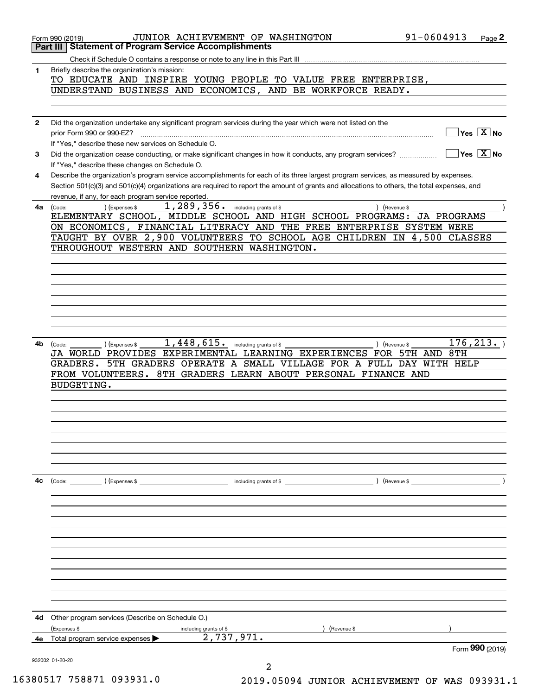|              | 91-0604913<br>JUNIOR ACHIEVEMENT OF WASHINGTON<br>Page 2<br>Form 990 (2019)                                                                                                                                                         |
|--------------|-------------------------------------------------------------------------------------------------------------------------------------------------------------------------------------------------------------------------------------|
|              | <b>Statement of Program Service Accomplishments</b><br>Part III                                                                                                                                                                     |
|              | Check if Schedule O contains a response or note to any line in this Part III                                                                                                                                                        |
| 1            | Briefly describe the organization's mission:                                                                                                                                                                                        |
|              | TO EDUCATE AND INSPIRE YOUNG PEOPLE TO VALUE FREE ENTERPRISE,                                                                                                                                                                       |
|              | UNDERSTAND BUSINESS AND ECONOMICS, AND BE WORKFORCE READY.                                                                                                                                                                          |
|              |                                                                                                                                                                                                                                     |
|              |                                                                                                                                                                                                                                     |
| $\mathbf{2}$ | Did the organization undertake any significant program services during the year which were not listed on the                                                                                                                        |
|              | $Yes \quad X$ No                                                                                                                                                                                                                    |
|              | If "Yes," describe these new services on Schedule O.                                                                                                                                                                                |
| 3            | $\sqrt{}$ Yes $\sqrt{}$ X $\sqrt{}$ No<br>Did the organization cease conducting, or make significant changes in how it conducts, any program services?                                                                              |
|              | If "Yes," describe these changes on Schedule O.                                                                                                                                                                                     |
| 4            | Describe the organization's program service accomplishments for each of its three largest program services, as measured by expenses.                                                                                                |
|              | Section 501(c)(3) and 501(c)(4) organizations are required to report the amount of grants and allocations to others, the total expenses, and                                                                                        |
|              | revenue, if any, for each program service reported.                                                                                                                                                                                 |
| 4a           | $\frac{1}{289,356}$ including grants of \$<br>) (Revenue \$                                                                                                                                                                         |
|              | ELEMENTARY SCHOOL, MIDDLE SCHOOL AND HIGH SCHOOL PROGRAMS: JA PROGRAMS                                                                                                                                                              |
|              | ON ECONOMICS, FINANCIAL LITERACY AND THE FREE ENTERPRISE SYSTEM WERE                                                                                                                                                                |
|              | TAUGHT BY OVER 2,900 VOLUNTEERS TO SCHOOL AGE CHILDREN IN 4,500 CLASSES                                                                                                                                                             |
|              | THROUGHOUT WESTERN AND SOUTHERN WASHINGTON.                                                                                                                                                                                         |
|              |                                                                                                                                                                                                                                     |
|              |                                                                                                                                                                                                                                     |
|              |                                                                                                                                                                                                                                     |
|              |                                                                                                                                                                                                                                     |
|              |                                                                                                                                                                                                                                     |
|              |                                                                                                                                                                                                                                     |
|              |                                                                                                                                                                                                                                     |
|              |                                                                                                                                                                                                                                     |
| 4b           | 176, 213.<br>) (Revenue \$                                                                                                                                                                                                          |
|              | JA WORLD PROVIDES EXPERIMENTAL LEARNING EXPERIENCES FOR 5TH AND 8TH                                                                                                                                                                 |
|              | GRADERS. 5TH GRADERS OPERATE A SMALL VILLAGE FOR A FULL DAY WITH HELP                                                                                                                                                               |
|              | FROM VOLUNTEERS. 8TH GRADERS LEARN ABOUT PERSONAL FINANCE AND                                                                                                                                                                       |
|              | <b>BUDGETING.</b>                                                                                                                                                                                                                   |
|              |                                                                                                                                                                                                                                     |
|              |                                                                                                                                                                                                                                     |
|              |                                                                                                                                                                                                                                     |
|              |                                                                                                                                                                                                                                     |
|              |                                                                                                                                                                                                                                     |
|              |                                                                                                                                                                                                                                     |
|              |                                                                                                                                                                                                                                     |
|              |                                                                                                                                                                                                                                     |
|              |                                                                                                                                                                                                                                     |
| 4с           | (Code: <u>Code:</u> etc. Code: etc. Code: etc. Code: etc. Code: etc. Code: etc. Code: etc. Code: etc. Code: etc. Code: etc. Code: etc. Code: etc. Code: etc. Code: etc. Code: etc. Code: etc. Code: etc. Code: etc. Code: etc. Code |
|              |                                                                                                                                                                                                                                     |
|              |                                                                                                                                                                                                                                     |
|              |                                                                                                                                                                                                                                     |
|              |                                                                                                                                                                                                                                     |
|              |                                                                                                                                                                                                                                     |
|              |                                                                                                                                                                                                                                     |
|              |                                                                                                                                                                                                                                     |
|              |                                                                                                                                                                                                                                     |
|              |                                                                                                                                                                                                                                     |
|              |                                                                                                                                                                                                                                     |
|              |                                                                                                                                                                                                                                     |
|              |                                                                                                                                                                                                                                     |
| 4d           | Other program services (Describe on Schedule O.)                                                                                                                                                                                    |
|              | (Expenses \$<br>) (Revenue \$<br>including grants of \$                                                                                                                                                                             |
| 4e           | 2,737,971.<br>Total program service expenses                                                                                                                                                                                        |
|              | Form 990 (2019)                                                                                                                                                                                                                     |
|              | 932002 01-20-20                                                                                                                                                                                                                     |
|              | 2                                                                                                                                                                                                                                   |

| 16380517 758871 093931.0 |  |
|--------------------------|--|

2019.05094 JUNIOR ACHIEVEMENT OF WAS 093931.1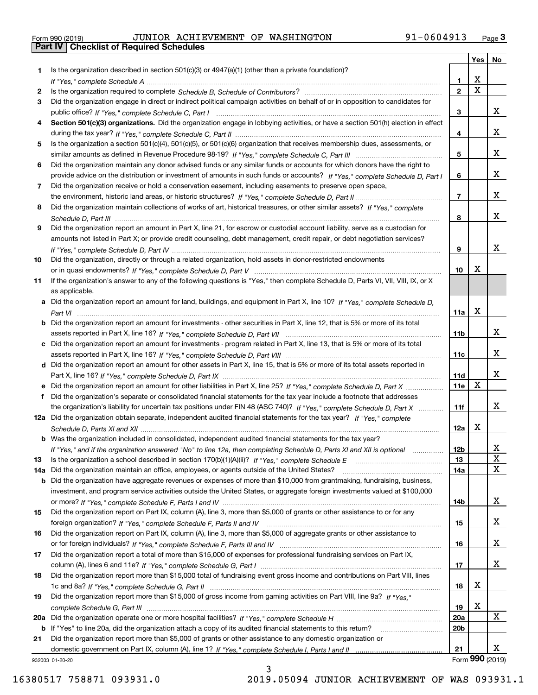| Form 990 (2019) |  |  |
|-----------------|--|--|

|     |                                                                                                                                  |                 | Yes                     | No              |
|-----|----------------------------------------------------------------------------------------------------------------------------------|-----------------|-------------------------|-----------------|
| 1.  | Is the organization described in section $501(c)(3)$ or $4947(a)(1)$ (other than a private foundation)?                          |                 |                         |                 |
|     |                                                                                                                                  | 1.              | X                       |                 |
| 2   |                                                                                                                                  | $\overline{2}$  | $\overline{\mathbf{x}}$ |                 |
| 3   | Did the organization engage in direct or indirect political campaign activities on behalf of or in opposition to candidates for  |                 |                         |                 |
|     |                                                                                                                                  | 3               |                         | x               |
| 4   | Section 501(c)(3) organizations. Did the organization engage in lobbying activities, or have a section 501(h) election in effect |                 |                         |                 |
|     |                                                                                                                                  | 4               |                         | x               |
| 5   | Is the organization a section 501(c)(4), 501(c)(5), or 501(c)(6) organization that receives membership dues, assessments, or     |                 |                         |                 |
|     |                                                                                                                                  | 5               |                         | X.              |
| 6   | Did the organization maintain any donor advised funds or any similar funds or accounts for which donors have the right to        |                 |                         |                 |
|     | provide advice on the distribution or investment of amounts in such funds or accounts? If "Yes," complete Schedule D, Part I     | 6               |                         | x               |
| 7   | Did the organization receive or hold a conservation easement, including easements to preserve open space,                        |                 |                         |                 |
|     |                                                                                                                                  | $\overline{7}$  |                         | x               |
| 8   | Did the organization maintain collections of works of art, historical treasures, or other similar assets? If "Yes," complete     |                 |                         |                 |
|     |                                                                                                                                  | 8               |                         | X.              |
| 9   | Did the organization report an amount in Part X, line 21, for escrow or custodial account liability, serve as a custodian for    |                 |                         |                 |
|     | amounts not listed in Part X; or provide credit counseling, debt management, credit repair, or debt negotiation services?        |                 |                         |                 |
|     |                                                                                                                                  | 9               |                         | x               |
| 10  | Did the organization, directly or through a related organization, hold assets in donor-restricted endowments                     |                 |                         |                 |
|     |                                                                                                                                  | 10              | Х                       |                 |
| 11  | If the organization's answer to any of the following questions is "Yes," then complete Schedule D, Parts VI, VII, VIII, IX, or X |                 |                         |                 |
|     | as applicable.                                                                                                                   |                 |                         |                 |
|     | a Did the organization report an amount for land, buildings, and equipment in Part X, line 10? If "Yes," complete Schedule D,    |                 |                         |                 |
|     |                                                                                                                                  | 11a             | Х                       |                 |
|     | b Did the organization report an amount for investments - other securities in Part X, line 12, that is 5% or more of its total   |                 |                         |                 |
|     |                                                                                                                                  | 11b             |                         | X.              |
|     | c Did the organization report an amount for investments - program related in Part X, line 13, that is 5% or more of its total    |                 |                         |                 |
|     |                                                                                                                                  | 11c             |                         | x               |
|     | d Did the organization report an amount for other assets in Part X, line 15, that is 5% or more of its total assets reported in  |                 |                         |                 |
|     |                                                                                                                                  | 11d             |                         | x               |
|     | e Did the organization report an amount for other liabilities in Part X, line 25? If "Yes," complete Schedule D, Part X          | 11e             | $\mathbf X$             |                 |
| f   | Did the organization's separate or consolidated financial statements for the tax year include a footnote that addresses          |                 |                         |                 |
|     | the organization's liability for uncertain tax positions under FIN 48 (ASC 740)? If "Yes," complete Schedule D, Part X           | 11f             |                         | x               |
|     | 12a Did the organization obtain separate, independent audited financial statements for the tax year? If "Yes," complete          |                 |                         |                 |
|     |                                                                                                                                  | 12a             | X                       |                 |
|     | b Was the organization included in consolidated, independent audited financial statements for the tax year?                      |                 |                         |                 |
|     | If "Yes," and if the organization answered "No" to line 12a, then completing Schedule D, Parts XI and XII is optional manum      | 12b             |                         | ᅀ               |
| 13  |                                                                                                                                  | 13              |                         | X               |
| 14a | Did the organization maintain an office, employees, or agents outside of the United States?                                      | 14a             |                         | х               |
| b   | Did the organization have aggregate revenues or expenses of more than \$10,000 from grantmaking, fundraising, business,          |                 |                         |                 |
|     | investment, and program service activities outside the United States, or aggregate foreign investments valued at \$100,000       |                 |                         |                 |
|     |                                                                                                                                  | 14b             |                         | X.              |
| 15  | Did the organization report on Part IX, column (A), line 3, more than \$5,000 of grants or other assistance to or for any        |                 |                         | X.              |
|     | Did the organization report on Part IX, column (A), line 3, more than \$5,000 of aggregate grants or other assistance to         | 15              |                         |                 |
| 16  |                                                                                                                                  | 16              |                         | X.              |
|     |                                                                                                                                  |                 |                         |                 |
| 17  | Did the organization report a total of more than \$15,000 of expenses for professional fundraising services on Part IX,          | 17              |                         | x               |
| 18  | Did the organization report more than \$15,000 total of fundraising event gross income and contributions on Part VIII, lines     |                 |                         |                 |
|     |                                                                                                                                  | 18              | х                       |                 |
| 19  | Did the organization report more than \$15,000 of gross income from gaming activities on Part VIII, line 9a? If "Yes."           |                 |                         |                 |
|     |                                                                                                                                  | 19              | х                       |                 |
|     |                                                                                                                                  | 20a             |                         | x               |
|     | b If "Yes" to line 20a, did the organization attach a copy of its audited financial statements to this return?                   | 20 <sub>b</sub> |                         |                 |
| 21  | Did the organization report more than \$5,000 of grants or other assistance to any domestic organization or                      |                 |                         |                 |
|     |                                                                                                                                  | 21              |                         | X.              |
|     | 932003 01-20-20                                                                                                                  |                 |                         | Form 990 (2019) |
|     | ર                                                                                                                                |                 |                         |                 |

932003 01-20-20

3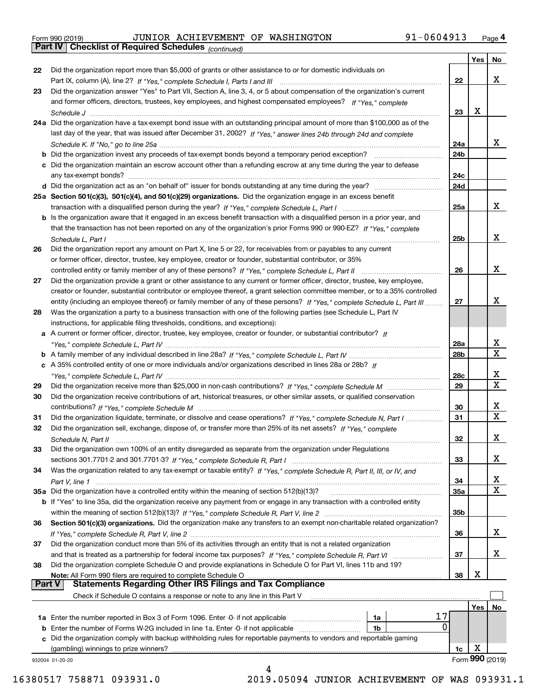| Form 990 (2019) |  |  |
|-----------------|--|--|

|               |                                                                                                                                    |                 | Yes | No              |
|---------------|------------------------------------------------------------------------------------------------------------------------------------|-----------------|-----|-----------------|
| 22            | Did the organization report more than \$5,000 of grants or other assistance to or for domestic individuals on                      |                 |     |                 |
|               |                                                                                                                                    | 22              |     | х               |
| 23            | Did the organization answer "Yes" to Part VII, Section A, line 3, 4, or 5 about compensation of the organization's current         |                 |     |                 |
|               | and former officers, directors, trustees, key employees, and highest compensated employees? If "Yes," complete                     |                 |     |                 |
|               |                                                                                                                                    | 23              | x   |                 |
|               | 24a Did the organization have a tax-exempt bond issue with an outstanding principal amount of more than \$100,000 as of the        |                 |     |                 |
|               | last day of the year, that was issued after December 31, 2002? If "Yes," answer lines 24b through 24d and complete                 |                 |     |                 |
|               |                                                                                                                                    | 24a             |     | x               |
|               | <b>b</b> Did the organization invest any proceeds of tax-exempt bonds beyond a temporary period exception?                         | 24b             |     |                 |
|               | c Did the organization maintain an escrow account other than a refunding escrow at any time during the year to defease             |                 |     |                 |
|               |                                                                                                                                    | 24c             |     |                 |
|               |                                                                                                                                    | 24d             |     |                 |
|               | 25a Section 501(c)(3), 501(c)(4), and 501(c)(29) organizations. Did the organization engage in an excess benefit                   |                 |     |                 |
|               |                                                                                                                                    | 25a             |     | x               |
|               | b Is the organization aware that it engaged in an excess benefit transaction with a disqualified person in a prior year, and       |                 |     |                 |
|               | that the transaction has not been reported on any of the organization's prior Forms 990 or 990-EZ? If "Yes," complete              |                 |     |                 |
|               | Schedule L, Part I                                                                                                                 | 25b             |     | x               |
| 26            | Did the organization report any amount on Part X, line 5 or 22, for receivables from or payables to any current                    |                 |     |                 |
|               | or former officer, director, trustee, key employee, creator or founder, substantial contributor, or 35%                            |                 |     |                 |
|               |                                                                                                                                    | 26              |     | х               |
| 27            | Did the organization provide a grant or other assistance to any current or former officer, director, trustee, key employee,        |                 |     |                 |
|               | creator or founder, substantial contributor or employee thereof, a grant selection committee member, or to a 35% controlled        |                 |     |                 |
|               | entity (including an employee thereof) or family member of any of these persons? If "Yes," complete Schedule L, Part III           | 27              |     | x               |
| 28            | Was the organization a party to a business transaction with one of the following parties (see Schedule L, Part IV                  |                 |     |                 |
|               | instructions, for applicable filing thresholds, conditions, and exceptions):                                                       |                 |     |                 |
|               | a A current or former officer, director, trustee, key employee, creator or founder, or substantial contributor? If                 |                 |     |                 |
|               |                                                                                                                                    | 28a             |     | x               |
|               |                                                                                                                                    | 28 <sub>b</sub> |     | $\mathbf X$     |
|               | c A 35% controlled entity of one or more individuals and/or organizations described in lines 28a or 28b? If                        |                 |     |                 |
|               |                                                                                                                                    | 28c             |     | х               |
| 29            |                                                                                                                                    | 29              |     | х               |
| 30            | Did the organization receive contributions of art, historical treasures, or other similar assets, or qualified conservation        |                 |     |                 |
|               |                                                                                                                                    | 30              |     | х               |
| 31            | Did the organization liquidate, terminate, or dissolve and cease operations? If "Yes," complete Schedule N, Part I                 | 31              |     | $\mathbf X$     |
| 32            | Did the organization sell, exchange, dispose of, or transfer more than 25% of its net assets? If "Yes," complete                   |                 |     |                 |
|               |                                                                                                                                    | 32              |     | х               |
|               | Did the organization own 100% of an entity disregarded as separate from the organization under Regulations                         |                 |     |                 |
| 33            |                                                                                                                                    |                 |     | х               |
|               |                                                                                                                                    | 33              |     |                 |
| 34            | Was the organization related to any tax-exempt or taxable entity? If "Yes," complete Schedule R, Part II, III, or IV, and          |                 |     | x               |
|               |                                                                                                                                    | 34              |     | X               |
|               | 35a Did the organization have a controlled entity within the meaning of section 512(b)(13)?                                        | 35a             |     |                 |
|               | <b>b</b> If "Yes" to line 35a, did the organization receive any payment from or engage in any transaction with a controlled entity |                 |     |                 |
|               |                                                                                                                                    | 35b             |     |                 |
| 36            | Section 501(c)(3) organizations. Did the organization make any transfers to an exempt non-charitable related organization?         |                 |     |                 |
|               |                                                                                                                                    | 36              |     | x               |
| 37            | Did the organization conduct more than 5% of its activities through an entity that is not a related organization                   |                 |     |                 |
|               | and that is treated as a partnership for federal income tax purposes? If "Yes," complete Schedule R, Part VI                       | 37              |     | х               |
| 38            | Did the organization complete Schedule O and provide explanations in Schedule O for Part VI, lines 11b and 19?                     |                 | X   |                 |
| <b>Part V</b> | Note: All Form 990 filers are required to complete Schedule O<br><b>Statements Regarding Other IRS Filings and Tax Compliance</b>  | 38              |     |                 |
|               |                                                                                                                                    |                 |     |                 |
|               | Check if Schedule O contains a response or note to any line in this Part V                                                         |                 |     |                 |
|               |                                                                                                                                    |                 | Yes | No              |
|               | 17<br>1a                                                                                                                           |                 |     |                 |
|               | 0<br><b>b</b> Enter the number of Forms W-2G included in line 1a. Enter -0- if not applicable<br>1b                                |                 |     |                 |
|               | c Did the organization comply with backup withholding rules for reportable payments to vendors and reportable gaming               |                 |     |                 |
|               | (gambling) winnings to prize winners?                                                                                              | 1c              | X   |                 |
|               | 932004 01-20-20                                                                                                                    |                 |     | Form 990 (2019) |
|               |                                                                                                                                    |                 |     |                 |

16380517 758871 093931.0 2019.05094 JUNIOR ACHIEVEMENT OF WAS 093931.1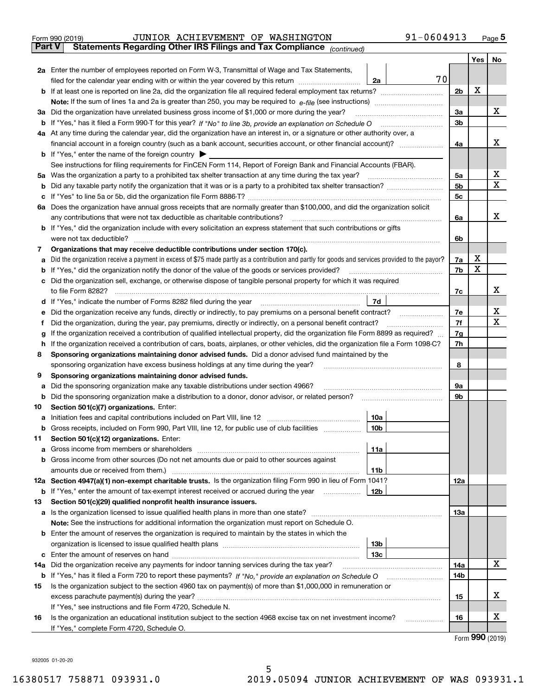|               | 91-0604913<br>JUNIOR ACHIEVEMENT OF WASHINGTON<br>Form 990 (2019)                                                                               |                |     | $Page$ <sup>5</sup> |
|---------------|-------------------------------------------------------------------------------------------------------------------------------------------------|----------------|-----|---------------------|
| <b>Part V</b> | Statements Regarding Other IRS Filings and Tax Compliance (continued)                                                                           |                |     |                     |
|               |                                                                                                                                                 |                | Yes | No                  |
|               | 2a Enter the number of employees reported on Form W-3, Transmittal of Wage and Tax Statements,                                                  |                |     |                     |
|               | 70<br>filed for the calendar year ending with or within the year covered by this return<br>2a                                                   |                |     |                     |
|               |                                                                                                                                                 | 2 <sub>b</sub> | х   |                     |
|               |                                                                                                                                                 |                |     |                     |
|               | 3a Did the organization have unrelated business gross income of \$1,000 or more during the year?                                                | За             |     | x                   |
| b             |                                                                                                                                                 | 3b             |     |                     |
|               | 4a At any time during the calendar year, did the organization have an interest in, or a signature or other authority over, a                    |                |     |                     |
|               |                                                                                                                                                 | 4a             |     | х                   |
|               | <b>b</b> If "Yes," enter the name of the foreign country                                                                                        |                |     |                     |
|               | See instructions for filing requirements for FinCEN Form 114, Report of Foreign Bank and Financial Accounts (FBAR).                             |                |     |                     |
| 5а            |                                                                                                                                                 | 5a             |     | х                   |
| b             |                                                                                                                                                 | 5 <sub>b</sub> |     | $\mathbf X$         |
| с             |                                                                                                                                                 | 5c             |     |                     |
| 6а            | Does the organization have annual gross receipts that are normally greater than \$100,000, and did the organization solicit                     |                |     |                     |
|               | any contributions that were not tax deductible as charitable contributions?                                                                     | 6a             |     | x                   |
|               | <b>b</b> If "Yes," did the organization include with every solicitation an express statement that such contributions or gifts                   |                |     |                     |
|               | were not tax deductible?                                                                                                                        | 6b             |     |                     |
| 7             | Organizations that may receive deductible contributions under section 170(c).                                                                   |                |     |                     |
| а             | Did the organization receive a payment in excess of \$75 made partly as a contribution and partly for goods and services provided to the payor? | 7a             | X   |                     |
| b             | If "Yes," did the organization notify the donor of the value of the goods or services provided?                                                 | 7b             | X   |                     |
| с             | Did the organization sell, exchange, or otherwise dispose of tangible personal property for which it was required                               |                |     |                     |
|               | to file Form 8282?                                                                                                                              | 7c             |     | х                   |
| d             | If "Yes," indicate the number of Forms 8282 filed during the year<br>7d                                                                         |                |     |                     |
| е             | Did the organization receive any funds, directly or indirectly, to pay premiums on a personal benefit contract?                                 | 7е             |     | х                   |
| f             | Did the organization, during the year, pay premiums, directly or indirectly, on a personal benefit contract?                                    | 7f             |     | $\mathbf X$         |
| g             | If the organization received a contribution of qualified intellectual property, did the organization file Form 8899 as required?                | 7g             |     |                     |
| h             | If the organization received a contribution of cars, boats, airplanes, or other vehicles, did the organization file a Form 1098-C?              | 7h             |     |                     |
| 8             | Sponsoring organizations maintaining donor advised funds. Did a donor advised fund maintained by the                                            |                |     |                     |
|               | sponsoring organization have excess business holdings at any time during the year?                                                              | 8              |     |                     |
| 9             | Sponsoring organizations maintaining donor advised funds.                                                                                       |                |     |                     |
| а             | Did the sponsoring organization make any taxable distributions under section 4966?                                                              | 9а             |     |                     |
| b             | Did the sponsoring organization make a distribution to a donor, donor advisor, or related person?                                               | 9b             |     |                     |
| 10            | Section 501(c)(7) organizations. Enter:                                                                                                         |                |     |                     |
|               | 10a<br>Initiation fees and capital contributions included on Part VIII, line 12                                                                 |                |     |                     |
|               | b Gross receipts, included on Form 990, Part VIII, line 12, for public use of club facilities<br>10b                                            |                |     |                     |
| 11            | Section 501(c)(12) organizations. Enter:                                                                                                        |                |     |                     |
| а             | 11a<br>Gross income from members or shareholders                                                                                                |                |     |                     |
| b             | Gross income from other sources (Do not net amounts due or paid to other sources against                                                        |                |     |                     |
|               | amounts due or received from them.)<br>11 <sub>b</sub>                                                                                          |                |     |                     |
|               | 12a Section 4947(a)(1) non-exempt charitable trusts. Is the organization filing Form 990 in lieu of Form 1041?                                  | 12a            |     |                     |
| b             | 12 <sub>b</sub><br>If "Yes," enter the amount of tax-exempt interest received or accrued during the year                                        |                |     |                     |
| 13            | Section 501(c)(29) qualified nonprofit health insurance issuers.                                                                                |                |     |                     |
| а             |                                                                                                                                                 | 13a            |     |                     |
|               | Note: See the instructions for additional information the organization must report on Schedule O.                                               |                |     |                     |
| b             | Enter the amount of reserves the organization is required to maintain by the states in which the                                                |                |     |                     |
|               | 13 <sub>b</sub>                                                                                                                                 |                |     |                     |
| с             | 13 <sub>c</sub>                                                                                                                                 |                |     |                     |
|               | 14a Did the organization receive any payments for indoor tanning services during the tax year?                                                  | 14a            |     | х                   |
|               |                                                                                                                                                 |                |     |                     |

|    | b If "Yes," has it filed a Form 720 to report these payments? If "No," provide an explanation on Schedule O     | 14b |  |
|----|-----------------------------------------------------------------------------------------------------------------|-----|--|
| 15 | Is the organization subject to the section 4960 tax on payment(s) of more than \$1,000,000 in remuneration or   |     |  |
|    | excess parachute payment(s) during the year?                                                                    | 15  |  |
|    | If "Yes," see instructions and file Form 4720, Schedule N.                                                      |     |  |
| 16 | Is the organization an educational institution subject to the section 4968 excise tax on net investment income? | 16  |  |
|    | If "Yes." complete Form 4720, Schedule O.                                                                       |     |  |

Form (2019) **990**

932005 01-20-20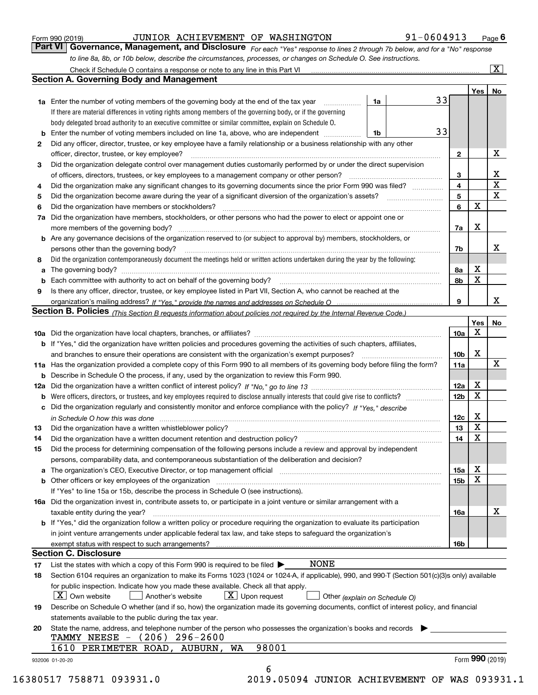|                      | Check if Schedule O contains a response or note to any line in this Part VI<br><b>Section A. Governing Body and Management</b>                                                                                                 |                 |     | $\overline{\mathbf{x}}$ |
|----------------------|--------------------------------------------------------------------------------------------------------------------------------------------------------------------------------------------------------------------------------|-----------------|-----|-------------------------|
|                      |                                                                                                                                                                                                                                |                 | Yes | No                      |
|                      | 33<br>1a Enter the number of voting members of the governing body at the end of the tax year<br>1a<br>$\overline{\phantom{a}}$                                                                                                 |                 |     |                         |
|                      | If there are material differences in voting rights among members of the governing body, or if the governing                                                                                                                    |                 |     |                         |
|                      | body delegated broad authority to an executive committee or similar committee, explain on Schedule O.                                                                                                                          |                 |     |                         |
| b                    | 33<br>Enter the number of voting members included on line 1a, above, who are independent<br>1b                                                                                                                                 |                 |     |                         |
| 2                    | Did any officer, director, trustee, or key employee have a family relationship or a business relationship with any other                                                                                                       |                 |     |                         |
|                      | officer, director, trustee, or key employee?                                                                                                                                                                                   | $\mathbf{2}$    |     | x                       |
| 3                    | Did the organization delegate control over management duties customarily performed by or under the direct supervision                                                                                                          |                 |     |                         |
|                      |                                                                                                                                                                                                                                | 3               |     | x                       |
| 4                    | Did the organization make any significant changes to its governing documents since the prior Form 990 was filed?                                                                                                               | 4               |     | X                       |
| 5                    |                                                                                                                                                                                                                                | 5               |     | Х                       |
| 6                    | Did the organization have members or stockholders?                                                                                                                                                                             | 6               | х   |                         |
| 7a                   | Did the organization have members, stockholders, or other persons who had the power to elect or appoint one or                                                                                                                 |                 |     |                         |
|                      |                                                                                                                                                                                                                                |                 | х   |                         |
|                      | <b>b</b> Are any governance decisions of the organization reserved to (or subject to approval by) members, stockholders, or                                                                                                    | 7a              |     |                         |
|                      |                                                                                                                                                                                                                                |                 |     |                         |
|                      | persons other than the governing body?                                                                                                                                                                                         | 7b              |     | X                       |
| 8                    | Did the organization contemporaneously document the meetings held or written actions undertaken during the year by the following:                                                                                              |                 |     |                         |
| a                    |                                                                                                                                                                                                                                | 8а              | х   |                         |
| b                    | Each committee with authority to act on behalf of the governing body?                                                                                                                                                          | 8b              | х   |                         |
| 9                    | Is there any officer, director, trustee, or key employee listed in Part VII, Section A, who cannot be reached at the                                                                                                           |                 |     |                         |
|                      |                                                                                                                                                                                                                                | 9               |     | x                       |
|                      | Section B. Policies (This Section B requests information about policies not required by the Internal Revenue Code.)                                                                                                            |                 |     |                         |
|                      |                                                                                                                                                                                                                                |                 | Yes | No                      |
|                      |                                                                                                                                                                                                                                | 10a             | х   |                         |
|                      | <b>b</b> If "Yes," did the organization have written policies and procedures governing the activities of such chapters, affiliates,                                                                                            |                 |     |                         |
|                      | and branches to ensure their operations are consistent with the organization's exempt purposes?                                                                                                                                | 10 <sub>b</sub> | х   |                         |
|                      | 11a Has the organization provided a complete copy of this Form 990 to all members of its governing body before filing the form?                                                                                                | 11a             |     | x                       |
|                      | <b>b</b> Describe in Schedule O the process, if any, used by the organization to review this Form 990.                                                                                                                         |                 |     |                         |
|                      |                                                                                                                                                                                                                                | 12a             | X   |                         |
| b                    |                                                                                                                                                                                                                                | 12 <sub>b</sub> | х   |                         |
| c                    | Did the organization regularly and consistently monitor and enforce compliance with the policy? If "Yes." describe                                                                                                             |                 |     |                         |
|                      | in Schedule O how this was done manufactured and contact the state of the state of the state of the state of t                                                                                                                 | 12c             | X   |                         |
| 13                   |                                                                                                                                                                                                                                | 13              | х   |                         |
| 14                   | Did the organization have a written document retention and destruction policy? manufactured and the organization have a written document retention and destruction policy?                                                     | 14              | х   |                         |
| 15                   | Did the process for determining compensation of the following persons include a review and approval by independent                                                                                                             |                 |     |                         |
|                      | persons, comparability data, and contemporaneous substantiation of the deliberation and decision?                                                                                                                              |                 |     |                         |
|                      |                                                                                                                                                                                                                                |                 |     |                         |
|                      | a The organization's CEO, Executive Director, or top management official manufactured content content of the organization's CEO, Executive Director, or top management official manufactured content of the state of the state | 15a             | x   |                         |
|                      |                                                                                                                                                                                                                                | 15 <sub>b</sub> | x   |                         |
|                      | If "Yes" to line 15a or 15b, describe the process in Schedule O (see instructions).                                                                                                                                            |                 |     |                         |
|                      |                                                                                                                                                                                                                                |                 |     |                         |
|                      | 16a Did the organization invest in, contribute assets to, or participate in a joint venture or similar arrangement with a                                                                                                      |                 |     | X                       |
|                      | taxable entity during the year?                                                                                                                                                                                                | <b>16a</b>      |     |                         |
|                      | <b>b</b> If "Yes," did the organization follow a written policy or procedure requiring the organization to evaluate its participation                                                                                          |                 |     |                         |
|                      | in joint venture arrangements under applicable federal tax law, and take steps to safeguard the organization's                                                                                                                 |                 |     |                         |
|                      |                                                                                                                                                                                                                                | <b>16b</b>      |     |                         |
|                      | <b>Section C. Disclosure</b>                                                                                                                                                                                                   |                 |     |                         |
|                      | NONE<br>List the states with which a copy of this Form 990 is required to be filed $\blacktriangleright$                                                                                                                       |                 |     |                         |
|                      | Section 6104 requires an organization to make its Forms 1023 (1024 or 1024-A, if applicable), 990, and 990-T (Section 501(c)(3)s only) available                                                                               |                 |     |                         |
|                      | for public inspection. Indicate how you made these available. Check all that apply.                                                                                                                                            |                 |     |                         |
|                      | $X$ Own website<br>$\lfloor x \rfloor$ Upon request<br>Another's website                                                                                                                                                       |                 |     |                         |
|                      | Other (explain on Schedule O)                                                                                                                                                                                                  |                 |     |                         |
|                      | Describe on Schedule O whether (and if so, how) the organization made its governing documents, conflict of interest policy, and financial                                                                                      |                 |     |                         |
|                      | statements available to the public during the tax year.                                                                                                                                                                        |                 |     |                         |
| 17<br>18<br>19<br>20 | State the name, address, and telephone number of the person who possesses the organization's books and records                                                                                                                 |                 |     |                         |
|                      | TAMMY NEESE - (206) 296-2600<br>98001<br>1610 PERIMETER ROAD, AUBURN, WA                                                                                                                                                       |                 |     |                         |

Form 990 (2019) **CONTOR ACHIEVEMENT OF WASHINGTON** 91-0604913 <sub>Page</sub> 6<br>**Part VI** | Governance, Management, and Disclosure *For each "Yes" response to lines 2 through 7b below, and for a "No" response* 

16380517 758871 093931.0 2019.05094 JUNIOR ACHIEVEMENT OF WAS 093931.1

*For each "Yes" response to lines 2 through 7b below, and for a "No" response*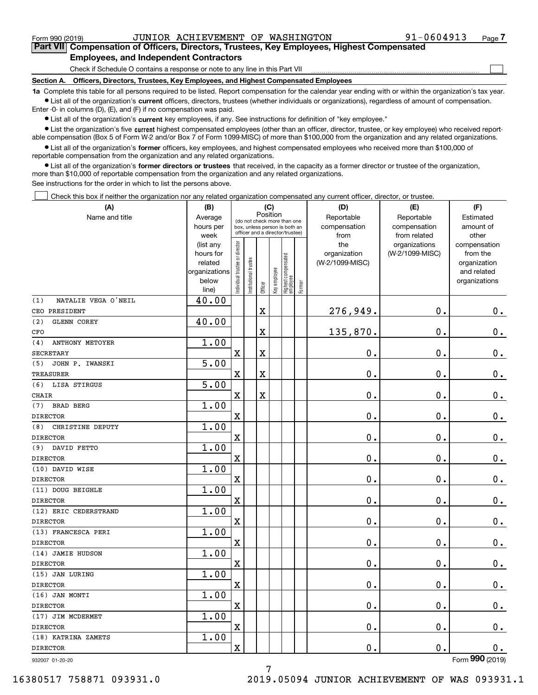$\mathcal{L}^{\text{max}}$ 

**7Part VII Compensation of Officers, Directors, Trustees, Key Employees, Highest Compensated Employees, and Independent Contractors**

Check if Schedule O contains a response or note to any line in this Part VII

**Section A. Officers, Directors, Trustees, Key Employees, and Highest Compensated Employees**

**1a**  Complete this table for all persons required to be listed. Report compensation for the calendar year ending with or within the organization's tax year. **•** List all of the organization's current officers, directors, trustees (whether individuals or organizations), regardless of amount of compensation.

Enter -0- in columns (D), (E), and (F) if no compensation was paid.

 $\bullet$  List all of the organization's  $\,$ current key employees, if any. See instructions for definition of "key employee."

**•** List the organization's five current highest compensated employees (other than an officer, director, trustee, or key employee) who received reportable compensation (Box 5 of Form W-2 and/or Box 7 of Form 1099-MISC) of more than \$100,000 from the organization and any related organizations.

**•** List all of the organization's former officers, key employees, and highest compensated employees who received more than \$100,000 of reportable compensation from the organization and any related organizations.

**former directors or trustees**  ¥ List all of the organization's that received, in the capacity as a former director or trustee of the organization, more than \$10,000 of reportable compensation from the organization and any related organizations.

See instructions for the order in which to list the persons above.

Check this box if neither the organization nor any related organization compensated any current officer, director, or trustee.  $\mathcal{L}^{\text{max}}$ 

| (A)                           | (B)<br>(C)           |                                |                                                                                                 |             |              |                                  |        | (D)                             | (E)             | (F)                      |
|-------------------------------|----------------------|--------------------------------|-------------------------------------------------------------------------------------------------|-------------|--------------|----------------------------------|--------|---------------------------------|-----------------|--------------------------|
| Name and title                | Average              |                                |                                                                                                 | Position    |              |                                  |        | Reportable                      | Reportable      | Estimated                |
|                               | hours per            |                                | (do not check more than one<br>box, unless person is both an<br>officer and a director/trustee) |             |              |                                  |        | compensation                    | compensation    | amount of                |
|                               | week                 |                                |                                                                                                 |             |              |                                  |        | from                            | from related    | other                    |
|                               | (list any            |                                |                                                                                                 |             |              |                                  |        | the                             | organizations   | compensation             |
|                               | hours for<br>related |                                |                                                                                                 |             |              |                                  |        | organization<br>(W-2/1099-MISC) | (W-2/1099-MISC) | from the<br>organization |
|                               | organizations        |                                |                                                                                                 |             |              |                                  |        |                                 |                 | and related              |
|                               | below                |                                |                                                                                                 |             |              |                                  |        |                                 |                 | organizations            |
|                               | line)                | Individual trustee or director | Institutional trustee                                                                           | Officer     | Key employee | Highest compensated<br> employee | Former |                                 |                 |                          |
| NATALIE VEGA O'NEIL<br>(1)    | 40.00                |                                |                                                                                                 |             |              |                                  |        |                                 |                 |                          |
| CEO PRESIDENT                 |                      |                                |                                                                                                 | $\mathbf X$ |              |                                  |        | 276,949.                        | 0.              | $0_{.}$                  |
| (2)<br>GLENN COREY            | 40.00                |                                |                                                                                                 |             |              |                                  |        |                                 |                 |                          |
| CFO                           |                      |                                |                                                                                                 | $\mathbf X$ |              |                                  |        | 135,870.                        | 0.              | $0_{.}$                  |
| <b>ANTHONY METOYER</b><br>(4) | 1.00                 |                                |                                                                                                 |             |              |                                  |        |                                 |                 |                          |
| <b>SECRETARY</b>              |                      | $\overline{\mathbf{X}}$        |                                                                                                 | $\mathbf X$ |              |                                  |        | 0.                              | 0.              | $0_{.}$                  |
| JOHN P. IWANSKI<br>(5)        | 5.00                 |                                |                                                                                                 |             |              |                                  |        |                                 |                 |                          |
| <b>TREASURER</b>              |                      | X                              |                                                                                                 | $\mathbf X$ |              |                                  |        | 0.                              | 0.              | $0_{.}$                  |
| LISA STIRGUS<br>(6)           | 5.00                 |                                |                                                                                                 |             |              |                                  |        |                                 |                 |                          |
| <b>CHAIR</b>                  |                      | X                              |                                                                                                 | $\mathbf X$ |              |                                  |        | 0.                              | 0.              | $0_{.}$                  |
| <b>BRAD BERG</b><br>(7)       | 1.00                 |                                |                                                                                                 |             |              |                                  |        |                                 |                 |                          |
| <b>DIRECTOR</b>               |                      | X                              |                                                                                                 |             |              |                                  |        | 0.                              | 0.              | $0_{.}$                  |
| CHRISTINE DEPUTY<br>(8)       | 1.00                 |                                |                                                                                                 |             |              |                                  |        |                                 |                 |                          |
| <b>DIRECTOR</b>               |                      | X                              |                                                                                                 |             |              |                                  |        | 0.                              | 0.              | $0_{.}$                  |
| DAVID FETTO<br>(9)            | 1.00                 |                                |                                                                                                 |             |              |                                  |        |                                 |                 |                          |
| <b>DIRECTOR</b>               |                      | X                              |                                                                                                 |             |              |                                  |        | 0.                              | 0.              | $0_{.}$                  |
| (10) DAVID WISE               | 1.00                 |                                |                                                                                                 |             |              |                                  |        |                                 |                 |                          |
| <b>DIRECTOR</b>               |                      | X                              |                                                                                                 |             |              |                                  |        | 0.                              | 0.              | $0_{.}$                  |
| (11) DOUG BEIGHLE             | 1.00                 |                                |                                                                                                 |             |              |                                  |        |                                 |                 |                          |
| <b>DIRECTOR</b>               |                      | X                              |                                                                                                 |             |              |                                  |        | 0.                              | 0.              | $\mathbf 0$ .            |
| (12) ERIC CEDERSTRAND         | 1.00                 |                                |                                                                                                 |             |              |                                  |        |                                 |                 |                          |
| <b>DIRECTOR</b>               |                      | X                              |                                                                                                 |             |              |                                  |        | 0.                              | 0.              | $\mathbf 0$ .            |
| (13) FRANCESCA PERI           | 1.00                 |                                |                                                                                                 |             |              |                                  |        |                                 |                 |                          |
| <b>DIRECTOR</b>               |                      | X                              |                                                                                                 |             |              |                                  |        | 0.                              | 0.              | $0$ .                    |
| (14) JAMIE HUDSON             | 1.00                 |                                |                                                                                                 |             |              |                                  |        |                                 |                 |                          |
| <b>DIRECTOR</b>               |                      | X                              |                                                                                                 |             |              |                                  |        | 0.                              | 0.              | $0$ .                    |
| (15) JAN LURING               | 1.00                 |                                |                                                                                                 |             |              |                                  |        |                                 |                 |                          |
| <b>DIRECTOR</b>               |                      | $\mathbf X$                    |                                                                                                 |             |              |                                  |        | 0.                              | $\mathbf 0$ .   | 0.                       |
| (16) JAN MONTI                | 1.00                 |                                |                                                                                                 |             |              |                                  |        |                                 |                 |                          |
| <b>DIRECTOR</b>               |                      | $\mathbf X$                    |                                                                                                 |             |              |                                  |        | $\mathbf 0$ .                   | $\mathbf 0$ .   | 0.                       |
| (17) JIM MCDERMET             | 1.00                 |                                |                                                                                                 |             |              |                                  |        |                                 |                 |                          |
| <b>DIRECTOR</b>               |                      | $\mathbf X$                    |                                                                                                 |             |              |                                  |        | 0.                              | $\mathbf 0$ .   | 0.                       |
| (18) KATRINA ZAMETS           | 1.00                 |                                |                                                                                                 |             |              |                                  |        |                                 |                 |                          |
| DIRECTOR                      |                      | $\mathbf X$                    |                                                                                                 |             |              |                                  |        | $\mathbf 0$ .                   | $\mathbf 0$ .   | 0.                       |
| 932007 01-20-20               |                      |                                |                                                                                                 |             |              |                                  |        |                                 |                 | Form 990 (2019)          |

932007 01-20-20

16380517 758871 093931.0 2019.05094 JUNIOR ACHIEVEMENT OF WAS 093931.1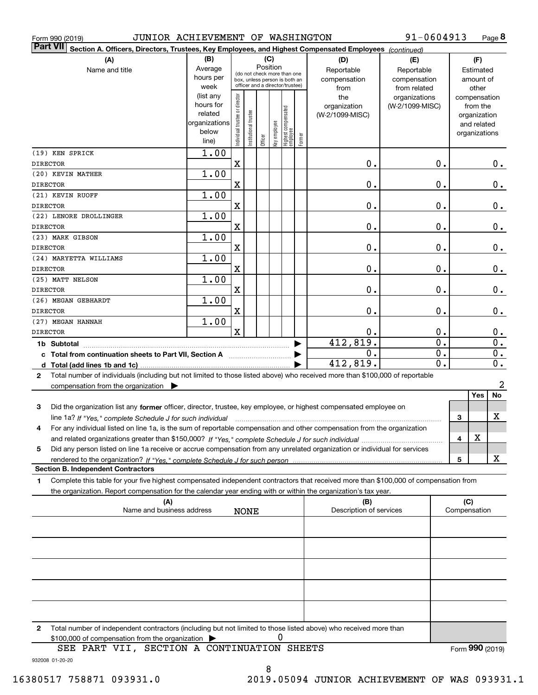| JUNIOR ACHIEVEMENT OF WASHINGTON<br>Form 990 (2019)                                                                                             |                        |                                |                        |         |              |                                                                  |        |                                | 91-0604913                   |                  |                     |                    | Page 8           |
|-------------------------------------------------------------------------------------------------------------------------------------------------|------------------------|--------------------------------|------------------------|---------|--------------|------------------------------------------------------------------|--------|--------------------------------|------------------------------|------------------|---------------------|--------------------|------------------|
| <b>Part VII</b><br>Section A. Officers, Directors, Trustees, Key Employees, and Highest Compensated Employees (continued)                       |                        |                                |                        |         |              |                                                                  |        |                                |                              |                  |                     |                    |                  |
| (A)                                                                                                                                             | (B)                    |                                |                        |         | (C)          |                                                                  |        | (D)                            | (E)                          |                  |                     | (F)                |                  |
| Name and title                                                                                                                                  | Average                |                                |                        |         | Position     | (do not check more than one                                      |        | Reportable                     | Reportable                   |                  |                     | Estimated          |                  |
|                                                                                                                                                 | hours per<br>week      |                                |                        |         |              | box, unless person is both an<br>officer and a director/trustee) |        | compensation<br>from           | compensation<br>from related |                  |                     | amount of<br>other |                  |
|                                                                                                                                                 | (list any              |                                |                        |         |              |                                                                  |        | the                            | organizations                |                  |                     | compensation       |                  |
|                                                                                                                                                 | hours for              |                                |                        |         |              |                                                                  |        | organization                   | (W-2/1099-MISC)              |                  |                     | from the           |                  |
|                                                                                                                                                 | related                |                                |                        |         |              |                                                                  |        | (W-2/1099-MISC)                |                              |                  |                     | organization       |                  |
|                                                                                                                                                 | organizations<br>below |                                |                        |         |              |                                                                  |        |                                |                              |                  |                     | and related        |                  |
|                                                                                                                                                 | line)                  | Individual trustee or director | In stitutional trustee | Officer | Key employee | Highest compensated<br> employee                                 | Former |                                |                              |                  |                     | organizations      |                  |
| (19) KEN SPRICK                                                                                                                                 | 1.00                   |                                |                        |         |              |                                                                  |        |                                |                              |                  |                     |                    |                  |
| DIRECTOR                                                                                                                                        |                        | $\mathbf X$                    |                        |         |              |                                                                  |        | 0.                             |                              | Ο.               |                     |                    | $0_{.}$          |
| (20) KEVIN MATHER                                                                                                                               | 1.00                   |                                |                        |         |              |                                                                  |        |                                |                              |                  |                     |                    |                  |
| DIRECTOR                                                                                                                                        |                        | $\mathbf X$                    |                        |         |              |                                                                  |        | 0.                             |                              | О.               |                     |                    | 0.               |
| (21) KEVIN RUOFF                                                                                                                                | 1.00                   |                                |                        |         |              |                                                                  |        |                                |                              |                  |                     |                    |                  |
| DIRECTOR                                                                                                                                        |                        | $\mathbf X$                    |                        |         |              |                                                                  |        | 0.                             |                              | Ο.               |                     |                    | $\mathbf 0$ .    |
| (22) LENORE DROLLINGER                                                                                                                          | 1.00                   |                                |                        |         |              |                                                                  |        |                                |                              |                  |                     |                    |                  |
| DIRECTOR                                                                                                                                        |                        | $\mathbf X$                    |                        |         |              |                                                                  |        | 0.                             |                              | Ο.               |                     |                    | $\mathbf 0$ .    |
| (23) MARK GIBSON                                                                                                                                | 1.00                   |                                |                        |         |              |                                                                  |        |                                |                              |                  |                     |                    |                  |
| <b>DIRECTOR</b>                                                                                                                                 |                        | $\mathbf X$                    |                        |         |              |                                                                  |        | 0.                             |                              | О.               |                     |                    | $\mathbf 0$ .    |
| (24) MARYETTA WILLIAMS<br>DIRECTOR                                                                                                              | 1.00                   | X                              |                        |         |              |                                                                  |        | 0.                             |                              | О.               |                     |                    | 0.               |
| (25) MATT NELSON                                                                                                                                | 1.00                   |                                |                        |         |              |                                                                  |        |                                |                              |                  |                     |                    |                  |
| DIRECTOR                                                                                                                                        |                        | $\mathbf X$                    |                        |         |              |                                                                  |        | 0.                             |                              | О.               |                     |                    | $\mathbf 0$ .    |
| (26) MEGAN GEBHARDT                                                                                                                             | 1.00                   |                                |                        |         |              |                                                                  |        |                                |                              |                  |                     |                    |                  |
| DIRECTOR                                                                                                                                        |                        | $\mathbf X$                    |                        |         |              |                                                                  |        | 0.                             |                              | Ο.               |                     |                    | $\mathbf 0$ .    |
| (27) MEGAN HANNAH                                                                                                                               | 1.00                   |                                |                        |         |              |                                                                  |        |                                |                              |                  |                     |                    |                  |
| DIRECTOR                                                                                                                                        |                        | $\mathbf X$                    |                        |         |              |                                                                  |        | Ο.                             |                              | Ο.               |                     |                    | $0$ .            |
| 1b Subtotal                                                                                                                                     |                        |                                |                        |         |              |                                                                  |        | 412,819.                       |                              | $\overline{0}$ . |                     |                    | $\overline{0}$ . |
| c Total from continuation sheets to Part VII, Section A                                                                                         |                        |                                |                        |         |              |                                                                  |        | 0.                             |                              | $\mathbf 0$ .    |                     |                    | $\mathbf 0$ .    |
|                                                                                                                                                 |                        |                                |                        |         |              |                                                                  |        | 412,819.                       |                              | 0.               |                     |                    | 0.               |
| Total number of individuals (including but not limited to those listed above) who received more than \$100,000 of reportable<br>$\mathbf{2}$    |                        |                                |                        |         |              |                                                                  |        |                                |                              |                  |                     |                    |                  |
| compensation from the organization $\blacktriangleright$                                                                                        |                        |                                |                        |         |              |                                                                  |        |                                |                              |                  |                     | Yes                | 2<br>No          |
| Did the organization list any former officer, director, trustee, key employee, or highest compensated employee on<br>3                          |                        |                                |                        |         |              |                                                                  |        |                                |                              |                  |                     |                    |                  |
| line 1a? If "Yes," complete Schedule J for such individual manufactured contained and the 1a? If "Yes," complete Schedule J for such individual |                        |                                |                        |         |              |                                                                  |        |                                |                              |                  | 3                   |                    | x                |
| For any individual listed on line 1a, is the sum of reportable compensation and other compensation from the organization<br>4                   |                        |                                |                        |         |              |                                                                  |        |                                |                              |                  |                     |                    |                  |
|                                                                                                                                                 |                        |                                |                        |         |              |                                                                  |        |                                |                              |                  | 4                   | х                  |                  |
| Did any person listed on line 1a receive or accrue compensation from any unrelated organization or individual for services<br>5                 |                        |                                |                        |         |              |                                                                  |        |                                |                              |                  |                     |                    |                  |
|                                                                                                                                                 |                        |                                |                        |         |              |                                                                  |        |                                |                              |                  | 5                   |                    | x                |
| <b>Section B. Independent Contractors</b>                                                                                                       |                        |                                |                        |         |              |                                                                  |        |                                |                              |                  |                     |                    |                  |
| Complete this table for your five highest compensated independent contractors that received more than \$100,000 of compensation from<br>1.      |                        |                                |                        |         |              |                                                                  |        |                                |                              |                  |                     |                    |                  |
| the organization. Report compensation for the calendar year ending with or within the organization's tax year.                                  |                        |                                |                        |         |              |                                                                  |        |                                |                              |                  |                     |                    |                  |
| (A)<br>Name and business address                                                                                                                |                        |                                | <b>NONE</b>            |         |              |                                                                  |        | (B)<br>Description of services |                              |                  | (C)<br>Compensation |                    |                  |
|                                                                                                                                                 |                        |                                |                        |         |              |                                                                  |        |                                |                              |                  |                     |                    |                  |
|                                                                                                                                                 |                        |                                |                        |         |              |                                                                  |        |                                |                              |                  |                     |                    |                  |
|                                                                                                                                                 |                        |                                |                        |         |              |                                                                  |        |                                |                              |                  |                     |                    |                  |
|                                                                                                                                                 |                        |                                |                        |         |              |                                                                  |        |                                |                              |                  |                     |                    |                  |
|                                                                                                                                                 |                        |                                |                        |         |              |                                                                  |        |                                |                              |                  |                     |                    |                  |
|                                                                                                                                                 |                        |                                |                        |         |              |                                                                  |        |                                |                              |                  |                     |                    |                  |
|                                                                                                                                                 |                        |                                |                        |         |              |                                                                  |        |                                |                              |                  |                     |                    |                  |
|                                                                                                                                                 |                        |                                |                        |         |              |                                                                  |        |                                |                              |                  |                     |                    |                  |

**2**Total number of independent contractors (including but not limited to those listed above) who received more than \$100,000 of compensation from the organization 0

932008 01-20-20 SEE PART VII, SECTION A CONTINUATION SHEETS

8

Form (2019) **990**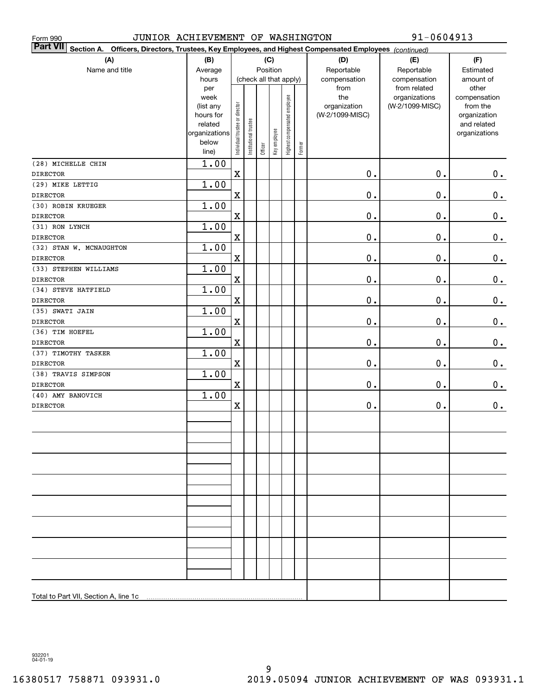| JUNIOR ACHIEVEMENT OF WASHINGTON<br>Form 990                                                                              |                                                         |                                |                       |         |              |                              |        |                                             | 91-0604913                                                       |                                                |
|---------------------------------------------------------------------------------------------------------------------------|---------------------------------------------------------|--------------------------------|-----------------------|---------|--------------|------------------------------|--------|---------------------------------------------|------------------------------------------------------------------|------------------------------------------------|
| <b>Part VII</b><br>Section A. Officers, Directors, Trustees, Key Employees, and Highest Compensated Employees (continued) |                                                         |                                |                       |         |              |                              |        |                                             |                                                                  |                                                |
| (A)                                                                                                                       | (B)                                                     |                                |                       |         | (C)          |                              |        | (D)                                         | (E)                                                              | (F)                                            |
| Name and title                                                                                                            | Average                                                 |                                |                       |         | Position     |                              |        | Reportable                                  | Reportable                                                       | Estimated                                      |
|                                                                                                                           | hours<br>per<br>week<br>(list any                       |                                |                       |         |              | (check all that apply)       |        | compensation<br>from<br>the<br>organization | compensation<br>from related<br>organizations<br>(W-2/1099-MISC) | amount of<br>other<br>compensation<br>from the |
|                                                                                                                           | hours for<br>related<br>organizations<br>below<br>line) | Individual trustee or director | Institutional trustee | Officer | Key employee | Highest compensated employee | Former | (W-2/1099-MISC)                             |                                                                  | organization<br>and related<br>organizations   |
| (28) MICHELLE CHIN                                                                                                        | 1.00                                                    |                                |                       |         |              |                              |        |                                             |                                                                  |                                                |
| <b>DIRECTOR</b>                                                                                                           |                                                         | $\mathbf X$                    |                       |         |              |                              |        | $\mathbf 0$ .                               | $\mathbf 0$ .                                                    | $0$ .                                          |
| (29) MIKE LETTIG                                                                                                          | 1.00                                                    |                                |                       |         |              |                              |        |                                             |                                                                  |                                                |
| <b>DIRECTOR</b>                                                                                                           |                                                         | $\mathbf X$                    |                       |         |              |                              |        | $\mathbf 0$ .                               | $\mathbf 0$ .                                                    | 0.                                             |
| (30) ROBIN KRUEGER                                                                                                        | 1.00                                                    |                                |                       |         |              |                              |        |                                             |                                                                  |                                                |
| <b>DIRECTOR</b>                                                                                                           |                                                         | $\mathbf X$                    |                       |         |              |                              |        | $\mathbf 0$ .                               | $\mathbf 0$ .                                                    | 0.                                             |
| (31) RON LYNCH                                                                                                            | 1.00                                                    |                                |                       |         |              |                              |        |                                             |                                                                  |                                                |
| <b>DIRECTOR</b>                                                                                                           |                                                         | $\mathbf X$                    |                       |         |              |                              |        | $\mathbf 0$ .                               | $\mathbf 0$ .                                                    | 0.                                             |
| (32) STAN W. MCNAUGHTON                                                                                                   | 1.00                                                    |                                |                       |         |              |                              |        |                                             |                                                                  |                                                |
| <b>DIRECTOR</b>                                                                                                           |                                                         | $\mathbf X$                    |                       |         |              |                              |        | $\mathbf 0$ .                               | $\mathbf 0$ .                                                    | $\mathbf 0$ .                                  |
| (33) STEPHEN WILLIAMS                                                                                                     | 1.00                                                    |                                |                       |         |              |                              |        |                                             |                                                                  |                                                |
| <b>DIRECTOR</b>                                                                                                           |                                                         | $\mathbf X$                    |                       |         |              |                              |        | $\mathbf 0$ .                               | $\mathbf 0$ .                                                    | $\mathbf 0$ .                                  |
| (34) STEVE HATFIELD                                                                                                       | 1.00                                                    |                                |                       |         |              |                              |        |                                             |                                                                  |                                                |
| <b>DIRECTOR</b>                                                                                                           |                                                         | $\mathbf X$                    |                       |         |              |                              |        | $\mathbf 0$ .                               | $\mathbf 0$ .                                                    | $\mathbf 0$ .                                  |
| (35) SWATI JAIN                                                                                                           | 1.00                                                    |                                |                       |         |              |                              |        |                                             |                                                                  |                                                |
| <b>DIRECTOR</b>                                                                                                           |                                                         | $\mathbf X$                    |                       |         |              |                              |        | $\mathbf 0$ .                               | $\mathbf 0$ .                                                    | 0.                                             |
| (36) TIM HOEFEL                                                                                                           | 1.00                                                    |                                |                       |         |              |                              |        |                                             |                                                                  |                                                |
| <b>DIRECTOR</b>                                                                                                           |                                                         | $\mathbf X$                    |                       |         |              |                              |        | $\mathbf 0$ .                               | $\mathbf 0$ .                                                    | $0$ .                                          |
| (37) TIMOTHY TASKER                                                                                                       | 1.00                                                    |                                |                       |         |              |                              |        |                                             |                                                                  |                                                |
| <b>DIRECTOR</b>                                                                                                           |                                                         | $\mathbf X$                    |                       |         |              |                              |        | $\mathbf 0$ .                               | $\mathbf 0$ .                                                    | $0$ .                                          |
| (38) TRAVIS SIMPSON                                                                                                       | 1.00                                                    |                                |                       |         |              |                              |        |                                             |                                                                  |                                                |
| <b>DIRECTOR</b>                                                                                                           |                                                         | $\mathbf X$                    |                       |         |              |                              |        | $\mathbf 0$ .                               | $\mathbf 0$ .                                                    | 0.                                             |
| (40) AMY BANOVICH                                                                                                         | 1.00                                                    |                                |                       |         |              |                              |        |                                             |                                                                  |                                                |
| <b>DIRECTOR</b>                                                                                                           |                                                         | X                              |                       |         |              |                              |        | $\mathbf 0$ .                               | $\mathbf 0$ .                                                    | $0_{.}$                                        |
|                                                                                                                           |                                                         |                                |                       |         |              |                              |        |                                             |                                                                  |                                                |
|                                                                                                                           |                                                         |                                |                       |         |              |                              |        |                                             |                                                                  |                                                |
|                                                                                                                           |                                                         |                                |                       |         |              |                              |        |                                             |                                                                  |                                                |
|                                                                                                                           |                                                         |                                |                       |         |              |                              |        |                                             |                                                                  |                                                |
|                                                                                                                           |                                                         |                                |                       |         |              |                              |        |                                             |                                                                  |                                                |
|                                                                                                                           |                                                         |                                |                       |         |              |                              |        |                                             |                                                                  |                                                |
|                                                                                                                           |                                                         |                                |                       |         |              |                              |        |                                             |                                                                  |                                                |
| Total to Part VII, Section A, line 1c                                                                                     |                                                         |                                |                       |         |              |                              |        |                                             |                                                                  |                                                |

932201 04-01-19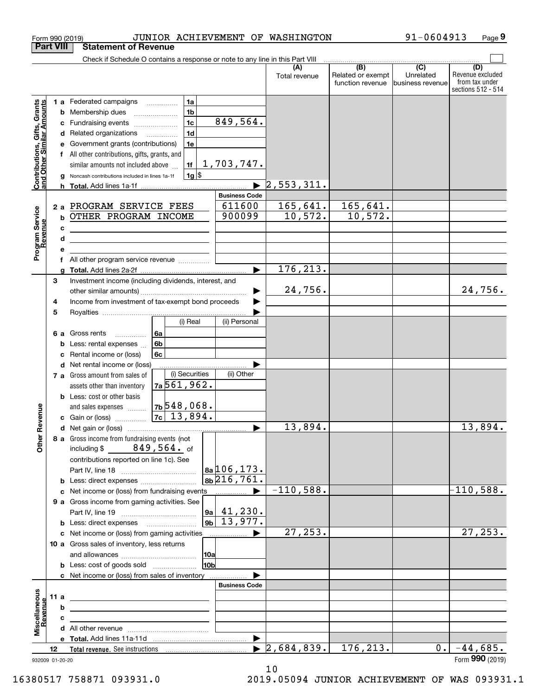|                                                           | <b>Part VIII</b>      | <b>Statement of Revenue</b>                                                                                                                                                                                                                                                 |                                                                                 |                                                                         |                                  |                                              |                                                   |                                                                 |
|-----------------------------------------------------------|-----------------------|-----------------------------------------------------------------------------------------------------------------------------------------------------------------------------------------------------------------------------------------------------------------------------|---------------------------------------------------------------------------------|-------------------------------------------------------------------------|----------------------------------|----------------------------------------------|---------------------------------------------------|-----------------------------------------------------------------|
|                                                           |                       | Check if Schedule O contains a response or note to any line in this Part VIII                                                                                                                                                                                               |                                                                                 |                                                                         |                                  |                                              |                                                   |                                                                 |
|                                                           |                       |                                                                                                                                                                                                                                                                             |                                                                                 |                                                                         | (A)<br>Total revenue             | (B)<br>Related or exempt<br>function revenue | $\overline{(C)}$<br>Unrelated<br>business revenue | (D)<br>Revenue excluded<br>from tax under<br>sections 512 - 514 |
| Contributions, Gifts, Grants<br>and Other Similar Amounts | b<br>c<br>d<br>е      | <b>1 a</b> Federated campaigns<br>Membership dues<br>Fundraising events<br>Related organizations<br>Government grants (contributions)<br>All other contributions, gifts, grants, and<br>similar amounts not included above<br>Noncash contributions included in lines 1a-1f | 1a<br>1 <sub>b</sub><br>1 <sub>c</sub><br>1 <sub>d</sub><br>1e<br>1f<br>$1g$ \$ | 849,564.<br>1,703,747.<br>$\blacktriangleright$<br><b>Business Code</b> | 2, 553, 311.                     |                                              |                                                   |                                                                 |
|                                                           |                       | 2 a PROGRAM SERVICE FEES                                                                                                                                                                                                                                                    |                                                                                 | 611600                                                                  | 165,641.                         | 165,641.                                     |                                                   |                                                                 |
| Program Service<br>Revenue                                | b<br>с<br>d<br>e      | OTHER PROGRAM INCOME<br><u> 1989 - Johann Stein, marwolaethau a bhann an t-Amhainn an t-Amhainn an t-Amhainn an t-Amhainn an t-Amhainn an</u>                                                                                                                               |                                                                                 | 900099                                                                  | 10,572.                          | 10,572.                                      |                                                   |                                                                 |
|                                                           | f                     | All other program service revenue <i></i>                                                                                                                                                                                                                                   |                                                                                 | ▶                                                                       | 176, 213.                        |                                              |                                                   |                                                                 |
|                                                           | 3<br>4                | Investment income (including dividends, interest, and<br>Income from investment of tax-exempt bond proceeds                                                                                                                                                                 |                                                                                 |                                                                         | 24,756.                          |                                              |                                                   | 24,756.                                                         |
|                                                           | 5<br>6а               | Gross rents<br>.                                                                                                                                                                                                                                                            | (i) Real<br>6a                                                                  | (ii) Personal                                                           |                                  |                                              |                                                   |                                                                 |
|                                                           | b<br>c<br>d           | Less: rental expenses<br>Rental income or (loss)<br>Net rental income or (loss)                                                                                                                                                                                             | 6 <sub>b</sub><br>6с                                                            |                                                                         |                                  |                                              |                                                   |                                                                 |
|                                                           |                       | 7 a Gross amount from sales of<br>assets other than inventory<br><b>b</b> Less: cost or other basis<br>and sales expenses                                                                                                                                                   | (i) Securities<br>7a 561, 962.<br>$7b548,068$ .                                 | (ii) Other                                                              |                                  |                                              |                                                   |                                                                 |
| Revenue                                                   |                       |                                                                                                                                                                                                                                                                             |                                                                                 |                                                                         |                                  |                                              |                                                   |                                                                 |
|                                                           |                       |                                                                                                                                                                                                                                                                             |                                                                                 | ▶                                                                       | 13,894.                          |                                              |                                                   | 13,894.                                                         |
| Othe                                                      |                       | 8 a Gross income from fundraising events (not<br>including $$849,564.$ of<br>contributions reported on line 1c). See<br><b>b</b> Less: direct expenses                                                                                                                      |                                                                                 | $a^{106}$ , 173.<br>8b 216, 761.                                        |                                  |                                              |                                                   |                                                                 |
|                                                           |                       |                                                                                                                                                                                                                                                                             |                                                                                 |                                                                         | $-110,588.$                      |                                              |                                                   | $-110,588.$                                                     |
|                                                           |                       | 9 a Gross income from gaming activities. See<br><b>b</b> Less: direct expenses <b>manually</b>                                                                                                                                                                              | ∣9a I<br>9 <sub>b</sub>                                                         | 41,230.<br>13,977.                                                      |                                  |                                              |                                                   |                                                                 |
|                                                           |                       | c Net income or (loss) from gaming activities                                                                                                                                                                                                                               |                                                                                 | —………………… ▶                                                              | 27, 253.                         |                                              |                                                   | 27, 253.                                                        |
|                                                           |                       | 10 a Gross sales of inventory, less returns                                                                                                                                                                                                                                 | 10a                                                                             |                                                                         |                                  |                                              |                                                   |                                                                 |
|                                                           |                       | <b>b</b> Less: cost of goods sold                                                                                                                                                                                                                                           | 10bl                                                                            |                                                                         |                                  |                                              |                                                   |                                                                 |
|                                                           |                       | c Net income or (loss) from sales of inventory                                                                                                                                                                                                                              |                                                                                 | <b>Business Code</b>                                                    |                                  |                                              |                                                   |                                                                 |
|                                                           | 11 a                  | the control of the control of the control of the control of the control of                                                                                                                                                                                                  |                                                                                 |                                                                         |                                  |                                              |                                                   |                                                                 |
| Miscellaneous<br>Revenue                                  | b                     |                                                                                                                                                                                                                                                                             |                                                                                 |                                                                         |                                  |                                              |                                                   |                                                                 |
|                                                           | c                     |                                                                                                                                                                                                                                                                             | <u> 1989 - Johann Barbara, martxa alemaniar a</u>                               |                                                                         |                                  |                                              |                                                   |                                                                 |
|                                                           |                       |                                                                                                                                                                                                                                                                             |                                                                                 |                                                                         |                                  |                                              |                                                   |                                                                 |
|                                                           |                       |                                                                                                                                                                                                                                                                             |                                                                                 |                                                                         |                                  |                                              |                                                   |                                                                 |
|                                                           | 12<br>932009 01-20-20 |                                                                                                                                                                                                                                                                             |                                                                                 |                                                                         | $\blacktriangleright$ 2,684,839. | 176, 213.                                    | 0.                                                | $-44,685.$<br>Form 990 (2019)                                   |

Form 990 (2019) JUNIOR ACHIEVEMENT OF WASHINGTON 91-0604913 Page

**9**

10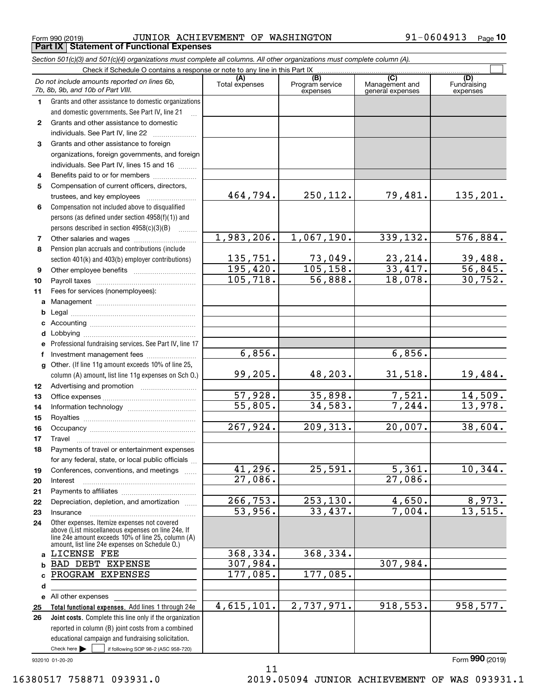Form 990 (2019) Page **Part IX Statement of Functional Expenses** JUNIOR ACHIEVEMENT OF WASHINGTON 91-0604913

*Section 501(c)(3) and 501(c)(4) organizations must complete all columns. All other organizations must complete column (A).*

|              | Do not include amounts reported on lines 6b,<br>7b, 8b, 9b, and 10b of Part VIII.                                                                                                                          | (A)<br>Total expenses | (B)<br>Program service<br>expenses | $\overline{C}$<br>Management and<br>general expenses | (D)<br>Fundraising<br>expenses |
|--------------|------------------------------------------------------------------------------------------------------------------------------------------------------------------------------------------------------------|-----------------------|------------------------------------|------------------------------------------------------|--------------------------------|
| 1.           | Grants and other assistance to domestic organizations                                                                                                                                                      |                       |                                    |                                                      |                                |
|              | and domestic governments. See Part IV, line 21                                                                                                                                                             |                       |                                    |                                                      |                                |
| $\mathbf{2}$ | Grants and other assistance to domestic                                                                                                                                                                    |                       |                                    |                                                      |                                |
|              | individuals. See Part IV, line 22                                                                                                                                                                          |                       |                                    |                                                      |                                |
| 3            | Grants and other assistance to foreign                                                                                                                                                                     |                       |                                    |                                                      |                                |
|              | organizations, foreign governments, and foreign                                                                                                                                                            |                       |                                    |                                                      |                                |
|              | individuals. See Part IV, lines 15 and 16                                                                                                                                                                  |                       |                                    |                                                      |                                |
| 4            | Benefits paid to or for members                                                                                                                                                                            |                       |                                    |                                                      |                                |
| 5            | Compensation of current officers, directors,                                                                                                                                                               |                       |                                    |                                                      |                                |
|              |                                                                                                                                                                                                            | 464,794.              | 250,112.                           | 79,481.                                              | 135,201.                       |
| 6            | Compensation not included above to disqualified                                                                                                                                                            |                       |                                    |                                                      |                                |
|              | persons (as defined under section 4958(f)(1)) and                                                                                                                                                          |                       |                                    |                                                      |                                |
|              | persons described in section 4958(c)(3)(B)                                                                                                                                                                 |                       |                                    |                                                      |                                |
| 7            |                                                                                                                                                                                                            | 1,983,206.            | 1,067,190.                         | 339,132.                                             | 576,884.                       |
| 8            | Pension plan accruals and contributions (include                                                                                                                                                           |                       |                                    |                                                      |                                |
|              | section 401(k) and 403(b) employer contributions)                                                                                                                                                          | 135,751.              | 73,049.                            | 23, 214.                                             | 39,488.                        |
| 9            |                                                                                                                                                                                                            | 195,420.              | 105, 158.                          | 33,417.                                              | 56,845.                        |
| 10           |                                                                                                                                                                                                            | 105, 718.             | 56,888.                            | 18,078.                                              | 30, 752.                       |
| 11           | Fees for services (nonemployees):                                                                                                                                                                          |                       |                                    |                                                      |                                |
| a            |                                                                                                                                                                                                            |                       |                                    |                                                      |                                |
| b            |                                                                                                                                                                                                            |                       |                                    |                                                      |                                |
| c            |                                                                                                                                                                                                            |                       |                                    |                                                      |                                |
| d            |                                                                                                                                                                                                            |                       |                                    |                                                      |                                |
| e            | Professional fundraising services. See Part IV, line 17                                                                                                                                                    |                       |                                    |                                                      |                                |
| f            | Investment management fees                                                                                                                                                                                 | 6,856.                |                                    | 6,856.                                               |                                |
| g            | Other. (If line 11g amount exceeds 10% of line 25,                                                                                                                                                         |                       |                                    |                                                      |                                |
|              | column (A) amount, list line 11g expenses on Sch O.)                                                                                                                                                       | 99, 205.              | 48,203.                            | 31,518.                                              | 19,484.                        |
| 12           |                                                                                                                                                                                                            |                       |                                    |                                                      |                                |
| 13           |                                                                                                                                                                                                            | 57,928.               | 35,898.                            | 7,521.                                               | 14,509.                        |
| 14           |                                                                                                                                                                                                            | $\overline{55,805}$ . | 34,583.                            | 7,244.                                               | 13,978.                        |
| 15           |                                                                                                                                                                                                            |                       |                                    |                                                      |                                |
| 16           |                                                                                                                                                                                                            | 267,924.              | 209, 313.                          | 20,007.                                              | 38,604.                        |
| 17           | Travel                                                                                                                                                                                                     |                       |                                    |                                                      |                                |
| 18           | Payments of travel or entertainment expenses                                                                                                                                                               |                       |                                    |                                                      |                                |
|              | for any federal, state, or local public officials                                                                                                                                                          |                       |                                    |                                                      |                                |
| 19           | Conferences, conventions, and meetings                                                                                                                                                                     | 41,296.               | 25,591.                            | $\overline{5,361}$ .                                 | 10,344.                        |
| 20           | Interest                                                                                                                                                                                                   | 27,086.               |                                    | $\overline{27,086}$ .                                |                                |
| 21           |                                                                                                                                                                                                            |                       |                                    |                                                      |                                |
| 22           | Depreciation, depletion, and amortization                                                                                                                                                                  | 266, 753.             | 253, 130.                          | 4,650.                                               | 8,973.                         |
| 23           | Insurance                                                                                                                                                                                                  | $\overline{53,956}$ . | 33,437.                            | 7,004.                                               | 13,515.                        |
| 24           | Other expenses. Itemize expenses not covered<br>above (List miscellaneous expenses on line 24e. If<br>line 24e amount exceeds 10% of line 25, column (A)<br>amount, list line 24e expenses on Schedule O.) |                       |                                    |                                                      |                                |
|              | a LICENSE FEE                                                                                                                                                                                              | 368,334.              | 368,334.                           |                                                      |                                |
| b            | <b>BAD DEBT EXPENSE</b>                                                                                                                                                                                    | 307,984.              |                                    | 307,984.                                             |                                |
| c            | PROGRAM EXPENSES                                                                                                                                                                                           | 177,085.              | 177,085.                           |                                                      |                                |
| d            |                                                                                                                                                                                                            |                       |                                    |                                                      |                                |
|              | e All other expenses                                                                                                                                                                                       |                       |                                    |                                                      |                                |
| 25           | Total functional expenses. Add lines 1 through 24e                                                                                                                                                         | 4,615,101.            | 2,737,971.                         | 918,553.                                             | 958,577.                       |
| 26           | Joint costs. Complete this line only if the organization                                                                                                                                                   |                       |                                    |                                                      |                                |
|              | reported in column (B) joint costs from a combined                                                                                                                                                         |                       |                                    |                                                      |                                |
|              | educational campaign and fundraising solicitation.                                                                                                                                                         |                       |                                    |                                                      |                                |
|              | Check here $\blacktriangleright$<br>if following SOP 98-2 (ASC 958-720)                                                                                                                                    |                       |                                    |                                                      |                                |

11

932010 01-20-20

16380517 758871 093931.0 2019.05094 JUNIOR ACHIEVEMENT OF WAS 093931.1

Form (2019) **990**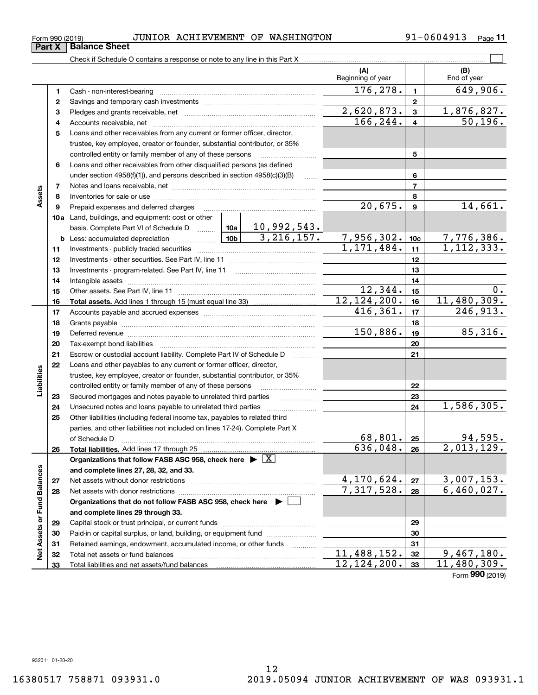**33**

Form (2019) **990**

**Part X Balance Sheet**

|                             |    |                                                                                                                  |          |    | (A)<br>Beginning of year    |                         | (B)<br>End of year         |
|-----------------------------|----|------------------------------------------------------------------------------------------------------------------|----------|----|-----------------------------|-------------------------|----------------------------|
|                             | 1  |                                                                                                                  |          |    | 176,278.                    | $\mathbf{1}$            | 649,906.                   |
|                             | 2  |                                                                                                                  |          |    |                             | $\mathbf{2}$            |                            |
|                             | 3  |                                                                                                                  |          |    | 2,620,873.                  | $\mathbf{3}$            | 1,876,827.                 |
|                             | 4  |                                                                                                                  |          |    | 166, 244.                   | $\overline{\mathbf{4}}$ | 50, 196.                   |
|                             | 5  | Loans and other receivables from any current or former officer, director,                                        |          |    |                             |                         |                            |
|                             |    | trustee, key employee, creator or founder, substantial contributor, or 35%                                       |          |    |                             |                         |                            |
|                             |    | controlled entity or family member of any of these persons                                                       |          |    |                             | 5                       |                            |
|                             | 6  | Loans and other receivables from other disqualified persons (as defined                                          |          |    |                             |                         |                            |
|                             |    | under section 4958(f)(1)), and persons described in section 4958(c)(3)(B)                                        |          |    |                             | 6                       |                            |
|                             | 7  |                                                                                                                  |          |    |                             | $\overline{7}$          |                            |
| Assets                      | 8  |                                                                                                                  |          |    |                             | 8                       |                            |
|                             | 9  | Prepaid expenses and deferred charges                                                                            |          |    | 20,675.                     | $\mathbf{9}$            | 14,661.                    |
|                             |    | 10a Land, buildings, and equipment: cost or other                                                                |          |    |                             |                         |                            |
|                             |    |                                                                                                                  |          |    |                             |                         |                            |
|                             |    |                                                                                                                  |          |    | $7,956,302.$<br>1,171,484.  | 10 <sub>c</sub>         | $7,776,386.$<br>1,112,333. |
|                             | 11 |                                                                                                                  |          |    |                             | 11                      |                            |
|                             | 12 |                                                                                                                  |          |    |                             | 12                      |                            |
|                             | 13 |                                                                                                                  |          |    |                             | 13                      |                            |
|                             | 14 |                                                                                                                  |          |    |                             | 14                      |                            |
|                             | 15 |                                                                                                                  |          |    | 12,344.                     | 15                      | 0.                         |
|                             | 16 |                                                                                                                  |          |    | 12, 124, 200.               | 16                      | 11,480,309.                |
|                             | 17 |                                                                                                                  |          |    | 416,361.                    | 17                      | 246,913.                   |
|                             | 18 |                                                                                                                  |          |    | 18                          |                         |                            |
|                             | 19 | Deferred revenue manual contracts and contracts are all the contracts and contracts are contracted and contracts | 150,886. | 19 | 85,316.                     |                         |                            |
|                             | 20 |                                                                                                                  |          |    |                             | 20                      |                            |
|                             | 21 | Escrow or custodial account liability. Complete Part IV of Schedule D                                            |          |    |                             | 21                      |                            |
|                             | 22 | Loans and other payables to any current or former officer, director,                                             |          |    |                             |                         |                            |
| Liabilities                 |    | trustee, key employee, creator or founder, substantial contributor, or 35%                                       |          |    |                             |                         |                            |
|                             |    | controlled entity or family member of any of these persons                                                       |          |    |                             | 22                      |                            |
|                             | 23 | Secured mortgages and notes payable to unrelated third parties                                                   |          |    |                             | 23                      |                            |
|                             | 24 | Unsecured notes and loans payable to unrelated third parties                                                     |          |    |                             | 24                      | 1,586,305.                 |
|                             | 25 | Other liabilities (including federal income tax, payables to related third                                       |          |    |                             |                         |                            |
|                             |    | parties, and other liabilities not included on lines 17-24). Complete Part X                                     |          |    | 68,801.                     |                         |                            |
|                             |    | of Schedule D <b>with the contract of Schedule D</b>                                                             |          |    | 636,048.                    | 25                      | 94,595.<br>2,013,129.      |
|                             | 26 |                                                                                                                  |          |    |                             | 26                      |                            |
|                             |    | Organizations that follow FASB ASC 958, check here $\blacktriangleright \boxed{X}$                               |          |    |                             |                         |                            |
|                             |    | and complete lines 27, 28, 32, and 33.                                                                           |          |    | 4,170,624.                  | 27                      | 3,007,153.                 |
|                             | 27 |                                                                                                                  |          |    | 7,317,528.                  | 28                      | 6,460,027.                 |
|                             | 28 | Organizations that do not follow FASB ASC 958, check here ▶ □                                                    |          |    |                             |                         |                            |
|                             |    | and complete lines 29 through 33.                                                                                |          |    |                             |                         |                            |
|                             | 29 |                                                                                                                  |          |    |                             | 29                      |                            |
|                             | 30 | Paid-in or capital surplus, or land, building, or equipment fund                                                 |          |    |                             | 30                      |                            |
|                             | 31 | Retained earnings, endowment, accumulated income, or other funds                                                 |          |    |                             | 31                      |                            |
| Net Assets or Fund Balances | 32 |                                                                                                                  |          | .  | $\overline{11, 488, 152}$ . | 32                      | 9,467,180.                 |
|                             | 33 |                                                                                                                  |          |    | 12, 124, 200.               | 33 <sup>°</sup>         | 11,480,309.                |

**11**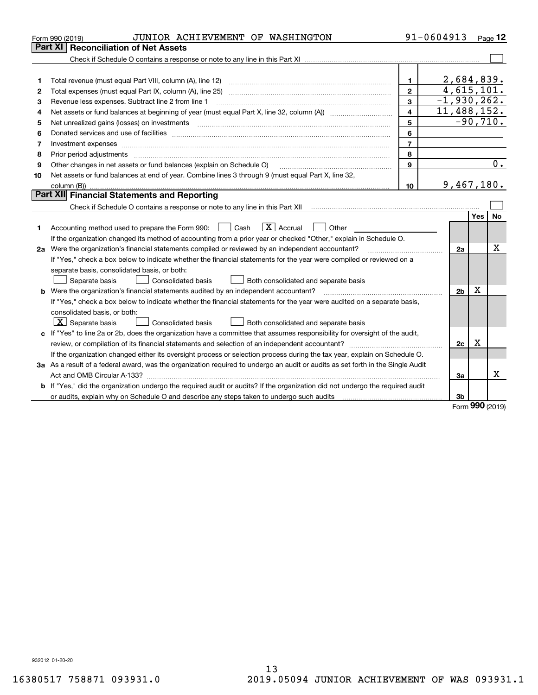|    | JUNIOR ACHIEVEMENT OF WASHINGTON<br>Form 990 (2019)                                                                                                                                                                            |                | 91-0604913     |             | Page $12$  |
|----|--------------------------------------------------------------------------------------------------------------------------------------------------------------------------------------------------------------------------------|----------------|----------------|-------------|------------|
|    | Part XI   Reconciliation of Net Assets                                                                                                                                                                                         |                |                |             |            |
|    |                                                                                                                                                                                                                                |                |                |             |            |
|    |                                                                                                                                                                                                                                |                |                |             |            |
| 1  |                                                                                                                                                                                                                                | $\mathbf{1}$   | 2,684,839.     |             |            |
| 2  |                                                                                                                                                                                                                                | $\mathbf{2}$   | 4,615,101.     |             |            |
| з  | Revenue less expenses. Subtract line 2 from line 1                                                                                                                                                                             | 3              | $-1,930,262.$  |             |            |
| 4  |                                                                                                                                                                                                                                | 4              | 11,488,152.    |             |            |
| 5  |                                                                                                                                                                                                                                | 5              |                |             | $-90,710.$ |
| 6  |                                                                                                                                                                                                                                | 6              |                |             |            |
| 7  | Investment expenses www.communication.com/www.communication.com/www.communication.com/www.communication.com                                                                                                                    | $\overline{7}$ |                |             |            |
| 8  | Prior period adjustments material contents and content of the content of the content of the content of the content of the content of the content of the content of the content of the content of the content of the content of | 8              |                |             |            |
| 9  | Other changes in net assets or fund balances (explain on Schedule O)                                                                                                                                                           | 9              |                |             | 0.         |
| 10 | Net assets or fund balances at end of year. Combine lines 3 through 9 (must equal Part X, line 32,                                                                                                                             |                |                |             |            |
|    |                                                                                                                                                                                                                                | 10             | 9,467,180.     |             |            |
|    | <b>Part XII</b> Financial Statements and Reporting                                                                                                                                                                             |                |                |             |            |
|    |                                                                                                                                                                                                                                |                |                |             |            |
|    |                                                                                                                                                                                                                                |                |                | Yes         | No         |
| 1  | $\boxed{\mathbf{X}}$ Accrual<br>Accounting method used to prepare the Form 990: <u>[</u> Cash<br>Other                                                                                                                         |                |                |             |            |
|    | If the organization changed its method of accounting from a prior year or checked "Other," explain in Schedule O.                                                                                                              |                |                |             |            |
|    | 2a Were the organization's financial statements compiled or reviewed by an independent accountant?                                                                                                                             |                | 2a             |             | х          |
|    | If "Yes," check a box below to indicate whether the financial statements for the year were compiled or reviewed on a                                                                                                           |                |                |             |            |
|    | separate basis, consolidated basis, or both:                                                                                                                                                                                   |                |                |             |            |
|    | Separate basis<br><b>Consolidated basis</b><br>Both consolidated and separate basis                                                                                                                                            |                |                |             |            |
|    | <b>b</b> Were the organization's financial statements audited by an independent accountant?                                                                                                                                    |                | 2 <sub>b</sub> | $\mathbf X$ |            |
|    | If "Yes," check a box below to indicate whether the financial statements for the year were audited on a separate basis,                                                                                                        |                |                |             |            |
|    | consolidated basis, or both:                                                                                                                                                                                                   |                |                |             |            |
|    | $X$ Separate basis<br><b>Consolidated basis</b><br>Both consolidated and separate basis                                                                                                                                        |                |                |             |            |
|    | c If "Yes" to line 2a or 2b, does the organization have a committee that assumes responsibility for oversight of the audit,                                                                                                    |                |                |             |            |
|    |                                                                                                                                                                                                                                |                | 2c             | х           |            |
|    | If the organization changed either its oversight process or selection process during the tax year, explain on Schedule O.                                                                                                      |                |                |             |            |
|    | 3a As a result of a federal award, was the organization required to undergo an audit or audits as set forth in the Single Audit                                                                                                |                |                |             |            |
|    |                                                                                                                                                                                                                                |                | 3a             |             | x          |
| b  | If "Yes," did the organization undergo the required audit or audits? If the organization did not undergo the required audit                                                                                                    |                |                |             |            |
|    |                                                                                                                                                                                                                                |                | 3b             | nnn         |            |

Form (2019) **990**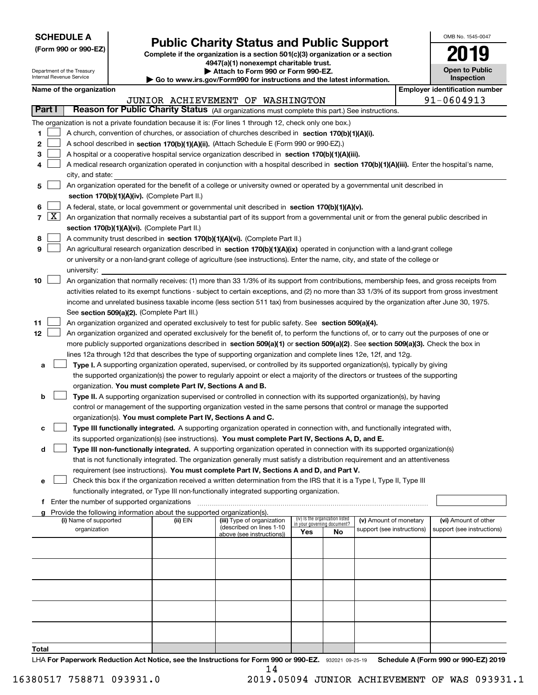| <b>SCHEDULE A</b> |
|-------------------|
|-------------------|

Department of the Treasury Internal Revenue Service

**(Form 990 or 990-EZ)**

# **Public Charity Status and Public Support**

**Complete if the organization is a section 501(c)(3) organization or a section 4947(a)(1) nonexempt charitable trust. | Attach to Form 990 or Form 990-EZ.** 

| ▶ Go to www.irs.gov/Form990 for instructions and the latest information. |  |  |  |  |
|--------------------------------------------------------------------------|--|--|--|--|

| OMB No 1545-0047                    |
|-------------------------------------|
| 2019                                |
| <b>Open to Public</b><br>Inspection |

|        |            | Name of the organization                                                                                                                      |          |                                                        |                             |                                 |                            |  | <b>Employer identification number</b> |  |
|--------|------------|-----------------------------------------------------------------------------------------------------------------------------------------------|----------|--------------------------------------------------------|-----------------------------|---------------------------------|----------------------------|--|---------------------------------------|--|
|        |            |                                                                                                                                               |          | JUNIOR ACHIEVEMENT OF WASHINGTON                       |                             |                                 |                            |  | 91-0604913                            |  |
| Part I |            | Reason for Public Charity Status (All organizations must complete this part.) See instructions.                                               |          |                                                        |                             |                                 |                            |  |                                       |  |
|        |            | The organization is not a private foundation because it is: (For lines 1 through 12, check only one box.)                                     |          |                                                        |                             |                                 |                            |  |                                       |  |
| 1      |            | A church, convention of churches, or association of churches described in section 170(b)(1)(A)(i).                                            |          |                                                        |                             |                                 |                            |  |                                       |  |
| 2      |            | A school described in section 170(b)(1)(A)(ii). (Attach Schedule E (Form 990 or 990-EZ).)                                                     |          |                                                        |                             |                                 |                            |  |                                       |  |
| 3      |            | A hospital or a cooperative hospital service organization described in section $170(b)(1)(A)(iii)$ .                                          |          |                                                        |                             |                                 |                            |  |                                       |  |
| 4      |            | A medical research organization operated in conjunction with a hospital described in section 170(b)(1)(A)(iii). Enter the hospital's name,    |          |                                                        |                             |                                 |                            |  |                                       |  |
|        |            | city, and state:                                                                                                                              |          |                                                        |                             |                                 |                            |  |                                       |  |
| 5      |            | An organization operated for the benefit of a college or university owned or operated by a governmental unit described in                     |          |                                                        |                             |                                 |                            |  |                                       |  |
|        |            | section 170(b)(1)(A)(iv). (Complete Part II.)                                                                                                 |          |                                                        |                             |                                 |                            |  |                                       |  |
| 6      |            | A federal, state, or local government or governmental unit described in section 170(b)(1)(A)(v).                                              |          |                                                        |                             |                                 |                            |  |                                       |  |
|        | $7 \times$ | An organization that normally receives a substantial part of its support from a governmental unit or from the general public described in     |          |                                                        |                             |                                 |                            |  |                                       |  |
|        |            | section 170(b)(1)(A)(vi). (Complete Part II.)                                                                                                 |          |                                                        |                             |                                 |                            |  |                                       |  |
| 8      |            | A community trust described in section 170(b)(1)(A)(vi). (Complete Part II.)                                                                  |          |                                                        |                             |                                 |                            |  |                                       |  |
| 9      |            | An agricultural research organization described in section 170(b)(1)(A)(ix) operated in conjunction with a land-grant college                 |          |                                                        |                             |                                 |                            |  |                                       |  |
|        |            | or university or a non-land-grant college of agriculture (see instructions). Enter the name, city, and state of the college or                |          |                                                        |                             |                                 |                            |  |                                       |  |
|        |            | university:                                                                                                                                   |          |                                                        |                             |                                 |                            |  |                                       |  |
| 10     |            | An organization that normally receives: (1) more than 33 1/3% of its support from contributions, membership fees, and gross receipts from     |          |                                                        |                             |                                 |                            |  |                                       |  |
|        |            | activities related to its exempt functions - subject to certain exceptions, and (2) no more than 33 1/3% of its support from gross investment |          |                                                        |                             |                                 |                            |  |                                       |  |
|        |            | income and unrelated business taxable income (less section 511 tax) from businesses acquired by the organization after June 30, 1975.         |          |                                                        |                             |                                 |                            |  |                                       |  |
|        |            | See section 509(a)(2). (Complete Part III.)                                                                                                   |          |                                                        |                             |                                 |                            |  |                                       |  |
| 11     |            | An organization organized and operated exclusively to test for public safety. See section 509(a)(4).                                          |          |                                                        |                             |                                 |                            |  |                                       |  |
| 12     |            | An organization organized and operated exclusively for the benefit of, to perform the functions of, or to carry out the purposes of one or    |          |                                                        |                             |                                 |                            |  |                                       |  |
|        |            | more publicly supported organizations described in section 509(a)(1) or section 509(a)(2). See section 509(a)(3). Check the box in            |          |                                                        |                             |                                 |                            |  |                                       |  |
|        |            | lines 12a through 12d that describes the type of supporting organization and complete lines 12e, 12f, and 12g.                                |          |                                                        |                             |                                 |                            |  |                                       |  |
| а      |            | Type I. A supporting organization operated, supervised, or controlled by its supported organization(s), typically by giving                   |          |                                                        |                             |                                 |                            |  |                                       |  |
|        |            | the supported organization(s) the power to regularly appoint or elect a majority of the directors or trustees of the supporting               |          |                                                        |                             |                                 |                            |  |                                       |  |
|        |            | organization. You must complete Part IV, Sections A and B.                                                                                    |          |                                                        |                             |                                 |                            |  |                                       |  |
| b      |            | Type II. A supporting organization supervised or controlled in connection with its supported organization(s), by having                       |          |                                                        |                             |                                 |                            |  |                                       |  |
|        |            | control or management of the supporting organization vested in the same persons that control or manage the supported                          |          |                                                        |                             |                                 |                            |  |                                       |  |
|        |            | organization(s). You must complete Part IV, Sections A and C.                                                                                 |          |                                                        |                             |                                 |                            |  |                                       |  |
| с      |            | Type III functionally integrated. A supporting organization operated in connection with, and functionally integrated with,                    |          |                                                        |                             |                                 |                            |  |                                       |  |
|        |            | its supported organization(s) (see instructions). You must complete Part IV, Sections A, D, and E.                                            |          |                                                        |                             |                                 |                            |  |                                       |  |
| d      |            | Type III non-functionally integrated. A supporting organization operated in connection with its supported organization(s)                     |          |                                                        |                             |                                 |                            |  |                                       |  |
|        |            | that is not functionally integrated. The organization generally must satisfy a distribution requirement and an attentiveness                  |          |                                                        |                             |                                 |                            |  |                                       |  |
|        |            | requirement (see instructions). You must complete Part IV, Sections A and D, and Part V.                                                      |          |                                                        |                             |                                 |                            |  |                                       |  |
|        |            | Check this box if the organization received a written determination from the IRS that it is a Type I, Type II, Type III                       |          |                                                        |                             |                                 |                            |  |                                       |  |
|        |            | functionally integrated, or Type III non-functionally integrated supporting organization.                                                     |          |                                                        |                             |                                 |                            |  |                                       |  |
|        |            | f Enter the number of supported organizations                                                                                                 |          |                                                        |                             |                                 |                            |  |                                       |  |
|        |            | g Provide the following information about the supported organization(s).                                                                      |          |                                                        |                             |                                 |                            |  |                                       |  |
|        |            | (i) Name of supported                                                                                                                         | (ii) EIN | (iii) Type of organization<br>(described on lines 1-10 | in your governing document? | (iv) Is the organization listed | (v) Amount of monetary     |  | (vi) Amount of other                  |  |
|        |            | organization                                                                                                                                  |          | above (see instructions))                              | Yes                         | No                              | support (see instructions) |  | support (see instructions)            |  |
|        |            |                                                                                                                                               |          |                                                        |                             |                                 |                            |  |                                       |  |
|        |            |                                                                                                                                               |          |                                                        |                             |                                 |                            |  |                                       |  |
|        |            |                                                                                                                                               |          |                                                        |                             |                                 |                            |  |                                       |  |
|        |            |                                                                                                                                               |          |                                                        |                             |                                 |                            |  |                                       |  |
|        |            |                                                                                                                                               |          |                                                        |                             |                                 |                            |  |                                       |  |
|        |            |                                                                                                                                               |          |                                                        |                             |                                 |                            |  |                                       |  |
|        |            |                                                                                                                                               |          |                                                        |                             |                                 |                            |  |                                       |  |
|        |            |                                                                                                                                               |          |                                                        |                             |                                 |                            |  |                                       |  |
|        |            |                                                                                                                                               |          |                                                        |                             |                                 |                            |  |                                       |  |
|        |            |                                                                                                                                               |          |                                                        |                             |                                 |                            |  |                                       |  |
| Total  |            |                                                                                                                                               |          |                                                        |                             |                                 |                            |  |                                       |  |

LHA For Paperwork Reduction Act Notice, see the Instructions for Form 990 or 990-EZ. 932021 09-25-19 Schedule A (Form 990 or 990-EZ) 2019 14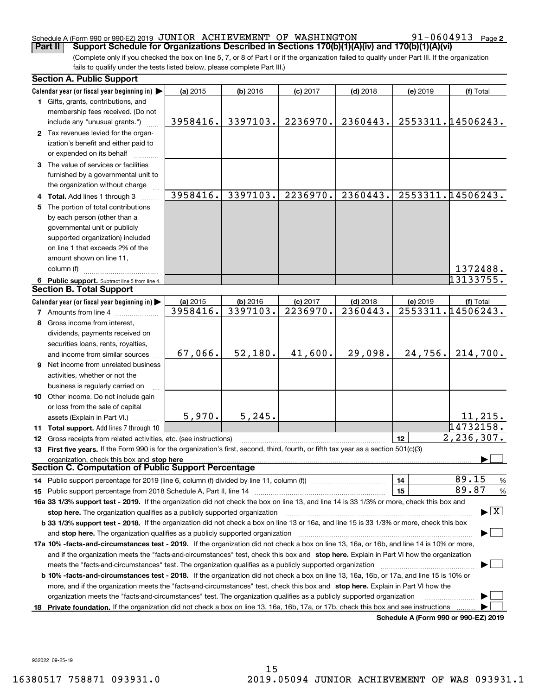#### Schedule A (Form 990 or 990-EZ) 2019  $\,$  JUNIOR  $\,$  ACHIEVEMENT OF WASHINGTON  $\,$   $\,$  91-0604913  $\,$  Page

(Complete only if you checked the box on line 5, 7, or 8 of Part I or if the organization failed to qualify under Part III. If the organization fails to qualify under the tests listed below, please complete Part III.) **Part II Support Schedule for Organizations Described in Sections 170(b)(1)(A)(iv) and 170(b)(1)(A)(vi)** 

| <b>Section A. Public Support</b>                                                                                                               |          |            |            |            |                                      |                                         |
|------------------------------------------------------------------------------------------------------------------------------------------------|----------|------------|------------|------------|--------------------------------------|-----------------------------------------|
| Calendar year (or fiscal year beginning in)                                                                                                    | (a) 2015 | $(b)$ 2016 | $(c)$ 2017 | $(d)$ 2018 | (e) 2019                             | (f) Total                               |
| 1 Gifts, grants, contributions, and                                                                                                            |          |            |            |            |                                      |                                         |
| membership fees received. (Do not                                                                                                              |          |            |            |            |                                      |                                         |
| include any "unusual grants.")                                                                                                                 | 3958416. | 3397103.   | 2236970.   | 2360443.   |                                      | 2553311.14506243.                       |
| 2 Tax revenues levied for the organ-                                                                                                           |          |            |            |            |                                      |                                         |
| ization's benefit and either paid to                                                                                                           |          |            |            |            |                                      |                                         |
| or expended on its behalf                                                                                                                      |          |            |            |            |                                      |                                         |
| 3 The value of services or facilities                                                                                                          |          |            |            |            |                                      |                                         |
| furnished by a governmental unit to                                                                                                            |          |            |            |            |                                      |                                         |
| the organization without charge                                                                                                                |          |            |            |            |                                      |                                         |
| 4 Total. Add lines 1 through 3                                                                                                                 | 3958416. | 3397103.   | 2236970.   | 2360443.   |                                      | 2553311.14506243.                       |
| 5 The portion of total contributions                                                                                                           |          |            |            |            |                                      |                                         |
| by each person (other than a                                                                                                                   |          |            |            |            |                                      |                                         |
| governmental unit or publicly                                                                                                                  |          |            |            |            |                                      |                                         |
| supported organization) included                                                                                                               |          |            |            |            |                                      |                                         |
| on line 1 that exceeds 2% of the                                                                                                               |          |            |            |            |                                      |                                         |
| amount shown on line 11,                                                                                                                       |          |            |            |            |                                      |                                         |
| column (f)                                                                                                                                     |          |            |            |            |                                      | 1372488.                                |
| 6 Public support. Subtract line 5 from line 4.                                                                                                 |          |            |            |            |                                      | 13133755.                               |
| <b>Section B. Total Support</b>                                                                                                                |          |            |            |            |                                      |                                         |
| Calendar year (or fiscal year beginning in)                                                                                                    | (a) 2015 | (b) 2016   | $(c)$ 2017 | $(d)$ 2018 | (e) 2019                             | (f) Total                               |
| <b>7</b> Amounts from line 4                                                                                                                   | 3958416. | 3397103.   | 2236970.   | 2360443.   |                                      | 2553311.14506243.                       |
| 8 Gross income from interest,                                                                                                                  |          |            |            |            |                                      |                                         |
| dividends, payments received on                                                                                                                |          |            |            |            |                                      |                                         |
| securities loans, rents, royalties,                                                                                                            |          |            |            |            |                                      |                                         |
| and income from similar sources                                                                                                                | 67,066.  | 52,180.    | 41,600.    | 29,098.    | 24,756.                              | 214,700.                                |
| 9 Net income from unrelated business                                                                                                           |          |            |            |            |                                      |                                         |
| activities, whether or not the                                                                                                                 |          |            |            |            |                                      |                                         |
| business is regularly carried on                                                                                                               |          |            |            |            |                                      |                                         |
| 10 Other income. Do not include gain                                                                                                           |          |            |            |            |                                      |                                         |
| or loss from the sale of capital                                                                                                               |          |            |            |            |                                      |                                         |
| assets (Explain in Part VI.) <b>Constant</b>                                                                                                   | 5,970.   | 5, 245.    |            |            |                                      | 11,215.                                 |
| 11 Total support. Add lines 7 through 10                                                                                                       |          |            |            |            |                                      | 14732158.                               |
| <b>12</b> Gross receipts from related activities, etc. (see instructions)                                                                      |          |            |            |            | 12                                   | 2,236,307.                              |
| 13 First five years. If the Form 990 is for the organization's first, second, third, fourth, or fifth tax year as a section 501(c)(3)          |          |            |            |            |                                      |                                         |
| organization, check this box and stop here                                                                                                     |          |            |            |            |                                      |                                         |
| Section C. Computation of Public Support Percentage                                                                                            |          |            |            |            |                                      |                                         |
| 14 Public support percentage for 2019 (line 6, column (f) divided by line 11, column (f) <i>manumeronominimi</i> ng.                           |          |            |            |            | 14                                   | 89.15<br>$\frac{9}{6}$                  |
|                                                                                                                                                |          |            |            |            | 15                                   | 89.87<br>%                              |
| 16a 33 1/3% support test - 2019. If the organization did not check the box on line 13, and line 14 is 33 1/3% or more, check this box and      |          |            |            |            |                                      |                                         |
| stop here. The organization qualifies as a publicly supported organization                                                                     |          |            |            |            |                                      | $\blacktriangleright$ $\vert$ X $\vert$ |
| b 33 1/3% support test - 2018. If the organization did not check a box on line 13 or 16a, and line 15 is 33 1/3% or more, check this box       |          |            |            |            |                                      |                                         |
| and stop here. The organization qualifies as a publicly supported organization                                                                 |          |            |            |            |                                      |                                         |
| 17a 10% -facts-and-circumstances test - 2019. If the organization did not check a box on line 13, 16a, or 16b, and line 14 is 10% or more,     |          |            |            |            |                                      |                                         |
| and if the organization meets the "facts-and-circumstances" test, check this box and stop here. Explain in Part VI how the organization        |          |            |            |            |                                      |                                         |
| meets the "facts-and-circumstances" test. The organization qualifies as a publicly supported organization <i>marroummumumumum</i>              |          |            |            |            |                                      |                                         |
| <b>b 10% -facts-and-circumstances test - 2018.</b> If the organization did not check a box on line 13, 16a, 16b, or 17a, and line 15 is 10% or |          |            |            |            |                                      |                                         |
| more, and if the organization meets the "facts-and-circumstances" test, check this box and stop here. Explain in Part VI how the               |          |            |            |            |                                      |                                         |
| organization meets the "facts-and-circumstances" test. The organization qualifies as a publicly supported organization                         |          |            |            |            |                                      |                                         |
| 18 Private foundation. If the organization did not check a box on line 13, 16a, 16b, 17a, or 17b, check this box and see instructions          |          |            |            |            |                                      |                                         |
|                                                                                                                                                |          |            |            |            | Schedule A (Form 990 or 990-EZ) 2019 |                                         |

**Schedule A (Form 990 or 990-EZ) 2019**

932022 09-25-19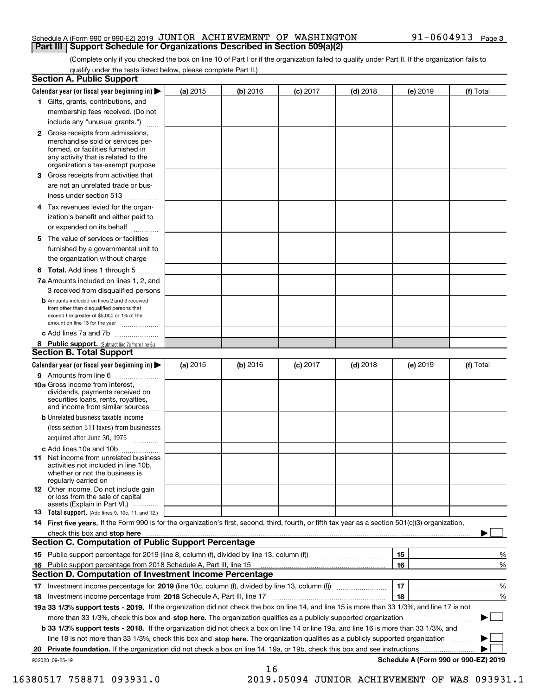#### Schedule A (Form 990 or 990-EZ) 2019  $\,$  JUNIOR  $\,$  ACHIEVEMENT OF WASHINGTON  $\,$   $\,$  91-0604913  $\,$  Page **Part III Support Schedule for Organizations Described in Section 509(a)(2)**

(Complete only if you checked the box on line 10 of Part I or if the organization failed to qualify under Part II. If the organization fails to qualify under the tests listed below, please complete Part II.)

| <b>Section A. Public Support</b>                                                                                                                                                                                         |            |          |            |            |          |                                      |
|--------------------------------------------------------------------------------------------------------------------------------------------------------------------------------------------------------------------------|------------|----------|------------|------------|----------|--------------------------------------|
| Calendar year (or fiscal year beginning in) $\blacktriangleright$                                                                                                                                                        | (a) 2015   | (b) 2016 | $(c)$ 2017 | $(d)$ 2018 | (e) 2019 | (f) Total                            |
| 1 Gifts, grants, contributions, and                                                                                                                                                                                      |            |          |            |            |          |                                      |
| membership fees received. (Do not                                                                                                                                                                                        |            |          |            |            |          |                                      |
| include any "unusual grants.")                                                                                                                                                                                           |            |          |            |            |          |                                      |
| 2 Gross receipts from admissions,<br>merchandise sold or services per-<br>formed, or facilities furnished in<br>any activity that is related to the<br>organization's tax-exempt purpose                                 |            |          |            |            |          |                                      |
| 3 Gross receipts from activities that<br>are not an unrelated trade or bus-                                                                                                                                              |            |          |            |            |          |                                      |
| iness under section 513                                                                                                                                                                                                  |            |          |            |            |          |                                      |
| 4 Tax revenues levied for the organ-<br>ization's benefit and either paid to                                                                                                                                             |            |          |            |            |          |                                      |
| or expended on its behalf<br>.                                                                                                                                                                                           |            |          |            |            |          |                                      |
| 5 The value of services or facilities<br>furnished by a governmental unit to<br>the organization without charge                                                                                                          |            |          |            |            |          |                                      |
| <b>6 Total.</b> Add lines 1 through 5                                                                                                                                                                                    |            |          |            |            |          |                                      |
| 7a Amounts included on lines 1, 2, and                                                                                                                                                                                   |            |          |            |            |          |                                      |
| 3 received from disqualified persons<br><b>b</b> Amounts included on lines 2 and 3 received<br>from other than disqualified persons that<br>exceed the greater of \$5,000 or 1% of the<br>amount on line 13 for the year |            |          |            |            |          |                                      |
| c Add lines 7a and 7b                                                                                                                                                                                                    |            |          |            |            |          |                                      |
| 8 Public support. (Subtract line 7c from line 6.)                                                                                                                                                                        |            |          |            |            |          |                                      |
| <b>Section B. Total Support</b>                                                                                                                                                                                          |            |          |            |            |          |                                      |
| Calendar year (or fiscal year beginning in)                                                                                                                                                                              | (a) $2015$ | (b) 2016 | $(c)$ 2017 | $(d)$ 2018 | (e) 2019 | (f) Total                            |
| 9 Amounts from line 6                                                                                                                                                                                                    |            |          |            |            |          |                                      |
| 10a Gross income from interest,<br>dividends, payments received on<br>securities loans, rents, royalties,<br>and income from similar sources                                                                             |            |          |            |            |          |                                      |
| <b>b</b> Unrelated business taxable income<br>(less section 511 taxes) from businesses<br>acquired after June 30, 1975                                                                                                   |            |          |            |            |          |                                      |
| c Add lines 10a and 10b                                                                                                                                                                                                  |            |          |            |            |          |                                      |
| <b>11</b> Net income from unrelated business<br>activities not included in line 10b,<br>whether or not the business is<br>regularly carried on                                                                           |            |          |            |            |          |                                      |
| <b>12</b> Other income. Do not include gain<br>or loss from the sale of capital<br>assets (Explain in Part VI.)                                                                                                          |            |          |            |            |          |                                      |
| <b>13 Total support.</b> (Add lines 9, 10c, 11, and 12.)                                                                                                                                                                 |            |          |            |            |          |                                      |
| 14 First five years. If the Form 990 is for the organization's first, second, third, fourth, or fifth tax year as a section 501(c)(3) organization,                                                                      |            |          |            |            |          |                                      |
| check this box and stop here measurements and stop here are constructed and the measurement of the state of the                                                                                                          |            |          |            |            |          |                                      |
| <b>Section C. Computation of Public Support Percentage</b>                                                                                                                                                               |            |          |            |            |          |                                      |
| 15 Public support percentage for 2019 (line 8, column (f), divided by line 13, column (f))                                                                                                                               |            |          |            |            | 15       | %                                    |
| 16 Public support percentage from 2018 Schedule A, Part III, line 15                                                                                                                                                     |            |          |            |            | 16       | %                                    |
| <b>Section D. Computation of Investment Income Percentage</b>                                                                                                                                                            |            |          |            |            |          |                                      |
| 17 Investment income percentage for 2019 (line 10c, column (f), divided by line 13, column (f))                                                                                                                          |            |          |            |            | 17       | %                                    |
| 18 Investment income percentage from 2018 Schedule A, Part III, line 17                                                                                                                                                  |            |          |            |            | 18       | %                                    |
| 19a 33 1/3% support tests - 2019. If the organization did not check the box on line 14, and line 15 is more than 33 1/3%, and line 17 is not                                                                             |            |          |            |            |          |                                      |
| more than 33 1/3%, check this box and stop here. The organization qualifies as a publicly supported organization                                                                                                         |            |          |            |            |          | ▶                                    |
| b 33 1/3% support tests - 2018. If the organization did not check a box on line 14 or line 19a, and line 16 is more than 33 1/3%, and                                                                                    |            |          |            |            |          |                                      |
| line 18 is not more than 33 1/3%, check this box and stop here. The organization qualifies as a publicly supported organization                                                                                          |            |          |            |            |          |                                      |
| 20 Private foundation. If the organization did not check a box on line 14, 19a, or 19b, check this box and see instructions                                                                                              |            |          |            |            |          |                                      |
| 932023 09-25-19                                                                                                                                                                                                          |            | 16       |            |            |          | Schedule A (Form 990 or 990-EZ) 2019 |

16380517 758871 093931.0 2019.05094 JUNIOR ACHIEVEMENT OF WAS 093931.1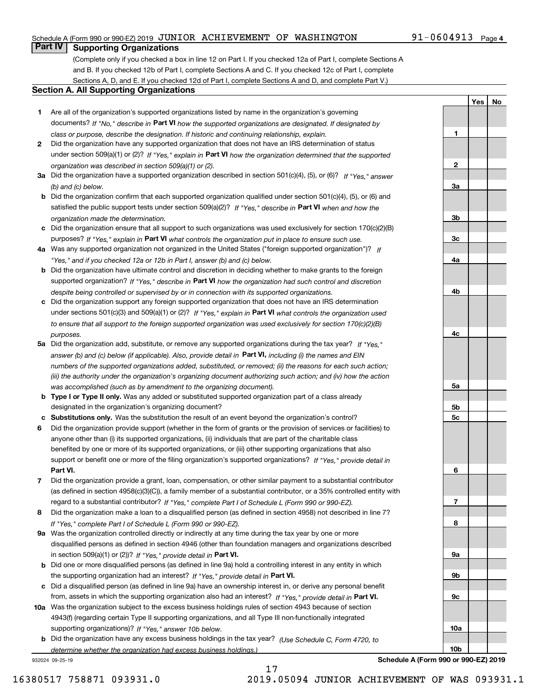#### Schedule A (Form 990 or 990-EZ) 2019  $\,$  JUNIOR  $\,$  ACHIEVEMENT OF WASHINGTON  $\,$   $\,$  91-0604913  $\,$  Page

### **Part IV Supporting Organizations**

(Complete only if you checked a box in line 12 on Part I. If you checked 12a of Part I, complete Sections A and B. If you checked 12b of Part I, complete Sections A and C. If you checked 12c of Part I, complete Sections A, D, and E. If you checked 12d of Part I, complete Sections A and D, and complete Part V.)

#### **Section A. All Supporting Organizations**

- **1** Are all of the organization's supported organizations listed by name in the organization's governing documents? If "No," describe in **Part VI** how the supported organizations are designated. If designated by *class or purpose, describe the designation. If historic and continuing relationship, explain.*
- **2** Did the organization have any supported organization that does not have an IRS determination of status under section 509(a)(1) or (2)? If "Yes," explain in Part VI how the organization determined that the supported *organization was described in section 509(a)(1) or (2).*
- **3a** Did the organization have a supported organization described in section 501(c)(4), (5), or (6)? If "Yes," answer *(b) and (c) below.*
- **b** Did the organization confirm that each supported organization qualified under section 501(c)(4), (5), or (6) and satisfied the public support tests under section 509(a)(2)? If "Yes," describe in **Part VI** when and how the *organization made the determination.*
- **c**Did the organization ensure that all support to such organizations was used exclusively for section 170(c)(2)(B) purposes? If "Yes," explain in **Part VI** what controls the organization put in place to ensure such use.
- **4a***If* Was any supported organization not organized in the United States ("foreign supported organization")? *"Yes," and if you checked 12a or 12b in Part I, answer (b) and (c) below.*
- **b** Did the organization have ultimate control and discretion in deciding whether to make grants to the foreign supported organization? If "Yes," describe in **Part VI** how the organization had such control and discretion *despite being controlled or supervised by or in connection with its supported organizations.*
- **c** Did the organization support any foreign supported organization that does not have an IRS determination under sections 501(c)(3) and 509(a)(1) or (2)? If "Yes," explain in **Part VI** what controls the organization used *to ensure that all support to the foreign supported organization was used exclusively for section 170(c)(2)(B) purposes.*
- **5a** Did the organization add, substitute, or remove any supported organizations during the tax year? If "Yes," answer (b) and (c) below (if applicable). Also, provide detail in **Part VI,** including (i) the names and EIN *numbers of the supported organizations added, substituted, or removed; (ii) the reasons for each such action; (iii) the authority under the organization's organizing document authorizing such action; and (iv) how the action was accomplished (such as by amendment to the organizing document).*
- **b** Type I or Type II only. Was any added or substituted supported organization part of a class already designated in the organization's organizing document?
- **cSubstitutions only.**  Was the substitution the result of an event beyond the organization's control?
- **6** Did the organization provide support (whether in the form of grants or the provision of services or facilities) to **Part VI.** *If "Yes," provide detail in* support or benefit one or more of the filing organization's supported organizations? anyone other than (i) its supported organizations, (ii) individuals that are part of the charitable class benefited by one or more of its supported organizations, or (iii) other supporting organizations that also
- **7**Did the organization provide a grant, loan, compensation, or other similar payment to a substantial contributor *If "Yes," complete Part I of Schedule L (Form 990 or 990-EZ).* regard to a substantial contributor? (as defined in section 4958(c)(3)(C)), a family member of a substantial contributor, or a 35% controlled entity with
- **8** Did the organization make a loan to a disqualified person (as defined in section 4958) not described in line 7? *If "Yes," complete Part I of Schedule L (Form 990 or 990-EZ).*
- **9a** Was the organization controlled directly or indirectly at any time during the tax year by one or more in section 509(a)(1) or (2))? If "Yes," *provide detail in* <code>Part VI.</code> disqualified persons as defined in section 4946 (other than foundation managers and organizations described
- **b** Did one or more disqualified persons (as defined in line 9a) hold a controlling interest in any entity in which the supporting organization had an interest? If "Yes," provide detail in P**art VI**.
- **c**Did a disqualified person (as defined in line 9a) have an ownership interest in, or derive any personal benefit from, assets in which the supporting organization also had an interest? If "Yes," provide detail in P**art VI.**
- **10a** Was the organization subject to the excess business holdings rules of section 4943 because of section supporting organizations)? If "Yes," answer 10b below. 4943(f) (regarding certain Type II supporting organizations, and all Type III non-functionally integrated
- **b** Did the organization have any excess business holdings in the tax year? (Use Schedule C, Form 4720, to *determine whether the organization had excess business holdings.)*

932024 09-25-19

**10b**

**Schedule A (Form 990 or 990-EZ) 2019**

**YesNo**

**1**

**2**

**3a**

**3b**

**3c**

**4a**

**4b**

**4c**

**5a**

**5b5c**

**6**

**7**

**8**

**9a**

**9b**

**9c**

**10a**

17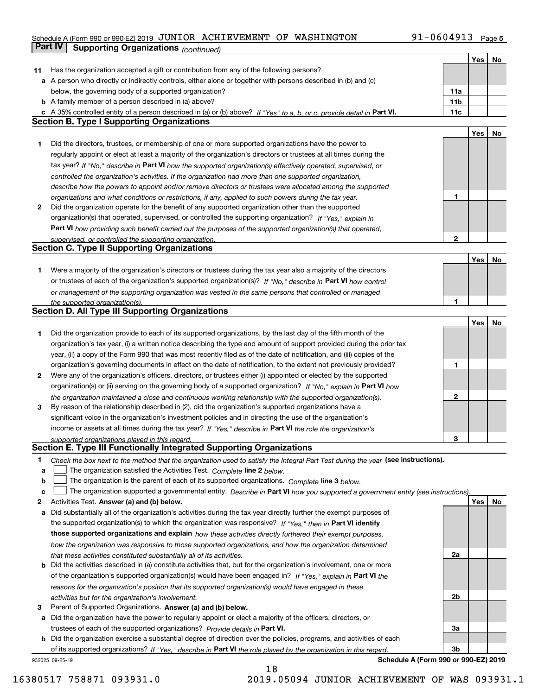#### Schedule A (Form 990 or 990-EZ) 2019  $\,$  JUNIOR  $\,$  ACHIEVEMENT OF WASHINGTON  $\,$   $\,$  91-0604913  $\,$  Page

|    | Part IV<br><b>Supporting Organizations (continued)</b>                                                                                                                                                        |              |     |    |
|----|---------------------------------------------------------------------------------------------------------------------------------------------------------------------------------------------------------------|--------------|-----|----|
|    |                                                                                                                                                                                                               |              | Yes | No |
| 11 | Has the organization accepted a gift or contribution from any of the following persons?                                                                                                                       |              |     |    |
|    | a A person who directly or indirectly controls, either alone or together with persons described in (b) and (c)                                                                                                |              |     |    |
|    | below, the governing body of a supported organization?                                                                                                                                                        | 11a          |     |    |
|    | <b>b</b> A family member of a person described in (a) above?                                                                                                                                                  | 11b          |     |    |
|    | c A 35% controlled entity of a person described in (a) or (b) above? If "Yes" to a, b, or c, provide detail in Part VI.                                                                                       | 11c          |     |    |
|    | <b>Section B. Type I Supporting Organizations</b>                                                                                                                                                             |              |     |    |
|    |                                                                                                                                                                                                               |              | Yes | No |
| 1  | Did the directors, trustees, or membership of one or more supported organizations have the power to                                                                                                           |              |     |    |
|    | regularly appoint or elect at least a majority of the organization's directors or trustees at all times during the                                                                                            |              |     |    |
|    | tax year? If "No," describe in Part VI how the supported organization(s) effectively operated, supervised, or                                                                                                 |              |     |    |
|    |                                                                                                                                                                                                               |              |     |    |
|    | controlled the organization's activities. If the organization had more than one supported organization,                                                                                                       |              |     |    |
|    | describe how the powers to appoint and/or remove directors or trustees were allocated among the supported                                                                                                     | 1            |     |    |
| 2  | organizations and what conditions or restrictions, if any, applied to such powers during the tax year.<br>Did the organization operate for the benefit of any supported organization other than the supported |              |     |    |
|    | organization(s) that operated, supervised, or controlled the supporting organization? If "Yes," explain in                                                                                                    |              |     |    |
|    |                                                                                                                                                                                                               |              |     |    |
|    | Part VI how providing such benefit carried out the purposes of the supported organization(s) that operated,                                                                                                   | $\mathbf{2}$ |     |    |
|    | supervised, or controlled the supporting organization.<br><b>Section C. Type II Supporting Organizations</b>                                                                                                  |              |     |    |
|    |                                                                                                                                                                                                               |              |     |    |
|    |                                                                                                                                                                                                               |              | Yes | No |
| 1  | Were a majority of the organization's directors or trustees during the tax year also a majority of the directors                                                                                              |              |     |    |
|    | or trustees of each of the organization's supported organization(s)? If "No." describe in Part VI how control                                                                                                 |              |     |    |
|    | or management of the supporting organization was vested in the same persons that controlled or managed                                                                                                        |              |     |    |
|    | the supported organization(s).<br><b>Section D. All Type III Supporting Organizations</b>                                                                                                                     | 1            |     |    |
|    |                                                                                                                                                                                                               |              |     |    |
|    |                                                                                                                                                                                                               |              | Yes | No |
| 1  | Did the organization provide to each of its supported organizations, by the last day of the fifth month of the                                                                                                |              |     |    |
|    | organization's tax year, (i) a written notice describing the type and amount of support provided during the prior tax                                                                                         |              |     |    |
|    | year, (ii) a copy of the Form 990 that was most recently filed as of the date of notification, and (iii) copies of the                                                                                        |              |     |    |
|    | organization's governing documents in effect on the date of notification, to the extent not previously provided?                                                                                              | 1            |     |    |
| 2  | Were any of the organization's officers, directors, or trustees either (i) appointed or elected by the supported                                                                                              |              |     |    |
|    | organization(s) or (ii) serving on the governing body of a supported organization? If "No," explain in Part VI how                                                                                            |              |     |    |
|    | the organization maintained a close and continuous working relationship with the supported organization(s).                                                                                                   | 2            |     |    |
| 3  | By reason of the relationship described in (2), did the organization's supported organizations have a                                                                                                         |              |     |    |
|    | significant voice in the organization's investment policies and in directing the use of the organization's                                                                                                    |              |     |    |
|    | income or assets at all times during the tax year? If "Yes," describe in Part VI the role the organization's                                                                                                  |              |     |    |
|    | supported organizations played in this regard.                                                                                                                                                                | З            |     |    |
|    | Section E. Type III Functionally Integrated Supporting Organizations                                                                                                                                          |              |     |    |
| 1  | Check the box next to the method that the organization used to satisfy the Integral Part Test during the year (see instructions).                                                                             |              |     |    |
| a  | The organization satisfied the Activities Test. Complete line 2 below.                                                                                                                                        |              |     |    |
| b  | The organization is the parent of each of its supported organizations. Complete line 3 below.                                                                                                                 |              |     |    |
| c  | The organization supported a governmental entity. Describe in Part VI how you supported a government entity (see instructions),                                                                               |              |     |    |
| 2  | Activities Test. Answer (a) and (b) below.                                                                                                                                                                    |              | Yes | No |
| а  | Did substantially all of the organization's activities during the tax year directly further the exempt purposes of                                                                                            |              |     |    |
|    | the supported organization(s) to which the organization was responsive? If "Yes," then in Part VI identify                                                                                                    |              |     |    |
|    | those supported organizations and explain how these activities directly furthered their exempt purposes,                                                                                                      |              |     |    |
|    | how the organization was responsive to those supported organizations, and how the organization determined                                                                                                     |              |     |    |
|    | that these activities constituted substantially all of its activities.                                                                                                                                        | 2a           |     |    |
|    | <b>b</b> Did the activities described in (a) constitute activities that, but for the organization's involvement, one or more                                                                                  |              |     |    |
|    | of the organization's supported organization(s) would have been engaged in? If "Yes," explain in Part VI the                                                                                                  |              |     |    |
|    | reasons for the organization's position that its supported organization(s) would have engaged in these                                                                                                        |              |     |    |
|    | activities but for the organization's involvement.                                                                                                                                                            | 2b           |     |    |
| 3  | Parent of Supported Organizations. Answer (a) and (b) below.                                                                                                                                                  |              |     |    |
|    | a Did the organization have the power to regularly appoint or elect a majority of the officers, directors, or                                                                                                 |              |     |    |
|    | trustees of each of the supported organizations? Provide details in Part VI.                                                                                                                                  | За           |     |    |
|    | <b>b</b> Did the organization exercise a substantial degree of direction over the policies, programs, and activities of each                                                                                  |              |     |    |
|    | of its supported organizations? If "Yes," describe in Part VI the role played by the organization in this regard.                                                                                             | Зb           |     |    |
|    | Schedule A (Form 990 or 990-EZ) 2019<br>932025 09-25-19                                                                                                                                                       |              |     |    |

18

**Schedule A (Form 990 or 990-EZ) 2019**

16380517 758871 093931.0 2019.05094 JUNIOR ACHIEVEMENT OF WAS 093931.1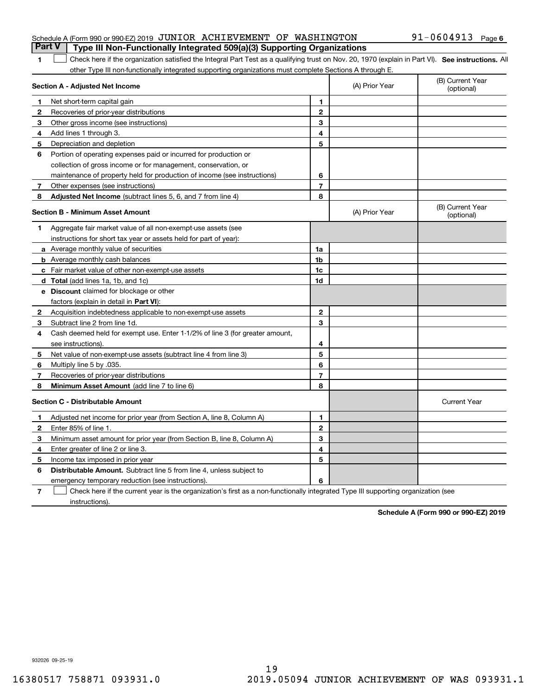#### Schedule A (Form 990 or 990-EZ) 2019  $\,$  JUNIOR  $\,$  ACHIEVEMENT OF WASHINGTON  $\,$   $\,$  91-0604913  $\,$  Page **Part V Type III Non-Functionally Integrated 509(a)(3) Supporting Organizations**

#### **6**

| □ Check here if the organization satisfied the Integral Part Test as a qualifying trust on Nov. 20, 1970 (explain in Part Ⅵ). See instructions. All |  |
|-----------------------------------------------------------------------------------------------------------------------------------------------------|--|
| other Type III non-functionally integrated supporting organizations must complete Sections A through E.                                             |  |

|   | Section A - Adjusted Net Income                                                                                                   |                | (A) Prior Year | (B) Current Year<br>(optional) |
|---|-----------------------------------------------------------------------------------------------------------------------------------|----------------|----------------|--------------------------------|
| 1 | Net short-term capital gain                                                                                                       | 1.             |                |                                |
| 2 | Recoveries of prior-year distributions                                                                                            | $\mathbf{2}$   |                |                                |
| 3 | Other gross income (see instructions)                                                                                             | 3              |                |                                |
| 4 | Add lines 1 through 3.                                                                                                            | 4              |                |                                |
| 5 | Depreciation and depletion                                                                                                        | 5              |                |                                |
| 6 | Portion of operating expenses paid or incurred for production or                                                                  |                |                |                                |
|   | collection of gross income or for management, conservation, or                                                                    |                |                |                                |
|   | maintenance of property held for production of income (see instructions)                                                          | 6              |                |                                |
| 7 | Other expenses (see instructions)                                                                                                 | $\overline{7}$ |                |                                |
| 8 | Adjusted Net Income (subtract lines 5, 6, and 7 from line 4)                                                                      | 8              |                |                                |
|   | <b>Section B - Minimum Asset Amount</b>                                                                                           |                | (A) Prior Year | (B) Current Year<br>(optional) |
| 1 | Aggregate fair market value of all non-exempt-use assets (see                                                                     |                |                |                                |
|   | instructions for short tax year or assets held for part of year):                                                                 |                |                |                                |
|   | <b>a</b> Average monthly value of securities                                                                                      | 1a             |                |                                |
|   | <b>b</b> Average monthly cash balances                                                                                            | 1 <sub>b</sub> |                |                                |
|   | c Fair market value of other non-exempt-use assets                                                                                | 1c             |                |                                |
|   | <b>d</b> Total (add lines 1a, 1b, and 1c)                                                                                         | 1d             |                |                                |
|   | <b>e</b> Discount claimed for blockage or other                                                                                   |                |                |                                |
|   | factors (explain in detail in Part VI):                                                                                           |                |                |                                |
| 2 | Acquisition indebtedness applicable to non-exempt-use assets                                                                      | $\mathbf{2}$   |                |                                |
| 3 | Subtract line 2 from line 1d.                                                                                                     | 3              |                |                                |
| 4 | Cash deemed held for exempt use. Enter 1-1/2% of line 3 (for greater amount,                                                      |                |                |                                |
|   | see instructions).                                                                                                                | 4              |                |                                |
| 5 | Net value of non-exempt-use assets (subtract line 4 from line 3)                                                                  | 5              |                |                                |
| 6 | Multiply line 5 by .035.                                                                                                          | 6              |                |                                |
| 7 | Recoveries of prior-year distributions                                                                                            | $\overline{7}$ |                |                                |
| 8 | <b>Minimum Asset Amount</b> (add line 7 to line 6)                                                                                | 8              |                |                                |
|   | <b>Section C - Distributable Amount</b>                                                                                           |                |                | <b>Current Year</b>            |
| 1 | Adjusted net income for prior year (from Section A, line 8, Column A)                                                             | 1              |                |                                |
| 2 | Enter 85% of line 1.                                                                                                              | $\overline{2}$ |                |                                |
| 3 | Minimum asset amount for prior year (from Section B, line 8, Column A)                                                            | 3              |                |                                |
| 4 | Enter greater of line 2 or line 3.                                                                                                | 4              |                |                                |
| 5 | Income tax imposed in prior year                                                                                                  | 5              |                |                                |
| 6 | <b>Distributable Amount.</b> Subtract line 5 from line 4, unless subject to                                                       |                |                |                                |
|   | emergency temporary reduction (see instructions).                                                                                 | 6              |                |                                |
| 7 | Check here if the current year is the organization's first as a non-functionally integrated Type III supporting organization (see |                |                |                                |

instructions).

**Schedule A (Form 990 or 990-EZ) 2019**

932026 09-25-19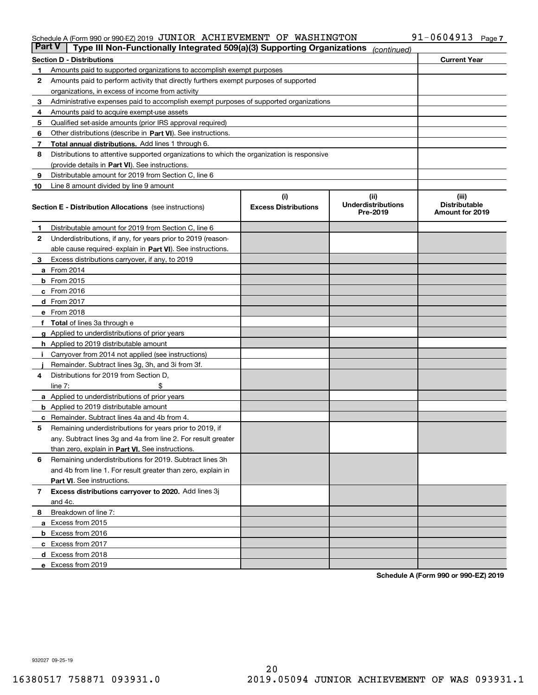#### Schedule A (Form 990 or 990-EZ) 2019 JUNIOR ACHIEVEMENT OF WASHINGTON YI-U6U4YI3 Page JUNIOR ACHIEVEMENT OF WASHINGTON 91-0604913

| <b>Part V</b> | Type III Non-Functionally Integrated 509(a)(3) Supporting Organizations                    |                             | (continued)                           |                                         |
|---------------|--------------------------------------------------------------------------------------------|-----------------------------|---------------------------------------|-----------------------------------------|
|               | <b>Section D - Distributions</b>                                                           |                             |                                       | <b>Current Year</b>                     |
| 1             | Amounts paid to supported organizations to accomplish exempt purposes                      |                             |                                       |                                         |
| 2             | Amounts paid to perform activity that directly furthers exempt purposes of supported       |                             |                                       |                                         |
|               | organizations, in excess of income from activity                                           |                             |                                       |                                         |
| 3             | Administrative expenses paid to accomplish exempt purposes of supported organizations      |                             |                                       |                                         |
| 4             | Amounts paid to acquire exempt-use assets                                                  |                             |                                       |                                         |
| 5             | Qualified set-aside amounts (prior IRS approval required)                                  |                             |                                       |                                         |
| 6             | Other distributions (describe in Part VI). See instructions.                               |                             |                                       |                                         |
| 7             | <b>Total annual distributions.</b> Add lines 1 through 6.                                  |                             |                                       |                                         |
| 8             | Distributions to attentive supported organizations to which the organization is responsive |                             |                                       |                                         |
|               | (provide details in Part VI). See instructions.                                            |                             |                                       |                                         |
| 9             | Distributable amount for 2019 from Section C, line 6                                       |                             |                                       |                                         |
| 10            | Line 8 amount divided by line 9 amount                                                     |                             |                                       |                                         |
|               |                                                                                            | (i)                         | (iii)                                 | (iii)                                   |
|               | <b>Section E - Distribution Allocations</b> (see instructions)                             | <b>Excess Distributions</b> | <b>Underdistributions</b><br>Pre-2019 | <b>Distributable</b><br>Amount for 2019 |
| 1             | Distributable amount for 2019 from Section C, line 6                                       |                             |                                       |                                         |
| 2             | Underdistributions, if any, for years prior to 2019 (reason-                               |                             |                                       |                                         |
|               | able cause required- explain in Part VI). See instructions.                                |                             |                                       |                                         |
| З             | Excess distributions carryover, if any, to 2019                                            |                             |                                       |                                         |
|               | <b>a</b> From 2014                                                                         |                             |                                       |                                         |
|               | <b>b</b> From 2015                                                                         |                             |                                       |                                         |
|               | $c$ From 2016                                                                              |                             |                                       |                                         |
|               | d From 2017                                                                                |                             |                                       |                                         |
|               | e From 2018                                                                                |                             |                                       |                                         |
|               | Total of lines 3a through e                                                                |                             |                                       |                                         |
| g             | Applied to underdistributions of prior years                                               |                             |                                       |                                         |
|               | <b>h</b> Applied to 2019 distributable amount                                              |                             |                                       |                                         |
|               | Carryover from 2014 not applied (see instructions)                                         |                             |                                       |                                         |
|               | Remainder. Subtract lines 3g, 3h, and 3i from 3f.                                          |                             |                                       |                                         |
| 4             | Distributions for 2019 from Section D,                                                     |                             |                                       |                                         |
|               | line $7:$                                                                                  |                             |                                       |                                         |
|               | <b>a</b> Applied to underdistributions of prior years                                      |                             |                                       |                                         |
|               | <b>b</b> Applied to 2019 distributable amount                                              |                             |                                       |                                         |
|               | c Remainder. Subtract lines 4a and 4b from 4.                                              |                             |                                       |                                         |
| 5             | Remaining underdistributions for years prior to 2019, if                                   |                             |                                       |                                         |
|               | any. Subtract lines 3g and 4a from line 2. For result greater                              |                             |                                       |                                         |
|               | than zero, explain in Part VI. See instructions.                                           |                             |                                       |                                         |
| 6             | Remaining underdistributions for 2019. Subtract lines 3h                                   |                             |                                       |                                         |
|               | and 4b from line 1. For result greater than zero, explain in                               |                             |                                       |                                         |
|               | Part VI. See instructions.                                                                 |                             |                                       |                                         |
| 7             | Excess distributions carryover to 2020. Add lines 3j                                       |                             |                                       |                                         |
|               | and 4c.                                                                                    |                             |                                       |                                         |
| 8             | Breakdown of line 7:                                                                       |                             |                                       |                                         |
|               | a Excess from 2015                                                                         |                             |                                       |                                         |
|               | <b>b</b> Excess from 2016                                                                  |                             |                                       |                                         |
|               | c Excess from 2017                                                                         |                             |                                       |                                         |
|               | d Excess from 2018                                                                         |                             |                                       |                                         |
|               | e Excess from 2019                                                                         |                             |                                       |                                         |

**Schedule A (Form 990 or 990-EZ) 2019**

932027 09-25-19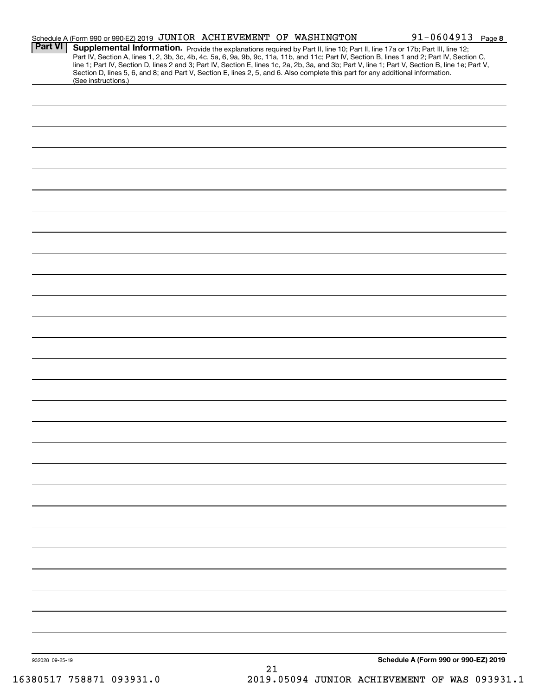|                 | Schedule A (Form 990 or 990-EZ) 2019 JUNIOR ACHIEVEMENT OF WASHINGTON                                                                                                                                                                                                                                                                                                                                                                                                                                                                                                | $91 - 0604913$ Page 8                |
|-----------------|----------------------------------------------------------------------------------------------------------------------------------------------------------------------------------------------------------------------------------------------------------------------------------------------------------------------------------------------------------------------------------------------------------------------------------------------------------------------------------------------------------------------------------------------------------------------|--------------------------------------|
| <b>Part VI</b>  | Supplemental Information. Provide the explanations required by Part II, line 10; Part II, line 17a or 17b; Part III, line 12;<br>Part IV, Section A, lines 1, 2, 3b, 3c, 4b, 4c, 5a, 6, 9a, 9b, 9c, 11a, 11b, and 11c; Part IV, Section B, lines 1 and 2; Part IV, Section C,<br>line 1; Part IV, Section D, lines 2 and 3; Part IV, Section E, lines 1c, 2a, 2b, 3a, and 3b; Part V, line 1; Part V, Section B, line 1e; Part V,<br>Section D, lines 5, 6, and 8; and Part V, Section E, lines 2, 5, and 6. Also complete this part for any additional information. |                                      |
|                 | (See instructions.)                                                                                                                                                                                                                                                                                                                                                                                                                                                                                                                                                  |                                      |
|                 |                                                                                                                                                                                                                                                                                                                                                                                                                                                                                                                                                                      |                                      |
|                 |                                                                                                                                                                                                                                                                                                                                                                                                                                                                                                                                                                      |                                      |
|                 |                                                                                                                                                                                                                                                                                                                                                                                                                                                                                                                                                                      |                                      |
|                 |                                                                                                                                                                                                                                                                                                                                                                                                                                                                                                                                                                      |                                      |
|                 |                                                                                                                                                                                                                                                                                                                                                                                                                                                                                                                                                                      |                                      |
|                 |                                                                                                                                                                                                                                                                                                                                                                                                                                                                                                                                                                      |                                      |
|                 |                                                                                                                                                                                                                                                                                                                                                                                                                                                                                                                                                                      |                                      |
|                 |                                                                                                                                                                                                                                                                                                                                                                                                                                                                                                                                                                      |                                      |
|                 |                                                                                                                                                                                                                                                                                                                                                                                                                                                                                                                                                                      |                                      |
|                 |                                                                                                                                                                                                                                                                                                                                                                                                                                                                                                                                                                      |                                      |
|                 |                                                                                                                                                                                                                                                                                                                                                                                                                                                                                                                                                                      |                                      |
|                 |                                                                                                                                                                                                                                                                                                                                                                                                                                                                                                                                                                      |                                      |
|                 |                                                                                                                                                                                                                                                                                                                                                                                                                                                                                                                                                                      |                                      |
|                 |                                                                                                                                                                                                                                                                                                                                                                                                                                                                                                                                                                      |                                      |
|                 |                                                                                                                                                                                                                                                                                                                                                                                                                                                                                                                                                                      |                                      |
|                 |                                                                                                                                                                                                                                                                                                                                                                                                                                                                                                                                                                      |                                      |
|                 |                                                                                                                                                                                                                                                                                                                                                                                                                                                                                                                                                                      |                                      |
|                 |                                                                                                                                                                                                                                                                                                                                                                                                                                                                                                                                                                      |                                      |
|                 |                                                                                                                                                                                                                                                                                                                                                                                                                                                                                                                                                                      |                                      |
|                 |                                                                                                                                                                                                                                                                                                                                                                                                                                                                                                                                                                      |                                      |
|                 |                                                                                                                                                                                                                                                                                                                                                                                                                                                                                                                                                                      |                                      |
|                 |                                                                                                                                                                                                                                                                                                                                                                                                                                                                                                                                                                      |                                      |
|                 |                                                                                                                                                                                                                                                                                                                                                                                                                                                                                                                                                                      |                                      |
|                 |                                                                                                                                                                                                                                                                                                                                                                                                                                                                                                                                                                      |                                      |
|                 |                                                                                                                                                                                                                                                                                                                                                                                                                                                                                                                                                                      |                                      |
|                 |                                                                                                                                                                                                                                                                                                                                                                                                                                                                                                                                                                      |                                      |
|                 |                                                                                                                                                                                                                                                                                                                                                                                                                                                                                                                                                                      |                                      |
|                 |                                                                                                                                                                                                                                                                                                                                                                                                                                                                                                                                                                      |                                      |
|                 |                                                                                                                                                                                                                                                                                                                                                                                                                                                                                                                                                                      |                                      |
|                 |                                                                                                                                                                                                                                                                                                                                                                                                                                                                                                                                                                      |                                      |
|                 |                                                                                                                                                                                                                                                                                                                                                                                                                                                                                                                                                                      |                                      |
|                 |                                                                                                                                                                                                                                                                                                                                                                                                                                                                                                                                                                      |                                      |
|                 |                                                                                                                                                                                                                                                                                                                                                                                                                                                                                                                                                                      |                                      |
|                 |                                                                                                                                                                                                                                                                                                                                                                                                                                                                                                                                                                      |                                      |
|                 |                                                                                                                                                                                                                                                                                                                                                                                                                                                                                                                                                                      |                                      |
|                 |                                                                                                                                                                                                                                                                                                                                                                                                                                                                                                                                                                      |                                      |
| 932028 09-25-19 |                                                                                                                                                                                                                                                                                                                                                                                                                                                                                                                                                                      | Schedule A (Form 990 or 990-EZ) 2019 |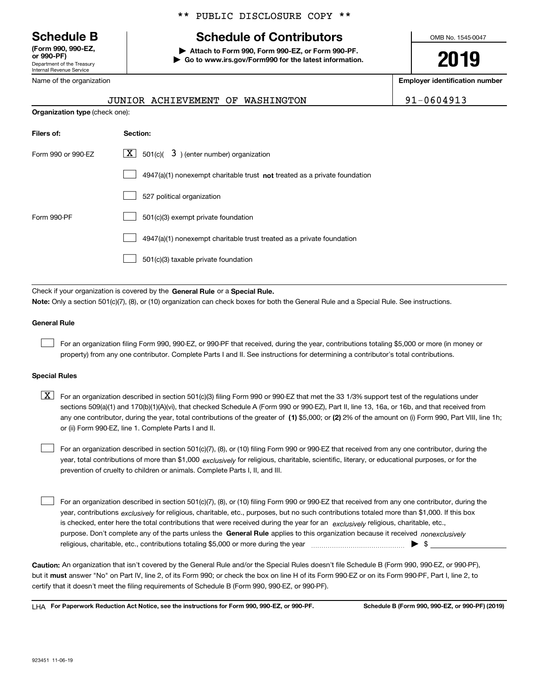Department of the Treasury Internal Revenue Service **(Form 990, 990-EZ, or 990-PF)**

Name of the organization

**Organization type** (check one):

#### \*\* PUBLIC DISCLOSURE COPY \*\*

# **Schedule B Schedule of Contributors**

**| Attach to Form 990, Form 990-EZ, or Form 990-PF. | Go to www.irs.gov/Form990 for the latest information.** OMB No. 1545-0047

**2019**

**Employer identification number**

|          | JUNIOR ACHIEVEMENT OF WASHINGTON |  | 91-0604913 |
|----------|----------------------------------|--|------------|
| ck one): |                                  |  |            |

| Filers of:         | <b>Section:</b>                                                           |
|--------------------|---------------------------------------------------------------------------|
| Form 990 or 990-EZ | X  <br>$3$ ) (enter number) organization<br>501(c)(                       |
|                    | 4947(a)(1) nonexempt charitable trust not treated as a private foundation |
|                    | 527 political organization                                                |
| Form 990-PF        | 501(c)(3) exempt private foundation                                       |
|                    | 4947(a)(1) nonexempt charitable trust treated as a private foundation     |
|                    | 501(c)(3) taxable private foundation                                      |

Check if your organization is covered by the **General Rule** or a **Special Rule. Note:**  Only a section 501(c)(7), (8), or (10) organization can check boxes for both the General Rule and a Special Rule. See instructions.

#### **General Rule**

 $\mathcal{L}^{\text{max}}$ 

For an organization filing Form 990, 990-EZ, or 990-PF that received, during the year, contributions totaling \$5,000 or more (in money or property) from any one contributor. Complete Parts I and II. See instructions for determining a contributor's total contributions.

#### **Special Rules**

any one contributor, during the year, total contributions of the greater of  $\,$  (1) \$5,000; or **(2)** 2% of the amount on (i) Form 990, Part VIII, line 1h;  $\boxed{\textbf{X}}$  For an organization described in section 501(c)(3) filing Form 990 or 990-EZ that met the 33 1/3% support test of the regulations under sections 509(a)(1) and 170(b)(1)(A)(vi), that checked Schedule A (Form 990 or 990-EZ), Part II, line 13, 16a, or 16b, and that received from or (ii) Form 990-EZ, line 1. Complete Parts I and II.

year, total contributions of more than \$1,000 *exclusively* for religious, charitable, scientific, literary, or educational purposes, or for the For an organization described in section 501(c)(7), (8), or (10) filing Form 990 or 990-EZ that received from any one contributor, during the prevention of cruelty to children or animals. Complete Parts I, II, and III.  $\mathcal{L}^{\text{max}}$ 

purpose. Don't complete any of the parts unless the **General Rule** applies to this organization because it received *nonexclusively* year, contributions <sub>exclusively</sub> for religious, charitable, etc., purposes, but no such contributions totaled more than \$1,000. If this box is checked, enter here the total contributions that were received during the year for an  $\;$ exclusively religious, charitable, etc., For an organization described in section 501(c)(7), (8), or (10) filing Form 990 or 990-EZ that received from any one contributor, during the religious, charitable, etc., contributions totaling \$5,000 or more during the year  $\Box$ — $\Box$   $\Box$  $\mathcal{L}^{\text{max}}$ 

**Caution:**  An organization that isn't covered by the General Rule and/or the Special Rules doesn't file Schedule B (Form 990, 990-EZ, or 990-PF),  **must** but it answer "No" on Part IV, line 2, of its Form 990; or check the box on line H of its Form 990-EZ or on its Form 990-PF, Part I, line 2, to certify that it doesn't meet the filing requirements of Schedule B (Form 990, 990-EZ, or 990-PF).

**For Paperwork Reduction Act Notice, see the instructions for Form 990, 990-EZ, or 990-PF. Schedule B (Form 990, 990-EZ, or 990-PF) (2019)** LHA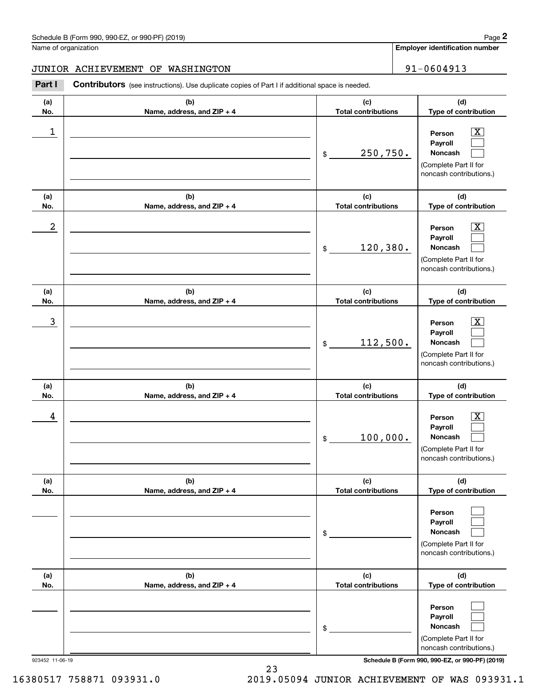**Employer identification number**

#### JUNIOR ACHIEVEMENT OF WASHINGTON 91-0604913

Chedule B (Form 990, 990-EZ, or 990-PF) (2019)<br>
lame of organization<br> **2014 I CONTIBUTOR ACHIEVEMENT OF WASHINGTON**<br> **2014 Part I Contributors** (see instructions). Use duplicate copies of Part I if additional space is need

| (a)<br>No. | (b)<br>Name, address, and ZIP + 4 | (c)<br><b>Total contributions</b> | (d)<br>Type of contribution                                                                                 |
|------------|-----------------------------------|-----------------------------------|-------------------------------------------------------------------------------------------------------------|
| 1          |                                   | 250,750.<br>\$                    | $\overline{\texttt{X}}$<br>Person<br>Payroll<br>Noncash<br>(Complete Part II for<br>noncash contributions.) |
| (a)<br>No. | (b)<br>Name, address, and ZIP + 4 | (c)<br><b>Total contributions</b> | (d)<br>Type of contribution                                                                                 |
| 2          |                                   | 120, 380.<br>\$                   | $\overline{\texttt{X}}$<br>Person<br>Payroll<br>Noncash<br>(Complete Part II for<br>noncash contributions.) |
| (a)<br>No. | (b)<br>Name, address, and ZIP + 4 | (c)<br><b>Total contributions</b> | (d)<br>Type of contribution                                                                                 |
| 3          |                                   | 112,500.<br>\$                    | $\overline{\text{X}}$<br>Person<br>Payroll<br>Noncash<br>(Complete Part II for<br>noncash contributions.)   |
| (a)<br>No. | (b)<br>Name, address, and ZIP + 4 | (c)<br><b>Total contributions</b> | (d)<br>Type of contribution                                                                                 |
| 4          |                                   | 100,000.<br>\$                    | $\overline{\text{X}}$<br>Person<br>Payroll<br>Noncash<br>(Complete Part II for<br>noncash contributions.)   |
| (a)<br>No. | (b)<br>Name, address, and ZIP + 4 | (c)<br><b>Total contributions</b> | (d)<br>Type of contribution                                                                                 |
|            |                                   | \$                                | Person<br>Payroll<br>Noncash<br>(Complete Part II for<br>noncash contributions.)                            |
| (a)<br>No. | (b)<br>Name, address, and ZIP + 4 | (c)<br><b>Total contributions</b> | (d)<br>Type of contribution                                                                                 |
|            |                                   | \$                                | Person<br>Payroll<br>Noncash<br>(Complete Part II for<br>noncash contributions.)                            |

923452 11-06-19 **Schedule B (Form 990, 990-EZ, or 990-PF) (2019)**

16380517 758871 093931.0 2019.05094 JUNIOR ACHIEVEMENT OF WAS 093931.1

23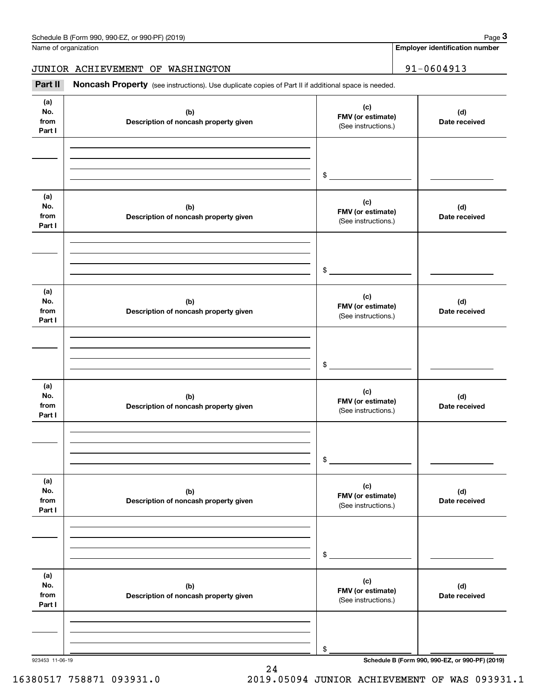Name of organization

**Employer identification number**

JUNIOR ACHIEVEMENT OF WASHINGTON | 91-0604913

Chedule B (Form 990, 990-EZ, or 990-PF) (2019)<br> **2019 Identification number**<br> **3Part II if additional space is needed.**<br> **191-0604913**<br> **191-0604913** 

| (a)<br>(c)<br>No.<br>(b)<br>(d)<br>FMV (or estimate)<br>from<br>Description of noncash property given<br>Date received<br>(See instructions.)<br>Part I<br>$\mathfrak{S}$<br>(a)<br>(c)<br>No.<br>(b)<br>(d)<br>FMV (or estimate)<br>from<br>Description of noncash property given<br>Date received<br>(See instructions.)<br>Part I<br>$\frac{1}{2}$<br>(a)<br>(c)<br>No.<br>(d)<br>(b)<br>FMV (or estimate)<br>from<br>Description of noncash property given<br>Date received<br>(See instructions.)<br>Part I<br>$\frac{1}{2}$<br>(a)<br>(c)<br>No.<br>(b)<br>(d)<br>FMV (or estimate)<br>from<br>Description of noncash property given<br>Date received<br>(See instructions.)<br>Part I<br>$\mathsf{\$}$<br>(a)<br>(c)<br>No.<br>(b)<br>(d)<br>FMV (or estimate)<br>from<br>Description of noncash property given<br>Date received<br>(See instructions.)<br>Part I<br>\$<br>(a)<br>(c)<br>No.<br>(d)<br>(b)<br>FMV (or estimate)<br>from<br>Description of noncash property given<br>Date received<br>(See instructions.)<br>Part I<br>$\,$ |  |  |
|---------------------------------------------------------------------------------------------------------------------------------------------------------------------------------------------------------------------------------------------------------------------------------------------------------------------------------------------------------------------------------------------------------------------------------------------------------------------------------------------------------------------------------------------------------------------------------------------------------------------------------------------------------------------------------------------------------------------------------------------------------------------------------------------------------------------------------------------------------------------------------------------------------------------------------------------------------------------------------------------------------------------------------------------------|--|--|
|                                                                                                                                                                                                                                                                                                                                                                                                                                                                                                                                                                                                                                                                                                                                                                                                                                                                                                                                                                                                                                                   |  |  |
|                                                                                                                                                                                                                                                                                                                                                                                                                                                                                                                                                                                                                                                                                                                                                                                                                                                                                                                                                                                                                                                   |  |  |
|                                                                                                                                                                                                                                                                                                                                                                                                                                                                                                                                                                                                                                                                                                                                                                                                                                                                                                                                                                                                                                                   |  |  |
|                                                                                                                                                                                                                                                                                                                                                                                                                                                                                                                                                                                                                                                                                                                                                                                                                                                                                                                                                                                                                                                   |  |  |
|                                                                                                                                                                                                                                                                                                                                                                                                                                                                                                                                                                                                                                                                                                                                                                                                                                                                                                                                                                                                                                                   |  |  |
|                                                                                                                                                                                                                                                                                                                                                                                                                                                                                                                                                                                                                                                                                                                                                                                                                                                                                                                                                                                                                                                   |  |  |
|                                                                                                                                                                                                                                                                                                                                                                                                                                                                                                                                                                                                                                                                                                                                                                                                                                                                                                                                                                                                                                                   |  |  |
|                                                                                                                                                                                                                                                                                                                                                                                                                                                                                                                                                                                                                                                                                                                                                                                                                                                                                                                                                                                                                                                   |  |  |
|                                                                                                                                                                                                                                                                                                                                                                                                                                                                                                                                                                                                                                                                                                                                                                                                                                                                                                                                                                                                                                                   |  |  |
|                                                                                                                                                                                                                                                                                                                                                                                                                                                                                                                                                                                                                                                                                                                                                                                                                                                                                                                                                                                                                                                   |  |  |
|                                                                                                                                                                                                                                                                                                                                                                                                                                                                                                                                                                                                                                                                                                                                                                                                                                                                                                                                                                                                                                                   |  |  |
|                                                                                                                                                                                                                                                                                                                                                                                                                                                                                                                                                                                                                                                                                                                                                                                                                                                                                                                                                                                                                                                   |  |  |
| Schedule B (Form 990, 990-EZ, or 990-PF) (2019)                                                                                                                                                                                                                                                                                                                                                                                                                                                                                                                                                                                                                                                                                                                                                                                                                                                                                                                                                                                                   |  |  |

24

### 16380517 758871 093931.0 2019.05094 JUNIOR ACHIEVEMENT OF WAS 093931.1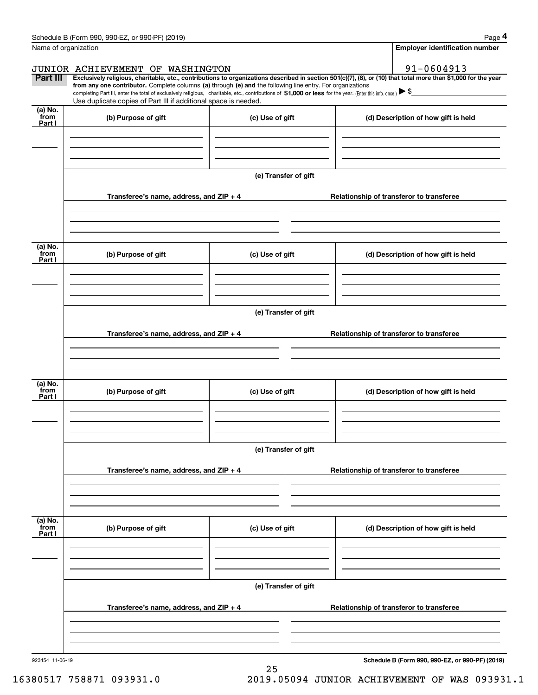| Schedule B (Form 990, 990-EZ, or 990-PF) (2019) | Page |
|-------------------------------------------------|------|
|-------------------------------------------------|------|

|                           | Schedule B (Form 990, 990-EZ, or 990-PF) (2019)                                                                                                                                                                                                                              |                      | Page 4                                   |
|---------------------------|------------------------------------------------------------------------------------------------------------------------------------------------------------------------------------------------------------------------------------------------------------------------------|----------------------|------------------------------------------|
|                           | Name of organization                                                                                                                                                                                                                                                         |                      | <b>Employer identification number</b>    |
|                           | JUNIOR ACHIEVEMENT OF WASHINGTON                                                                                                                                                                                                                                             |                      | 91-0604913                               |
| Part III                  | Exclusively religious, charitable, etc., contributions to organizations described in section 501(c)(7), (8), or (10) that total more than \$1,000 for the year<br>from any one contributor. Complete columns (a) through (e) and the following line entry. For organizations |                      |                                          |
|                           | completing Part III, enter the total of exclusively religious, charitable, etc., contributions of \$1,000 or less for the year. (Enter this info. once.) $\blacktriangleright$ \$<br>Use duplicate copies of Part III if additional space is needed.                         |                      |                                          |
| (a) No.<br>from           |                                                                                                                                                                                                                                                                              |                      |                                          |
| Part I                    | (b) Purpose of gift                                                                                                                                                                                                                                                          | (c) Use of gift      | (d) Description of how gift is held      |
|                           |                                                                                                                                                                                                                                                                              |                      |                                          |
|                           |                                                                                                                                                                                                                                                                              |                      |                                          |
|                           |                                                                                                                                                                                                                                                                              | (e) Transfer of gift |                                          |
|                           | Transferee's name, address, and ZIP + 4                                                                                                                                                                                                                                      |                      | Relationship of transferor to transferee |
|                           |                                                                                                                                                                                                                                                                              |                      |                                          |
| $(a)$ No.                 |                                                                                                                                                                                                                                                                              |                      |                                          |
| from<br>Part I            | (b) Purpose of gift                                                                                                                                                                                                                                                          | (c) Use of gift      | (d) Description of how gift is held      |
|                           |                                                                                                                                                                                                                                                                              |                      |                                          |
|                           |                                                                                                                                                                                                                                                                              |                      |                                          |
|                           |                                                                                                                                                                                                                                                                              | (e) Transfer of gift |                                          |
|                           | Transferee's name, address, and $ZIP + 4$                                                                                                                                                                                                                                    |                      | Relationship of transferor to transferee |
|                           |                                                                                                                                                                                                                                                                              |                      |                                          |
|                           |                                                                                                                                                                                                                                                                              |                      |                                          |
| (a) No.<br>from<br>Part I | (b) Purpose of gift                                                                                                                                                                                                                                                          | (c) Use of gift      | (d) Description of how gift is held      |
|                           |                                                                                                                                                                                                                                                                              |                      |                                          |
|                           |                                                                                                                                                                                                                                                                              |                      |                                          |
|                           |                                                                                                                                                                                                                                                                              | (e) Transfer of gift |                                          |
|                           | Transferee's name, address, and ZIP + 4                                                                                                                                                                                                                                      |                      | Relationship of transferor to transferee |
|                           |                                                                                                                                                                                                                                                                              |                      |                                          |
|                           |                                                                                                                                                                                                                                                                              |                      |                                          |
| (a) No.<br>from<br>Part I | (b) Purpose of gift                                                                                                                                                                                                                                                          | (c) Use of gift      | (d) Description of how gift is held      |
|                           |                                                                                                                                                                                                                                                                              |                      |                                          |
|                           |                                                                                                                                                                                                                                                                              |                      |                                          |
|                           |                                                                                                                                                                                                                                                                              | (e) Transfer of gift |                                          |
|                           | Transferee's name, address, and $ZIP + 4$                                                                                                                                                                                                                                    |                      | Relationship of transferor to transferee |
|                           |                                                                                                                                                                                                                                                                              |                      |                                          |
|                           |                                                                                                                                                                                                                                                                              |                      |                                          |
|                           |                                                                                                                                                                                                                                                                              |                      |                                          |

25

**Schedule B (Form 990, 990-EZ, or 990-PF) (2019)**

<sup>923454 11-06-19</sup>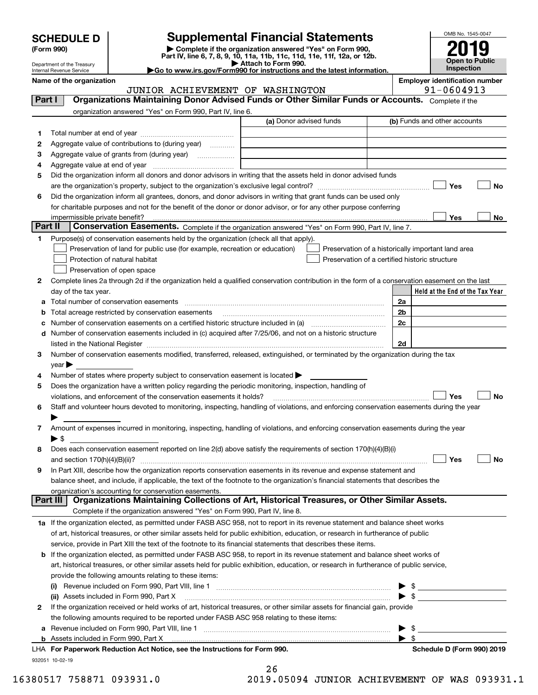| <b>SCHEDULE D</b> |  |
|-------------------|--|
|-------------------|--|

| (Form 990) |  |
|------------|--|
|------------|--|

# **Supplemental Financial Statements**

(Form 990)<br>
Pepartment of the Treasury<br>
Department of the Treasury<br>
Department of the Treasury<br>
Department of the Treasury<br> **Co to www.irs.gov/Form990 for instructions and the latest information.**<br> **Co to www.irs.gov/Form9** 



Department of the Treasury Internal Revenue Service

**Name of the organization Employer identification number**

|         | JUNIOR ACHIEVEMENT OF WASHINGTON                                                                                                               | 91-0604913                                         |
|---------|------------------------------------------------------------------------------------------------------------------------------------------------|----------------------------------------------------|
| Part I  | Organizations Maintaining Donor Advised Funds or Other Similar Funds or Accounts. Complete if the                                              |                                                    |
|         | organization answered "Yes" on Form 990, Part IV, line 6.                                                                                      |                                                    |
|         | (a) Donor advised funds                                                                                                                        | (b) Funds and other accounts                       |
| 1.      |                                                                                                                                                |                                                    |
| 2       | Aggregate value of contributions to (during year)                                                                                              |                                                    |
| 3       | Aggregate value of grants from (during year)                                                                                                   |                                                    |
| 4       |                                                                                                                                                |                                                    |
| 5       | Did the organization inform all donors and donor advisors in writing that the assets held in donor advised funds                               |                                                    |
|         |                                                                                                                                                | Yes<br>No                                          |
| 6       | Did the organization inform all grantees, donors, and donor advisors in writing that grant funds can be used only                              |                                                    |
|         | for charitable purposes and not for the benefit of the donor or donor advisor, or for any other purpose conferring                             |                                                    |
|         | impermissible private benefit?                                                                                                                 | <b>Yes</b><br>No                                   |
| Part II | Conservation Easements. Complete if the organization answered "Yes" on Form 990, Part IV, line 7.                                              |                                                    |
| 1.      | Purpose(s) of conservation easements held by the organization (check all that apply).                                                          |                                                    |
|         | Preservation of land for public use (for example, recreation or education)                                                                     | Preservation of a historically important land area |
|         | Protection of natural habitat<br>Preservation of a certified historic structure                                                                |                                                    |
|         | Preservation of open space                                                                                                                     |                                                    |
| 2       | Complete lines 2a through 2d if the organization held a qualified conservation contribution in the form of a conservation easement on the last |                                                    |
|         | day of the tax year.                                                                                                                           | Held at the End of the Tax Year                    |
|         |                                                                                                                                                | 2a                                                 |
|         | <b>b</b> Total acreage restricted by conservation easements                                                                                    | 2 <sub>b</sub>                                     |
| с       |                                                                                                                                                | 2c                                                 |
|         | d Number of conservation easements included in (c) acquired after 7/25/06, and not on a historic structure                                     |                                                    |
|         |                                                                                                                                                | 2d                                                 |
| 3       | Number of conservation easements modified, transferred, released, extinguished, or terminated by the organization during the tax               |                                                    |
|         | $year \blacktriangleright$                                                                                                                     |                                                    |
| 4       | Number of states where property subject to conservation easement is located >                                                                  |                                                    |
| 5       | Does the organization have a written policy regarding the periodic monitoring, inspection, handling of                                         |                                                    |
|         | violations, and enforcement of the conservation easements it holds?                                                                            | Yes<br>No                                          |
| 6       | Staff and volunteer hours devoted to monitoring, inspecting, handling of violations, and enforcing conservation easements during the year      |                                                    |
|         |                                                                                                                                                |                                                    |
| 7       | Amount of expenses incurred in monitoring, inspecting, handling of violations, and enforcing conservation easements during the year            |                                                    |
|         | $\blacktriangleright$ \$                                                                                                                       |                                                    |
| 8       | Does each conservation easement reported on line 2(d) above satisfy the requirements of section 170(h)(4)(B)(i)                                |                                                    |
|         |                                                                                                                                                | Yes<br>No                                          |
| 9       | In Part XIII, describe how the organization reports conservation easements in its revenue and expense statement and                            |                                                    |
|         | balance sheet, and include, if applicable, the text of the footnote to the organization's financial statements that describes the              |                                                    |
|         | organization's accounting for conservation easements.                                                                                          |                                                    |
|         | Organizations Maintaining Collections of Art, Historical Treasures, or Other Similar Assets.<br>Part III                                       |                                                    |
|         | Complete if the organization answered "Yes" on Form 990, Part IV, line 8.                                                                      |                                                    |
|         | 1a If the organization elected, as permitted under FASB ASC 958, not to report in its revenue statement and balance sheet works                |                                                    |
|         | of art, historical treasures, or other similar assets held for public exhibition, education, or research in furtherance of public              |                                                    |
|         | service, provide in Part XIII the text of the footnote to its financial statements that describes these items.                                 |                                                    |
|         | b If the organization elected, as permitted under FASB ASC 958, to report in its revenue statement and balance sheet works of                  |                                                    |
|         | art, historical treasures, or other similar assets held for public exhibition, education, or research in furtherance of public service,        |                                                    |
|         | provide the following amounts relating to these items:                                                                                         |                                                    |
|         |                                                                                                                                                |                                                    |
|         | (ii) Assets included in Form 990, Part X                                                                                                       | $\blacktriangleright$ \$                           |
| 2       | If the organization received or held works of art, historical treasures, or other similar assets for financial gain, provide                   |                                                    |
|         | the following amounts required to be reported under FASB ASC 958 relating to these items:                                                      |                                                    |
|         |                                                                                                                                                | - \$<br>▶                                          |
|         |                                                                                                                                                | $\blacktriangleright$ s                            |
|         | LHA For Paperwork Reduction Act Notice, see the Instructions for Form 990.                                                                     | Schedule D (Form 990) 2019                         |
|         | 932051 10-02-19<br>$\sim$                                                                                                                      |                                                    |

| 26               |          |
|------------------|----------|
| <b>OEOO</b><br>Ω | TIINT OD |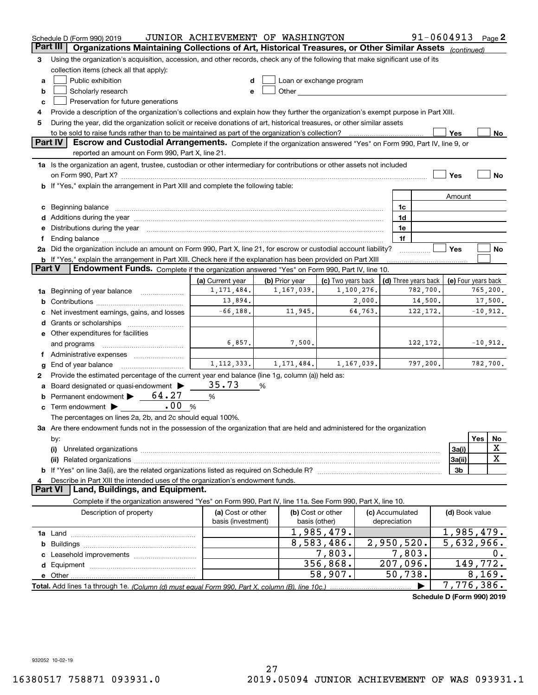|    | Schedule D (Form 990) 2019                                                                                                                                                                                                     | JUNIOR ACHIEVEMENT OF WASHINGTON |                               |                                                                                                                                                                                                                                |                 |              | $91 - 0604913$ Page 2                      |                          |          |             |
|----|--------------------------------------------------------------------------------------------------------------------------------------------------------------------------------------------------------------------------------|----------------------------------|-------------------------------|--------------------------------------------------------------------------------------------------------------------------------------------------------------------------------------------------------------------------------|-----------------|--------------|--------------------------------------------|--------------------------|----------|-------------|
|    | Organizations Maintaining Collections of Art, Historical Treasures, or Other Similar Assets (continued)<br>Part III                                                                                                            |                                  |                               |                                                                                                                                                                                                                                |                 |              |                                            |                          |          |             |
| З  | Using the organization's acquisition, accession, and other records, check any of the following that make significant use of its                                                                                                |                                  |                               |                                                                                                                                                                                                                                |                 |              |                                            |                          |          |             |
|    | collection items (check all that apply):                                                                                                                                                                                       |                                  |                               |                                                                                                                                                                                                                                |                 |              |                                            |                          |          |             |
| a  | Public exhibition                                                                                                                                                                                                              |                                  |                               | Loan or exchange program                                                                                                                                                                                                       |                 |              |                                            |                          |          |             |
| b  | Scholarly research                                                                                                                                                                                                             |                                  |                               | Other and the control of the control of the control of the control of the control of the control of the control of the control of the control of the control of the control of the control of the control of the control of th |                 |              |                                            |                          |          |             |
| c  | Preservation for future generations                                                                                                                                                                                            |                                  |                               |                                                                                                                                                                                                                                |                 |              |                                            |                          |          |             |
| 4  | Provide a description of the organization's collections and explain how they further the organization's exempt purpose in Part XIII.                                                                                           |                                  |                               |                                                                                                                                                                                                                                |                 |              |                                            |                          |          |             |
| 5  | During the year, did the organization solicit or receive donations of art, historical treasures, or other similar assets                                                                                                       |                                  |                               |                                                                                                                                                                                                                                |                 |              |                                            |                          |          |             |
|    | to be sold to raise funds rather than to be maintained as part of the organization's collection?<br>Yes<br><u>No</u>                                                                                                           |                                  |                               |                                                                                                                                                                                                                                |                 |              |                                            |                          |          |             |
|    | <b>Part IV</b><br>Escrow and Custodial Arrangements. Complete if the organization answered "Yes" on Form 990, Part IV, line 9, or<br>reported an amount on Form 990, Part X, line 21.                                          |                                  |                               |                                                                                                                                                                                                                                |                 |              |                                            |                          |          |             |
|    | 1a Is the organization an agent, trustee, custodian or other intermediary for contributions or other assets not included                                                                                                       |                                  |                               |                                                                                                                                                                                                                                |                 |              |                                            |                          |          |             |
|    | on Form 990, Part X? [11] matter contracts and contracts and contracts are contracted as a form 990, Part X?                                                                                                                   |                                  |                               |                                                                                                                                                                                                                                |                 |              |                                            | Yes                      |          | No          |
|    | <b>b</b> If "Yes," explain the arrangement in Part XIII and complete the following table:                                                                                                                                      |                                  |                               |                                                                                                                                                                                                                                |                 |              |                                            |                          |          |             |
|    |                                                                                                                                                                                                                                |                                  |                               |                                                                                                                                                                                                                                |                 |              |                                            | Amount                   |          |             |
|    |                                                                                                                                                                                                                                |                                  |                               |                                                                                                                                                                                                                                |                 | 1c           |                                            |                          |          |             |
|    | Additions during the year manufactured and an annual contract of the year manufactured and a set of the year manufactured and a set of the year manufactured and a set of the year manufactured and a set of the set of the se |                                  |                               |                                                                                                                                                                                                                                |                 | 1d           |                                            |                          |          |             |
|    | Distributions during the year manufactured and an account of the state of the state of the state of the state o                                                                                                                |                                  |                               |                                                                                                                                                                                                                                |                 | 1e           |                                            |                          |          |             |
|    | Ending balance manufactured and contract the contract of the contract of the contract of the contract of the contract of the contract of the contract of the contract of the contract of the contract of the contract of the c |                                  |                               |                                                                                                                                                                                                                                |                 | 1f           |                                            |                          |          |             |
|    | 2a Did the organization include an amount on Form 990, Part X, line 21, for escrow or custodial account liability?                                                                                                             |                                  |                               |                                                                                                                                                                                                                                |                 |              |                                            | Yes                      |          | No          |
|    | <b>b</b> If "Yes," explain the arrangement in Part XIII. Check here if the explanation has been provided on Part XIII                                                                                                          |                                  |                               |                                                                                                                                                                                                                                |                 |              |                                            |                          |          |             |
|    | Part V<br>Endowment Funds. Complete if the organization answered "Yes" on Form 990, Part IV, line 10.                                                                                                                          |                                  |                               |                                                                                                                                                                                                                                |                 |              |                                            |                          |          |             |
|    |                                                                                                                                                                                                                                | (a) Current year                 | (b) Prior year                | (c) Two years back                                                                                                                                                                                                             |                 |              | (d) Three years back   (e) Four years back |                          |          |             |
| 1a | Beginning of year balance                                                                                                                                                                                                      | 1, 171, 484.                     | 1,167,039.                    | 1,100,276.                                                                                                                                                                                                                     |                 |              | 782,700.                                   |                          |          | 765,200.    |
| b  |                                                                                                                                                                                                                                | 13,894.                          |                               | 2,000.                                                                                                                                                                                                                         |                 |              | 14,500.                                    |                          |          | 17,500.     |
|    | Net investment earnings, gains, and losses                                                                                                                                                                                     | $-66, 188.$                      | 11,945.                       | 64,763.                                                                                                                                                                                                                        |                 |              | 122, 172.                                  |                          |          | $-10,912.$  |
|    | Grants or scholarships                                                                                                                                                                                                         |                                  |                               |                                                                                                                                                                                                                                |                 |              |                                            |                          |          |             |
|    | e Other expenditures for facilities                                                                                                                                                                                            |                                  |                               |                                                                                                                                                                                                                                |                 |              |                                            |                          |          |             |
|    | and programs                                                                                                                                                                                                                   | 6,857.                           | 7,500.                        |                                                                                                                                                                                                                                |                 |              | 122, 172.                                  |                          |          | $-10,912.$  |
|    |                                                                                                                                                                                                                                |                                  |                               |                                                                                                                                                                                                                                |                 |              |                                            |                          |          |             |
| g  | End of year balance                                                                                                                                                                                                            |                                  | $1, 112, 333.$ $1, 171, 484.$ | 1,167,039.                                                                                                                                                                                                                     |                 |              | 797,200.                                   |                          |          | 782,700.    |
| 2  | Provide the estimated percentage of the current year end balance (line 1g, column (a)) held as:                                                                                                                                |                                  |                               |                                                                                                                                                                                                                                |                 |              |                                            |                          |          |             |
|    | Board designated or quasi-endowment                                                                                                                                                                                            | 35.73                            | %                             |                                                                                                                                                                                                                                |                 |              |                                            |                          |          |             |
| b  | Permanent endowment $\blacktriangleright$ 64.27                                                                                                                                                                                | %                                |                               |                                                                                                                                                                                                                                |                 |              |                                            |                          |          |             |
| c  | .00<br>Term endowment $\blacktriangleright$                                                                                                                                                                                    | %                                |                               |                                                                                                                                                                                                                                |                 |              |                                            |                          |          |             |
|    | The percentages on lines 2a, 2b, and 2c should equal 100%.                                                                                                                                                                     |                                  |                               |                                                                                                                                                                                                                                |                 |              |                                            |                          |          |             |
|    | 3a Are there endowment funds not in the possession of the organization that are held and administered for the organization                                                                                                     |                                  |                               |                                                                                                                                                                                                                                |                 |              |                                            |                          |          |             |
|    | by:                                                                                                                                                                                                                            |                                  |                               |                                                                                                                                                                                                                                |                 |              |                                            |                          | Yes      | No<br>X     |
|    | (i)                                                                                                                                                                                                                            |                                  |                               |                                                                                                                                                                                                                                |                 |              |                                            | 3a(i)                    |          | $\mathbf X$ |
|    |                                                                                                                                                                                                                                |                                  |                               |                                                                                                                                                                                                                                |                 |              |                                            | 3a(ii)                   |          |             |
|    |                                                                                                                                                                                                                                |                                  |                               |                                                                                                                                                                                                                                |                 |              |                                            | 3b                       |          |             |
|    | Describe in Part XIII the intended uses of the organization's endowment funds.<br>Land, Buildings, and Equipment.<br>Part VI                                                                                                   |                                  |                               |                                                                                                                                                                                                                                |                 |              |                                            |                          |          |             |
|    | Complete if the organization answered "Yes" on Form 990, Part IV, line 11a. See Form 990, Part X, line 10.                                                                                                                     |                                  |                               |                                                                                                                                                                                                                                |                 |              |                                            |                          |          |             |
|    | Description of property                                                                                                                                                                                                        | (a) Cost or other                |                               | (b) Cost or other                                                                                                                                                                                                              | (c) Accumulated |              |                                            | (d) Book value           |          |             |
|    |                                                                                                                                                                                                                                | basis (investment)               | basis (other)                 |                                                                                                                                                                                                                                |                 | depreciation |                                            |                          |          |             |
|    |                                                                                                                                                                                                                                |                                  |                               | 1,985,479.                                                                                                                                                                                                                     |                 |              |                                            | 1,985,479.               |          |             |
| b  |                                                                                                                                                                                                                                |                                  |                               | 8,583,486.                                                                                                                                                                                                                     | 2,950,520.      |              |                                            | $\overline{5,632,966}$ . |          |             |
|    |                                                                                                                                                                                                                                |                                  |                               | 7,803.                                                                                                                                                                                                                         |                 | 7,803.       |                                            |                          |          | 0.          |
| d  |                                                                                                                                                                                                                                |                                  |                               | 356,868.                                                                                                                                                                                                                       |                 | 207,096.     |                                            |                          | 149,772. |             |
|    |                                                                                                                                                                                                                                |                                  |                               | 58,907.                                                                                                                                                                                                                        |                 | 50,738.      |                                            |                          | 8, 169.  |             |
|    |                                                                                                                                                                                                                                |                                  |                               |                                                                                                                                                                                                                                |                 |              |                                            | 7,776,386.               |          |             |
|    |                                                                                                                                                                                                                                |                                  |                               |                                                                                                                                                                                                                                |                 |              | Schedule D (Form 990) 2019                 |                          |          |             |

932052 10-02-19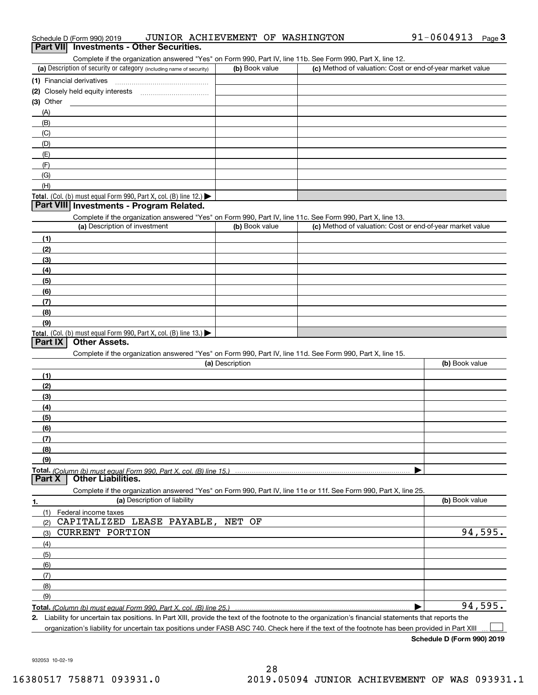| (1) Financial derivatives                                                                                                                            |                 |                                                           |                |
|------------------------------------------------------------------------------------------------------------------------------------------------------|-----------------|-----------------------------------------------------------|----------------|
| (2) Closely held equity interests                                                                                                                    |                 |                                                           |                |
| (3) Other                                                                                                                                            |                 |                                                           |                |
| (A)                                                                                                                                                  |                 |                                                           |                |
| (B)                                                                                                                                                  |                 |                                                           |                |
| (C)                                                                                                                                                  |                 |                                                           |                |
| (D)                                                                                                                                                  |                 |                                                           |                |
| (E)                                                                                                                                                  |                 |                                                           |                |
| (F)                                                                                                                                                  |                 |                                                           |                |
| (G)                                                                                                                                                  |                 |                                                           |                |
| (H)                                                                                                                                                  |                 |                                                           |                |
| Total. (Col. (b) must equal Form 990, Part X, col. (B) line 12.) $\blacktriangleright$                                                               |                 |                                                           |                |
| Part VIII Investments - Program Related.                                                                                                             |                 |                                                           |                |
| Complete if the organization answered "Yes" on Form 990, Part IV, line 11c. See Form 990, Part X, line 13.                                           |                 |                                                           |                |
| (a) Description of investment                                                                                                                        | (b) Book value  | (c) Method of valuation: Cost or end-of-year market value |                |
| (1)                                                                                                                                                  |                 |                                                           |                |
| (2)                                                                                                                                                  |                 |                                                           |                |
| (3)                                                                                                                                                  |                 |                                                           |                |
| (4)                                                                                                                                                  |                 |                                                           |                |
| (5)                                                                                                                                                  |                 |                                                           |                |
| (6)                                                                                                                                                  |                 |                                                           |                |
| (7)                                                                                                                                                  |                 |                                                           |                |
| (8)                                                                                                                                                  |                 |                                                           |                |
| (9)                                                                                                                                                  |                 |                                                           |                |
| Total. (Col. (b) must equal Form 990, Part X, col. (B) line 13.) $\blacktriangleright$                                                               |                 |                                                           |                |
| <b>Other Assets.</b><br>Part IX                                                                                                                      |                 |                                                           |                |
| Complete if the organization answered "Yes" on Form 990, Part IV, line 11d. See Form 990, Part X, line 15.                                           |                 |                                                           |                |
|                                                                                                                                                      | (a) Description |                                                           | (b) Book value |
|                                                                                                                                                      |                 |                                                           |                |
| (1)<br>(2)                                                                                                                                           |                 |                                                           |                |
| (3)                                                                                                                                                  |                 |                                                           |                |
|                                                                                                                                                      |                 |                                                           |                |
| (4)                                                                                                                                                  |                 |                                                           |                |
| (5)                                                                                                                                                  |                 |                                                           |                |
| (6)                                                                                                                                                  |                 |                                                           |                |
| (7)                                                                                                                                                  |                 |                                                           |                |
| (8)                                                                                                                                                  |                 |                                                           |                |
| (9)                                                                                                                                                  |                 |                                                           |                |
| <b>Other Liabilities.</b><br>Part X                                                                                                                  |                 |                                                           |                |
| Complete if the organization answered "Yes" on Form 990, Part IV, line 11e or 11f. See Form 990, Part X, line 25.                                    |                 |                                                           |                |
| (a) Description of liability<br>1.                                                                                                                   |                 |                                                           | (b) Book value |
| (1)<br>Federal income taxes                                                                                                                          |                 |                                                           |                |
| CAPITALIZED LEASE PAYABLE,<br>(2)                                                                                                                    | NET OF          |                                                           |                |
| <b>CURRENT PORTION</b><br>(3)                                                                                                                        |                 |                                                           | 94,595.        |
| (4)                                                                                                                                                  |                 |                                                           |                |
| (5)                                                                                                                                                  |                 |                                                           |                |
| (6)                                                                                                                                                  |                 |                                                           |                |
| (7)                                                                                                                                                  |                 |                                                           |                |
| (8)                                                                                                                                                  |                 |                                                           |                |
| (9)                                                                                                                                                  |                 |                                                           |                |
| Total. (Column (b) must equal Form 990, Part X, col. (B) line 25.)                                                                                   |                 |                                                           | 94,595.        |
| 2. Liability for uncertain tax positions. In Part XIII, provide the text of the footnote to the organization's financial statements that reports the |                 |                                                           |                |

Liability for uncertain tax positions. In Part XIII, provide the text of the footnote to the organization's financial statements that reports the organization's liability for uncertain tax positions under FASB ASC 740. Check here if the text of the footnote has been provided in Part XIII

 $\mathcal{L}^{\text{max}}$ 

932053 10-02-19

# Schedule D (Form 990) 2019 Page **3Part VII Investments - Other Securities.** JUNIOR ACHIEVEMENT OF WASHINGTON

Complete if the organization answered "Yes" on Form 990, Part IV, line 11b. See Form 990, Part X, line 12.

| (a) Description of security or category (including name of security)       | (b) Book value | (c) Method of valuation: Cost or end-of-year market value |
|----------------------------------------------------------------------------|----------------|-----------------------------------------------------------|
| (1) Financial derivatives                                                  |                |                                                           |
| (2) Closely held equity interests                                          |                |                                                           |
| (3) Other                                                                  |                |                                                           |
| (A)                                                                        |                |                                                           |
| (B)                                                                        |                |                                                           |
| (C)                                                                        |                |                                                           |
| (D)                                                                        |                |                                                           |
| (E)                                                                        |                |                                                           |
| (F)                                                                        |                |                                                           |
| (G)                                                                        |                |                                                           |
| (H)                                                                        |                |                                                           |
| <b>Total.</b> (Col. (b) must equal Form 990. Part X, col. (B) line $12.$ ) |                |                                                           |

91-0604913 Page 3

### 28 16380517 758871 093931.0 2019.05094 JUNIOR ACHIEVEMENT OF WAS 093931.1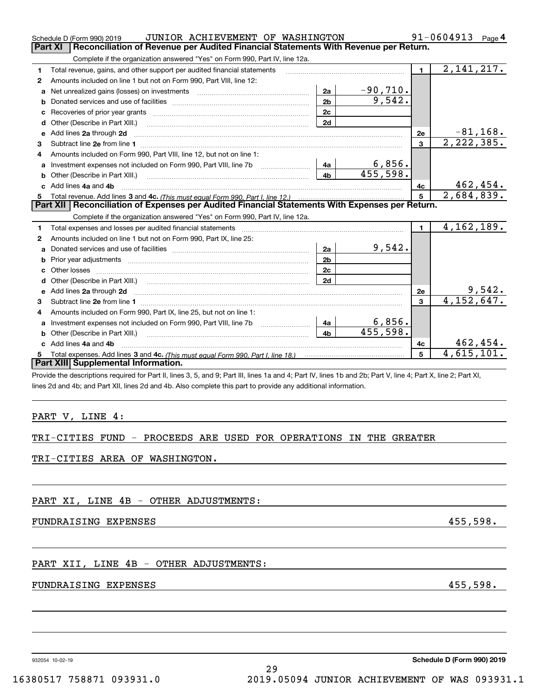|              | JUNIOR ACHIEVEMENT OF WASHINGTON<br>Schedule D (Form 990) 2019                                                                                                                                                                 |                | 91-0604913<br>Page 4 |                |                          |
|--------------|--------------------------------------------------------------------------------------------------------------------------------------------------------------------------------------------------------------------------------|----------------|----------------------|----------------|--------------------------|
|              | Reconciliation of Revenue per Audited Financial Statements With Revenue per Return.<br><b>Part XI</b>                                                                                                                          |                |                      |                |                          |
|              | Complete if the organization answered "Yes" on Form 990, Part IV, line 12a.                                                                                                                                                    |                |                      |                |                          |
| 1            | Total revenue, gains, and other support per audited financial statements                                                                                                                                                       |                |                      | $\blacksquare$ | 2, 141, 217.             |
| $\mathbf{2}$ | Amounts included on line 1 but not on Form 990, Part VIII, line 12:                                                                                                                                                            |                |                      |                |                          |
| a            |                                                                                                                                                                                                                                | 2a             | $-90,710.$           |                |                          |
| b            |                                                                                                                                                                                                                                | 2 <sub>b</sub> | 9,542.               |                |                          |
| с            |                                                                                                                                                                                                                                | 2c             |                      |                |                          |
| d            | Other (Describe in Part XIII.)                                                                                                                                                                                                 | 2d             |                      |                |                          |
| е            | Add lines 2a through 2d                                                                                                                                                                                                        |                |                      | 2e             | $-81, 168.$              |
| 3            |                                                                                                                                                                                                                                |                |                      | 3              | 2,222,385.               |
| 4            | Amounts included on Form 990, Part VIII, line 12, but not on line 1:                                                                                                                                                           |                |                      |                |                          |
| a            | Investment expenses not included on Form 990, Part VIII, line 7b                                                                                                                                                               | 4a             | 6,856.               |                |                          |
| b            | Other (Describe in Part XIII.) [100] [100] [100] [100] [100] [100] [100] [100] [100] [100] [100] [100] [100] [                                                                                                                 | 4b             | 455,598.             |                |                          |
|              | c Add lines 4a and 4b                                                                                                                                                                                                          |                |                      | 4с             | 462,454.                 |
| 5.           |                                                                                                                                                                                                                                |                |                      | 5              | 2,684,839.               |
|              | Part XII   Reconciliation of Expenses per Audited Financial Statements With Expenses per Return.                                                                                                                               |                |                      |                |                          |
|              | Complete if the organization answered "Yes" on Form 990, Part IV, line 12a.                                                                                                                                                    |                |                      |                |                          |
| 1            |                                                                                                                                                                                                                                |                |                      | $\mathbf{1}$   | $\overline{4,162},189.$  |
| 2            | Amounts included on line 1 but not on Form 990, Part IX, line 25:                                                                                                                                                              |                |                      |                |                          |
| a            | Donated services and use of facilities [111] matter contracts and use of facilities [11] matter contracts and use of facilities [11] matter contracts and use of facilities [11] matter contracts and the Donald Service and D | 2a             | 9,542.               |                |                          |
| b            |                                                                                                                                                                                                                                | 2 <sub>b</sub> |                      |                |                          |
|              | Other losses                                                                                                                                                                                                                   | 2c             |                      |                |                          |
| d            |                                                                                                                                                                                                                                | 2d             |                      |                |                          |
| е            | Add lines 2a through 2d                                                                                                                                                                                                        |                |                      | 2e             | 9,542.                   |
| 3            |                                                                                                                                                                                                                                |                |                      | 3              | $\overline{4,152,647}$ . |
| 4            | Amounts included on Form 990, Part IX, line 25, but not on line 1:                                                                                                                                                             |                |                      |                |                          |
| a            |                                                                                                                                                                                                                                | 4a             | 6,856.               |                |                          |
| b            | Other (Describe in Part XIII.)                                                                                                                                                                                                 | 4 <sub>b</sub> | 455,598.             |                |                          |
|              | c Add lines 4a and 4b                                                                                                                                                                                                          |                |                      | 4с             | 462, 454.                |
| 5.           |                                                                                                                                                                                                                                |                |                      | 5              | 4,615,101.               |
|              | Part XIII Supplemental Information.                                                                                                                                                                                            |                |                      |                |                          |
|              | Provide the descriptions required for Part II, lines 3, 5, and 9; Part III, lines 1a and 4; Part IV, lines 1b and 2b; Part V, line 4; Part X, line 2; Part XI,                                                                 |                |                      |                |                          |
|              | lines 2d and 4b; and Part XII, lines 2d and 4b. Also complete this part to provide any additional information.                                                                                                                 |                |                      |                |                          |
|              |                                                                                                                                                                                                                                |                |                      |                |                          |
|              |                                                                                                                                                                                                                                |                |                      |                |                          |
|              | PART V, LINE 4:                                                                                                                                                                                                                |                |                      |                |                          |
|              |                                                                                                                                                                                                                                |                |                      |                |                          |

|  |  |  | TRI-CITIES FUND - PROCEEDS ARE USED FOR OPERATIONS IN THE GREATER |  |  |
|--|--|--|-------------------------------------------------------------------|--|--|
|  |  |  |                                                                   |  |  |

TRI-CITIES AREA OF WASHINGTON.

PART XI, LINE 4B - OTHER ADJUSTMENTS:

FUNDRAISING EXPENSES 455,598.

PART XII, LINE 4B - OTHER ADJUSTMENTS:

### FUNDRAISING EXPENSES 455,598.

932054 10-02-19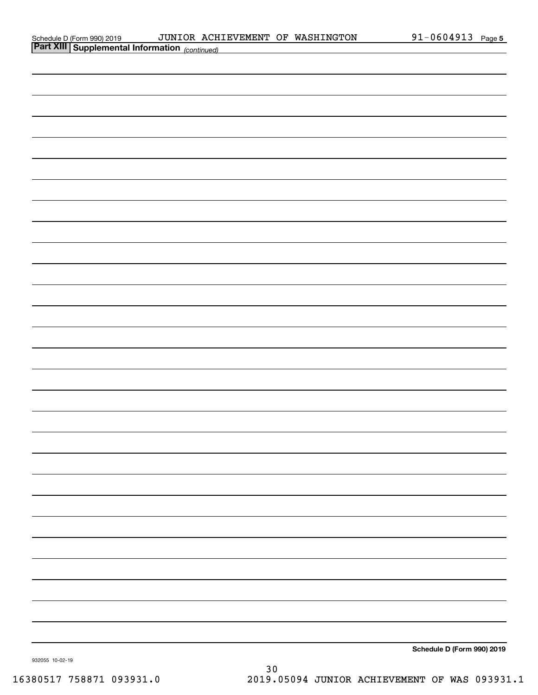| Schedule D (Form 990) 2019 |  |
|----------------------------|--|
| __________                 |  |

| Part XIII Supplemental Information (continued) |                            |
|------------------------------------------------|----------------------------|
|                                                |                            |
|                                                |                            |
|                                                |                            |
|                                                |                            |
|                                                |                            |
|                                                |                            |
|                                                |                            |
|                                                |                            |
|                                                |                            |
|                                                |                            |
|                                                |                            |
|                                                |                            |
|                                                |                            |
|                                                |                            |
|                                                |                            |
|                                                |                            |
|                                                |                            |
|                                                |                            |
|                                                |                            |
|                                                |                            |
|                                                |                            |
|                                                |                            |
|                                                |                            |
|                                                |                            |
|                                                |                            |
|                                                |                            |
|                                                |                            |
|                                                |                            |
|                                                |                            |
|                                                |                            |
| 932055 10-02-19                                | Schedule D (Form 990) 2019 |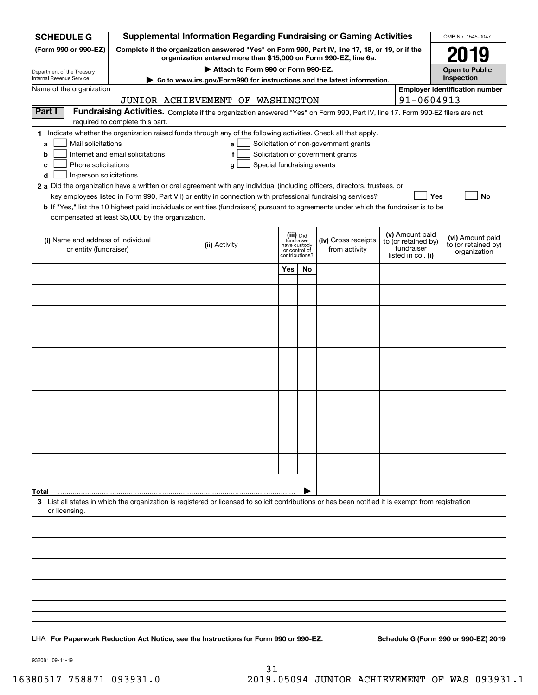| <b>SCHEDULE G</b>                                 | <b>Supplemental Information Regarding Fundraising or Gaming Activities</b>                                                                                          |                                                                                                                                                                                                                                           |                                                 |    |                                                                            |  |                                        | OMB No. 1545-0047                     |
|---------------------------------------------------|---------------------------------------------------------------------------------------------------------------------------------------------------------------------|-------------------------------------------------------------------------------------------------------------------------------------------------------------------------------------------------------------------------------------------|-------------------------------------------------|----|----------------------------------------------------------------------------|--|----------------------------------------|---------------------------------------|
| (Form 990 or 990-EZ)                              | Complete if the organization answered "Yes" on Form 990, Part IV, line 17, 18, or 19, or if the<br>organization entered more than \$15,000 on Form 990-EZ, line 6a. |                                                                                                                                                                                                                                           | 2019                                            |    |                                                                            |  |                                        |                                       |
| Department of the Treasury                        |                                                                                                                                                                     |                                                                                                                                                                                                                                           | <b>Open to Public</b>                           |    |                                                                            |  |                                        |                                       |
| Internal Revenue Service                          |                                                                                                                                                                     | Attach to Form 990 or Form 990-EZ.<br>Go to www.irs.gov/Form990 for instructions and the latest information.                                                                                                                              |                                                 |    |                                                                            |  |                                        | Inspection                            |
| Name of the organization                          |                                                                                                                                                                     | JUNIOR ACHIEVEMENT OF WASHINGTON                                                                                                                                                                                                          |                                                 |    |                                                                            |  | 91-0604913                             | <b>Employer identification number</b> |
| Part I                                            |                                                                                                                                                                     | Fundraising Activities. Complete if the organization answered "Yes" on Form 990, Part IV, line 17. Form 990-EZ filers are not                                                                                                             |                                                 |    |                                                                            |  |                                        |                                       |
|                                                   | required to complete this part.                                                                                                                                     |                                                                                                                                                                                                                                           |                                                 |    |                                                                            |  |                                        |                                       |
| Mail solicitations                                |                                                                                                                                                                     | 1 Indicate whether the organization raised funds through any of the following activities. Check all that apply.<br>e l                                                                                                                    |                                                 |    |                                                                            |  |                                        |                                       |
| a<br>b                                            | Internet and email solicitations                                                                                                                                    | f                                                                                                                                                                                                                                         |                                                 |    | Solicitation of non-government grants<br>Solicitation of government grants |  |                                        |                                       |
| Phone solicitations<br>с                          |                                                                                                                                                                     | Special fundraising events<br>g                                                                                                                                                                                                           |                                                 |    |                                                                            |  |                                        |                                       |
| d<br>In-person solicitations                      |                                                                                                                                                                     |                                                                                                                                                                                                                                           |                                                 |    |                                                                            |  |                                        |                                       |
|                                                   |                                                                                                                                                                     | 2 a Did the organization have a written or oral agreement with any individual (including officers, directors, trustees, or<br>key employees listed in Form 990, Part VII) or entity in connection with professional fundraising services? |                                                 |    |                                                                            |  | Yes                                    | No                                    |
|                                                   |                                                                                                                                                                     | <b>b</b> If "Yes," list the 10 highest paid individuals or entities (fundraisers) pursuant to agreements under which the fundraiser is to be                                                                                              |                                                 |    |                                                                            |  |                                        |                                       |
| compensated at least \$5,000 by the organization. |                                                                                                                                                                     |                                                                                                                                                                                                                                           |                                                 |    |                                                                            |  |                                        |                                       |
| (i) Name and address of individual                |                                                                                                                                                                     |                                                                                                                                                                                                                                           | (iii) Did<br>fundraiser                         |    | (iv) Gross receipts                                                        |  | (v) Amount paid<br>to (or retained by) | (vi) Amount paid                      |
| or entity (fundraiser)                            |                                                                                                                                                                     | (ii) Activity                                                                                                                                                                                                                             | have custody<br>or control of<br>contributions? |    | from activity                                                              |  | fundraiser<br>listed in col. (i)       | to (or retained by)<br>organization   |
|                                                   |                                                                                                                                                                     |                                                                                                                                                                                                                                           | Yes                                             | No |                                                                            |  |                                        |                                       |
|                                                   |                                                                                                                                                                     |                                                                                                                                                                                                                                           |                                                 |    |                                                                            |  |                                        |                                       |
|                                                   |                                                                                                                                                                     |                                                                                                                                                                                                                                           |                                                 |    |                                                                            |  |                                        |                                       |
|                                                   |                                                                                                                                                                     |                                                                                                                                                                                                                                           |                                                 |    |                                                                            |  |                                        |                                       |
|                                                   |                                                                                                                                                                     |                                                                                                                                                                                                                                           |                                                 |    |                                                                            |  |                                        |                                       |
|                                                   |                                                                                                                                                                     |                                                                                                                                                                                                                                           |                                                 |    |                                                                            |  |                                        |                                       |
|                                                   |                                                                                                                                                                     |                                                                                                                                                                                                                                           |                                                 |    |                                                                            |  |                                        |                                       |
|                                                   |                                                                                                                                                                     |                                                                                                                                                                                                                                           |                                                 |    |                                                                            |  |                                        |                                       |
|                                                   |                                                                                                                                                                     |                                                                                                                                                                                                                                           |                                                 |    |                                                                            |  |                                        |                                       |
|                                                   |                                                                                                                                                                     |                                                                                                                                                                                                                                           |                                                 |    |                                                                            |  |                                        |                                       |
|                                                   |                                                                                                                                                                     |                                                                                                                                                                                                                                           |                                                 |    |                                                                            |  |                                        |                                       |
|                                                   |                                                                                                                                                                     |                                                                                                                                                                                                                                           |                                                 |    |                                                                            |  |                                        |                                       |
|                                                   |                                                                                                                                                                     |                                                                                                                                                                                                                                           |                                                 |    |                                                                            |  |                                        |                                       |
|                                                   |                                                                                                                                                                     |                                                                                                                                                                                                                                           |                                                 |    |                                                                            |  |                                        |                                       |
|                                                   |                                                                                                                                                                     |                                                                                                                                                                                                                                           |                                                 |    |                                                                            |  |                                        |                                       |
|                                                   |                                                                                                                                                                     |                                                                                                                                                                                                                                           |                                                 |    |                                                                            |  |                                        |                                       |
| Total                                             |                                                                                                                                                                     |                                                                                                                                                                                                                                           |                                                 |    |                                                                            |  |                                        |                                       |
| or licensing.                                     |                                                                                                                                                                     | 3 List all states in which the organization is registered or licensed to solicit contributions or has been notified it is exempt from registration                                                                                        |                                                 |    |                                                                            |  |                                        |                                       |
|                                                   |                                                                                                                                                                     |                                                                                                                                                                                                                                           |                                                 |    |                                                                            |  |                                        |                                       |
|                                                   |                                                                                                                                                                     |                                                                                                                                                                                                                                           |                                                 |    |                                                                            |  |                                        |                                       |
|                                                   |                                                                                                                                                                     |                                                                                                                                                                                                                                           |                                                 |    |                                                                            |  |                                        |                                       |
|                                                   |                                                                                                                                                                     |                                                                                                                                                                                                                                           |                                                 |    |                                                                            |  |                                        |                                       |
|                                                   |                                                                                                                                                                     |                                                                                                                                                                                                                                           |                                                 |    |                                                                            |  |                                        |                                       |
|                                                   |                                                                                                                                                                     |                                                                                                                                                                                                                                           |                                                 |    |                                                                            |  |                                        |                                       |
|                                                   |                                                                                                                                                                     |                                                                                                                                                                                                                                           |                                                 |    |                                                                            |  |                                        |                                       |
|                                                   |                                                                                                                                                                     |                                                                                                                                                                                                                                           |                                                 |    |                                                                            |  |                                        |                                       |
|                                                   |                                                                                                                                                                     | LHA For Paperwork Reduction Act Notice, see the Instructions for Form 990 or 990-EZ.                                                                                                                                                      |                                                 |    |                                                                            |  |                                        | Schedule G (Form 990 or 990-EZ) 2019  |
|                                                   |                                                                                                                                                                     |                                                                                                                                                                                                                                           |                                                 |    |                                                                            |  |                                        |                                       |

932081 09-11-19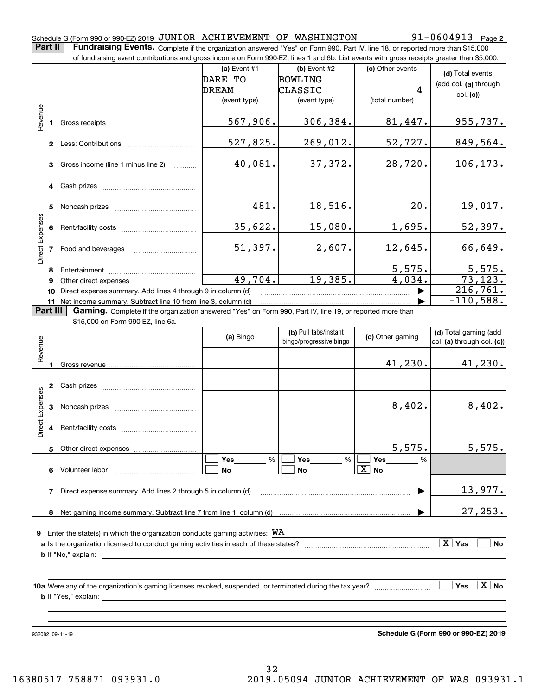#### Schedule G (Form 990 or 990-EZ) 2019 <code>JUNIOR ACHIEVEMENT OF WASHINGTON</code>  $91-0604913$  <code>Page</code>

**Part II** | Fundraising Events. Complete if the organization answered "Yes" on Form 990, Part IV, line 18, or reported more than \$15,000

|                 |          | of fundraising event contributions and gross income on Form 990-EZ, lines 1 and 6b. List events with gross receipts greater than \$5,000. |              |                         |                       |                              |
|-----------------|----------|-------------------------------------------------------------------------------------------------------------------------------------------|--------------|-------------------------|-----------------------|------------------------------|
|                 |          |                                                                                                                                           | (a) Event #1 | (b) Event #2            | (c) Other events      | (d) Total events             |
|                 |          |                                                                                                                                           | DARE TO      | <b>BOWLING</b>          |                       | (add col. (a) through        |
|                 |          |                                                                                                                                           | DREAM        | CLASSIC                 | 4                     | col. (c)                     |
|                 |          |                                                                                                                                           | (event type) | (event type)            | (total number)        |                              |
| Revenue         |          |                                                                                                                                           |              |                         |                       |                              |
|                 |          |                                                                                                                                           | 567,906.     | 306,384.                | 81,447.               | 955,737.                     |
|                 |          |                                                                                                                                           |              |                         |                       |                              |
|                 |          | <b>2</b> Less: Contributions                                                                                                              | 527,825.     | 269,012.                | 52,727.               | 849,564.                     |
|                 |          |                                                                                                                                           |              |                         |                       |                              |
|                 |          | 3 Gross income (line 1 minus line 2)                                                                                                      | 40,081.      | 37,372.                 | 28,720.               | 106, 173.                    |
|                 |          |                                                                                                                                           |              |                         |                       |                              |
|                 |          |                                                                                                                                           |              |                         |                       |                              |
|                 |          |                                                                                                                                           |              |                         |                       |                              |
|                 |          |                                                                                                                                           | 481.         | 18,516.                 | 20.                   | 19,017.                      |
|                 |          |                                                                                                                                           |              |                         |                       |                              |
|                 |          |                                                                                                                                           | 35,622.      | 15,080.                 | 1,695.                | 52,397.                      |
|                 |          |                                                                                                                                           |              |                         |                       |                              |
| Direct Expenses |          | 7 Food and beverages                                                                                                                      | $51,397$ .   | 2,607.                  | 12,645.               | 66,649.                      |
|                 |          |                                                                                                                                           |              |                         |                       |                              |
|                 | 8        |                                                                                                                                           |              |                         | 5,575.                |                              |
|                 | 9        |                                                                                                                                           | 49,704.      | 19,385.                 | 4,034.                | $\frac{5,575}{73,123}$ .     |
|                 | 10       | Direct expense summary. Add lines 4 through 9 in column (d)                                                                               |              |                         |                       | 216,761.                     |
|                 |          | 11 Net income summary. Subtract line 10 from line 3, column (d)                                                                           |              |                         |                       | $-110,588.$                  |
|                 | Part III | Gaming. Complete if the organization answered "Yes" on Form 990, Part IV, line 19, or reported more than                                  |              |                         |                       |                              |
|                 |          | \$15,000 on Form 990-EZ, line 6a.                                                                                                         |              |                         |                       |                              |
|                 |          |                                                                                                                                           |              | (b) Pull tabs/instant   |                       | (d) Total gaming (add        |
|                 |          |                                                                                                                                           | (a) Bingo    | bingo/progressive bingo | (c) Other gaming      | col. (a) through col. (c))   |
| Revenue         |          |                                                                                                                                           |              |                         |                       |                              |
|                 |          |                                                                                                                                           |              |                         | 41,230.               | 41,230.                      |
|                 |          |                                                                                                                                           |              |                         |                       |                              |
|                 |          |                                                                                                                                           |              |                         |                       |                              |
| Expenses        |          |                                                                                                                                           |              |                         |                       |                              |
|                 |          | 3 Noncash prizes                                                                                                                          |              |                         | 8,402.                | 8,402.                       |
|                 |          |                                                                                                                                           |              |                         |                       |                              |
| Direct          |          |                                                                                                                                           |              |                         |                       |                              |
|                 |          |                                                                                                                                           |              |                         |                       |                              |
|                 |          | 5 Other direct expenses                                                                                                                   |              |                         | 575.<br>5,            | 5,575.                       |
|                 |          |                                                                                                                                           | %<br>Yes     | %<br>Yes                | Yes<br>%              |                              |
|                 |          | 6 Volunteer labor                                                                                                                         | No           | No                      | $\boxed{\text{X}}$ No |                              |
|                 |          |                                                                                                                                           |              |                         |                       |                              |
|                 | 7        | Direct expense summary. Add lines 2 through 5 in column (d)                                                                               |              |                         |                       | 13,977.                      |
|                 |          |                                                                                                                                           |              |                         |                       |                              |
|                 |          |                                                                                                                                           |              |                         |                       | 27, 253.                     |
|                 |          |                                                                                                                                           |              |                         |                       |                              |
| 9               |          | Enter the state(s) in which the organization conducts gaming activities: $WA$                                                             |              |                         |                       |                              |
|                 |          |                                                                                                                                           |              |                         |                       | $\boxed{\text{X}}$ Yes<br>No |
|                 |          |                                                                                                                                           |              |                         |                       |                              |
|                 |          |                                                                                                                                           |              |                         |                       |                              |
|                 |          |                                                                                                                                           |              |                         |                       |                              |
|                 |          |                                                                                                                                           |              |                         |                       |                              |
|                 |          |                                                                                                                                           |              |                         |                       | $\boxed{\text{X}}$ No<br>Yes |
|                 |          |                                                                                                                                           |              |                         |                       |                              |
|                 |          |                                                                                                                                           |              |                         |                       |                              |

932082 09-11-19

**Schedule G (Form 990 or 990-EZ) 2019**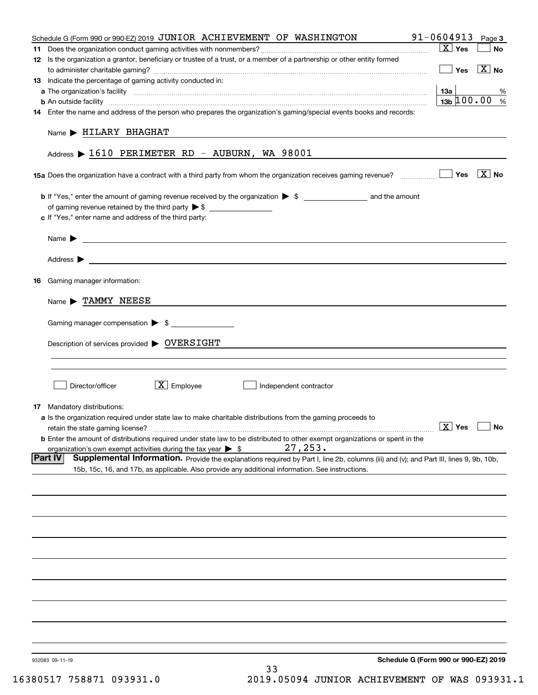| Schedule G (Form 990 or 990-EZ) 2019 JUNIOR ACHIEVEMENT OF WASHINGTON                                                                                    | 91-0604913                           | Page 3                |
|----------------------------------------------------------------------------------------------------------------------------------------------------------|--------------------------------------|-----------------------|
|                                                                                                                                                          | $\boxed{\text{X}}$ Yes               | No                    |
| 12 Is the organization a grantor, beneficiary or trustee of a trust, or a member of a partnership or other entity formed                                 |                                      |                       |
|                                                                                                                                                          | Yes                                  | $\boxed{\text{X}}$ No |
| 13 Indicate the percentage of gaming activity conducted in:                                                                                              |                                      |                       |
|                                                                                                                                                          | 13а                                  | %                     |
|                                                                                                                                                          |                                      | $13b \ 100.00$<br>%   |
| 14 Enter the name and address of the person who prepares the organization's gaming/special events books and records:                                     |                                      |                       |
| Name > HILARY BHAGHAT                                                                                                                                    |                                      |                       |
| Address $\blacktriangleright$ 1610 PERIMETER RD - AUBURN, WA 98001                                                                                       |                                      |                       |
| 15a Does the organization have a contract with a third party from whom the organization receives gaming revenue?                                         | Yes                                  | $\boxed{\text{X}}$ No |
|                                                                                                                                                          |                                      |                       |
|                                                                                                                                                          |                                      |                       |
| c If "Yes," enter name and address of the third party:                                                                                                   |                                      |                       |
|                                                                                                                                                          |                                      |                       |
| <u> 1989 - Johann Stoff, amerikansk politiker (d. 1989)</u><br>Name $\blacktriangleright$                                                                |                                      |                       |
| Address $\blacktriangleright$<br><u> 1989 - Johann John Stein, syn y brening fan it ferstjer fan de ferstjer fan it ferstjer fan it ferstjer fan i</u>   |                                      |                       |
| <b>16</b> Gaming manager information:                                                                                                                    |                                      |                       |
|                                                                                                                                                          |                                      |                       |
| Name > TAMMY NEESE                                                                                                                                       |                                      |                       |
| Gaming manager compensation > \$                                                                                                                         |                                      |                       |
| Description of services provided > OVERSIGHT                                                                                                             |                                      |                       |
|                                                                                                                                                          |                                      |                       |
|                                                                                                                                                          |                                      |                       |
|                                                                                                                                                          |                                      |                       |
| $\boxed{\text{X}}$ Employee<br>Director/officer<br>Independent contractor                                                                                |                                      |                       |
| <b>17</b> Mandatory distributions:                                                                                                                       |                                      |                       |
| a Is the organization required under state law to make charitable distributions from the gaming proceeds to                                              |                                      |                       |
| retain the state gaming license?                                                                                                                         | $\boxed{\text{X}}$ Yes $\boxed{\ }$  |                       |
| <b>b</b> Enter the amount of distributions required under state law to be distributed to other exempt organizations or spent in the                      |                                      |                       |
| 27, 253.<br>organization's own exempt activities during the tax year $\triangleright$ \$                                                                 |                                      |                       |
| <b>Part IV</b><br>Supplemental Information. Provide the explanations required by Part I, line 2b, columns (iii) and (v); and Part III, lines 9, 9b, 10b, |                                      |                       |
| 15b, 15c, 16, and 17b, as applicable. Also provide any additional information. See instructions.                                                         |                                      |                       |
|                                                                                                                                                          |                                      |                       |
|                                                                                                                                                          |                                      |                       |
|                                                                                                                                                          |                                      |                       |
|                                                                                                                                                          |                                      |                       |
|                                                                                                                                                          |                                      |                       |
|                                                                                                                                                          |                                      |                       |
|                                                                                                                                                          |                                      |                       |
|                                                                                                                                                          |                                      |                       |
|                                                                                                                                                          |                                      |                       |
|                                                                                                                                                          |                                      |                       |
| 932083 09-11-19                                                                                                                                          | Schedule G (Form 990 or 990-EZ) 2019 |                       |
| 33                                                                                                                                                       |                                      |                       |

16380517 758871 093931.0 2019.05094 JUNIOR ACHIEVEMENT OF WAS 093931.1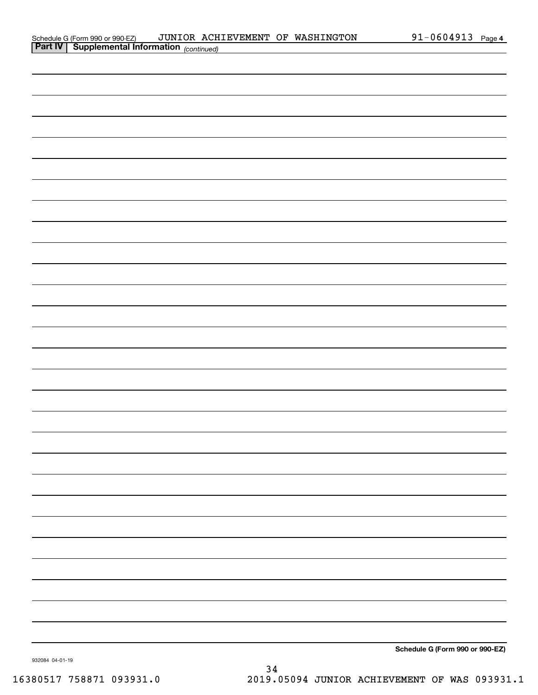| Schedule G (Form 990 or 990-EZ)                       | JUNIOR ACHIEVEMENT OF WASHINGTON |  | 1-0604913- | Page 4 |
|-------------------------------------------------------|----------------------------------|--|------------|--------|
| <b>Part IV   Supplemental Information</b> (continued) |                                  |  |            |        |

| communed) |  |                                 |
|-----------|--|---------------------------------|
|           |  |                                 |
|           |  |                                 |
|           |  |                                 |
|           |  |                                 |
|           |  |                                 |
|           |  |                                 |
|           |  |                                 |
|           |  |                                 |
|           |  |                                 |
|           |  |                                 |
|           |  |                                 |
|           |  |                                 |
|           |  |                                 |
|           |  |                                 |
|           |  |                                 |
|           |  |                                 |
|           |  |                                 |
|           |  |                                 |
|           |  |                                 |
|           |  |                                 |
|           |  |                                 |
|           |  |                                 |
|           |  |                                 |
|           |  |                                 |
|           |  |                                 |
|           |  |                                 |
|           |  |                                 |
|           |  |                                 |
|           |  |                                 |
|           |  |                                 |
|           |  | Schedule G (Form 990 or 990-EZ) |

932084 04-01-19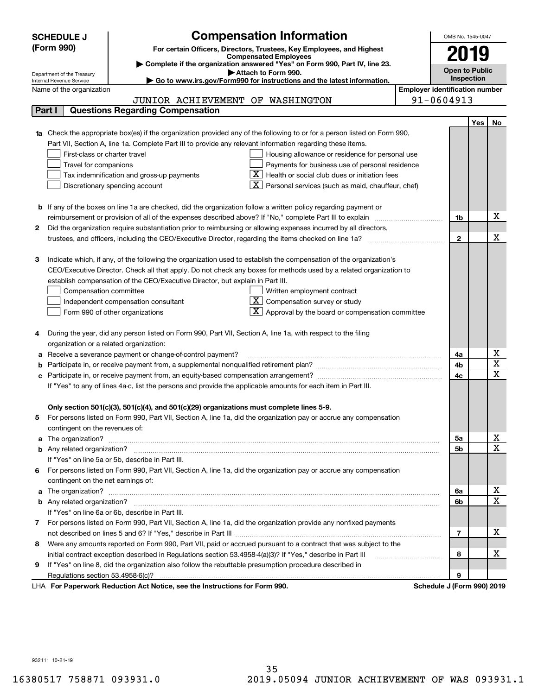| <b>Compensation Information</b><br><b>SCHEDULE J</b> |                                         |                                                                                                                                  |                                       |                       |            | OMB No. 1545-0047                   |
|------------------------------------------------------|-----------------------------------------|----------------------------------------------------------------------------------------------------------------------------------|---------------------------------------|-----------------------|------------|-------------------------------------|
|                                                      | (Form 990)                              | For certain Officers, Directors, Trustees, Key Employees, and Highest                                                            |                                       |                       |            |                                     |
|                                                      |                                         | <b>Compensated Employees</b><br>Complete if the organization answered "Yes" on Form 990, Part IV, line 23.                       |                                       | 2019                  |            |                                     |
|                                                      | Department of the Treasury              | Attach to Form 990.                                                                                                              |                                       | <b>Open to Public</b> |            |                                     |
|                                                      | Internal Revenue Service                | Go to www.irs.gov/Form990 for instructions and the latest information.                                                           |                                       |                       | Inspection |                                     |
|                                                      | Name of the organization                |                                                                                                                                  | <b>Employer identification number</b> |                       |            |                                     |
|                                                      |                                         | JUNIOR ACHIEVEMENT OF WASHINGTON                                                                                                 |                                       | 91-0604913            |            |                                     |
|                                                      | Part I                                  | <b>Questions Regarding Compensation</b>                                                                                          |                                       |                       |            |                                     |
|                                                      |                                         |                                                                                                                                  |                                       |                       | <b>Yes</b> | No                                  |
|                                                      |                                         | <b>1a</b> Check the appropriate box(es) if the organization provided any of the following to or for a person listed on Form 990, |                                       |                       |            |                                     |
|                                                      |                                         | Part VII, Section A, line 1a. Complete Part III to provide any relevant information regarding these items.                       |                                       |                       |            |                                     |
|                                                      | First-class or charter travel           | Housing allowance or residence for personal use                                                                                  |                                       |                       |            |                                     |
|                                                      | Travel for companions                   | Payments for business use of personal residence                                                                                  |                                       |                       |            |                                     |
|                                                      |                                         | Health or social club dues or initiation fees<br>Tax indemnification and gross-up payments                                       |                                       |                       |            |                                     |
|                                                      |                                         | Personal services (such as maid, chauffeur, chef)<br>Discretionary spending account                                              |                                       |                       |            |                                     |
|                                                      |                                         | <b>b</b> If any of the boxes on line 1a are checked, did the organization follow a written policy regarding payment or           |                                       |                       |            |                                     |
|                                                      |                                         | reimbursement or provision of all of the expenses described above? If "No," complete Part III to explain                         |                                       | 1b                    |            | х                                   |
| 2                                                    |                                         | Did the organization require substantiation prior to reimbursing or allowing expenses incurred by all directors,                 |                                       |                       |            |                                     |
|                                                      |                                         |                                                                                                                                  |                                       | $\mathbf{2}$          |            | х                                   |
|                                                      |                                         |                                                                                                                                  |                                       |                       |            |                                     |
| З                                                    |                                         | Indicate which, if any, of the following the organization used to establish the compensation of the organization's               |                                       |                       |            |                                     |
|                                                      |                                         | CEO/Executive Director. Check all that apply. Do not check any boxes for methods used by a related organization to               |                                       |                       |            |                                     |
|                                                      |                                         | establish compensation of the CEO/Executive Director, but explain in Part III.                                                   |                                       |                       |            |                                     |
|                                                      | Compensation committee                  | Written employment contract                                                                                                      |                                       |                       |            |                                     |
|                                                      |                                         | Compensation survey or study<br>Independent compensation consultant                                                              |                                       |                       |            |                                     |
|                                                      |                                         | Approval by the board or compensation committee<br>Form 990 of other organizations                                               |                                       |                       |            |                                     |
|                                                      |                                         |                                                                                                                                  |                                       |                       |            |                                     |
|                                                      |                                         | During the year, did any person listed on Form 990, Part VII, Section A, line 1a, with respect to the filing                     |                                       |                       |            |                                     |
|                                                      | organization or a related organization: |                                                                                                                                  |                                       |                       |            |                                     |
|                                                      |                                         | Receive a severance payment or change-of-control payment?                                                                        |                                       | 4a                    |            | x                                   |
|                                                      |                                         |                                                                                                                                  |                                       | 4b                    |            | $\overline{\text{x}}$               |
|                                                      |                                         |                                                                                                                                  |                                       | 4c                    |            | $\overline{\mathbf{x}}$             |
|                                                      |                                         | If "Yes" to any of lines 4a-c, list the persons and provide the applicable amounts for each item in Part III.                    |                                       |                       |            |                                     |
|                                                      |                                         |                                                                                                                                  |                                       |                       |            |                                     |
|                                                      |                                         | Only section 501(c)(3), 501(c)(4), and 501(c)(29) organizations must complete lines 5-9.                                         |                                       |                       |            |                                     |
| 5.                                                   |                                         | For persons listed on Form 990, Part VII, Section A, line 1a, did the organization pay or accrue any compensation                |                                       |                       |            |                                     |
|                                                      | contingent on the revenues of:          |                                                                                                                                  |                                       |                       |            |                                     |
|                                                      |                                         | a The organization? <b>Manual Community Community</b> Community Community Community Community Community Community Community      |                                       | 5a                    |            | <u>x</u><br>$\overline{\mathbf{x}}$ |
|                                                      |                                         | If "Yes" on line 5a or 5b, describe in Part III.                                                                                 |                                       | 5b                    |            |                                     |
| 6.                                                   |                                         | For persons listed on Form 990, Part VII, Section A, line 1a, did the organization pay or accrue any compensation                |                                       |                       |            |                                     |
|                                                      | contingent on the net earnings of:      |                                                                                                                                  |                                       |                       |            |                                     |
|                                                      |                                         |                                                                                                                                  |                                       | 6a                    |            | <u>x</u>                            |
|                                                      |                                         |                                                                                                                                  |                                       | 6b                    |            | $\overline{\mathbf{x}}$             |
|                                                      |                                         | If "Yes" on line 6a or 6b, describe in Part III.                                                                                 |                                       |                       |            |                                     |
|                                                      |                                         | 7 For persons listed on Form 990, Part VII, Section A, line 1a, did the organization provide any nonfixed payments               |                                       |                       |            |                                     |
|                                                      |                                         |                                                                                                                                  |                                       | $\overline{7}$        |            | х                                   |
| 8                                                    |                                         | Were any amounts reported on Form 990, Part VII, paid or accrued pursuant to a contract that was subject to the                  |                                       |                       |            |                                     |
|                                                      |                                         |                                                                                                                                  |                                       | 8                     |            | х                                   |
| 9                                                    |                                         | If "Yes" on line 8, did the organization also follow the rebuttable presumption procedure described in                           |                                       |                       |            |                                     |
|                                                      |                                         |                                                                                                                                  |                                       | 9                     |            |                                     |
|                                                      |                                         | uli Dedication Ast Notice, and the Instructions for Form 000                                                                     |                                       | $\overline{10}$       |            |                                     |

LHA For Paperwork Reduction Act Notice, see the Instructions for Form 990. Schedule J (Form 990) 2019

932111 10-21-19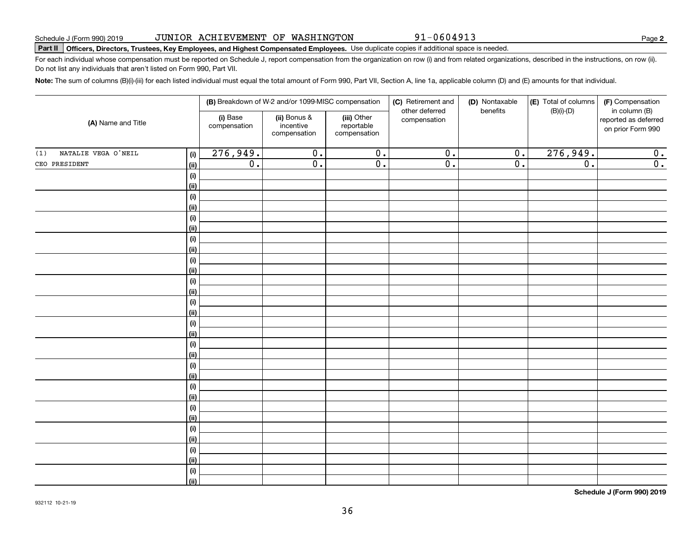| 2019 | JUNIOR ACHIEVEMENT OF WASHINGTON |  |
|------|----------------------------------|--|
|      |                                  |  |

# **Part II Officers, Directors, Trustees, Key Employees, and Highest Compensated Employees.**  Schedule J (Form 990) 2019 Page Use duplicate copies if additional space is needed.

For each individual whose compensation must be reported on Schedule J, report compensation from the organization on row (i) and from related organizations, described in the instructions, on row (ii). Do not list any individuals that aren't listed on Form 990, Part VII.

**Note:**  The sum of columns (B)(i)-(iii) for each listed individual must equal the total amount of Form 990, Part VII, Section A, line 1a, applicable column (D) and (E) amounts for that individual.

| (A) Name and Title         |                              |                                                                                                                    | (B) Breakdown of W-2 and/or 1099-MISC compensation |                             | (C) Retirement and         | (D) Nontaxable              | (E) Total of columns<br>$(B)(i)-(D)$                       | (F) Compensation |
|----------------------------|------------------------------|--------------------------------------------------------------------------------------------------------------------|----------------------------------------------------|-----------------------------|----------------------------|-----------------------------|------------------------------------------------------------|------------------|
|                            |                              | (i) Base<br>(ii) Bonus &<br>(iii) Other<br>incentive<br>reportable<br>compensation<br>compensation<br>compensation |                                                    | compensation                | other deferred<br>benefits |                             | in column (B)<br>reported as deferred<br>on prior Form 990 |                  |
| NATALIE VEGA O'NEIL<br>(1) | $\qquad \qquad \textbf{(i)}$ | 276,949.                                                                                                           | $\overline{0}$ .                                   | $\overline{0}$ .            | $\overline{0}$ .           | $\overline{0}$ .            | 276,949.                                                   | 0.               |
| CEO PRESIDENT              | (ii)                         | $\overline{\mathfrak{o}}$ .                                                                                        | $\overline{0}$ .                                   | $\overline{\mathfrak{o}}$ . | $\overline{0}$ .           | $\overline{\mathfrak{o}}$ . | $\overline{0}$ .                                           | $\overline{0}$ . |
|                            | $\qquad \qquad \textbf{(i)}$ |                                                                                                                    |                                                    |                             |                            |                             |                                                            |                  |
|                            | (ii)                         |                                                                                                                    |                                                    |                             |                            |                             |                                                            |                  |
|                            | $(\sf{i})$                   |                                                                                                                    |                                                    |                             |                            |                             |                                                            |                  |
|                            | (ii)                         |                                                                                                                    |                                                    |                             |                            |                             |                                                            |                  |
|                            | $(\sf{i})$                   |                                                                                                                    |                                                    |                             |                            |                             |                                                            |                  |
|                            | (ii)                         |                                                                                                                    |                                                    |                             |                            |                             |                                                            |                  |
|                            | $\qquad \qquad \textbf{(i)}$ |                                                                                                                    |                                                    |                             |                            |                             |                                                            |                  |
|                            | (ii)                         |                                                                                                                    |                                                    |                             |                            |                             |                                                            |                  |
|                            | $(\sf{i})$                   |                                                                                                                    |                                                    |                             |                            |                             |                                                            |                  |
|                            | (ii)                         |                                                                                                                    |                                                    |                             |                            |                             |                                                            |                  |
|                            | (i)                          |                                                                                                                    |                                                    |                             |                            |                             |                                                            |                  |
|                            | (ii)                         |                                                                                                                    |                                                    |                             |                            |                             |                                                            |                  |
|                            | $(\sf{i})$                   |                                                                                                                    |                                                    |                             |                            |                             |                                                            |                  |
|                            | (ii)                         |                                                                                                                    |                                                    |                             |                            |                             |                                                            |                  |
|                            | (i)                          |                                                                                                                    |                                                    |                             |                            |                             |                                                            |                  |
|                            | (ii)                         |                                                                                                                    |                                                    |                             |                            |                             |                                                            |                  |
|                            | (i)                          |                                                                                                                    |                                                    |                             |                            |                             |                                                            |                  |
|                            | (ii)                         |                                                                                                                    |                                                    |                             |                            |                             |                                                            |                  |
|                            | (i)                          |                                                                                                                    |                                                    |                             |                            |                             |                                                            |                  |
|                            | (ii)                         |                                                                                                                    |                                                    |                             |                            |                             |                                                            |                  |
|                            | (i)                          |                                                                                                                    |                                                    |                             |                            |                             |                                                            |                  |
|                            | (ii)                         |                                                                                                                    |                                                    |                             |                            |                             |                                                            |                  |
|                            | (i)                          |                                                                                                                    |                                                    |                             |                            |                             |                                                            |                  |
|                            | (ii)<br>(i)                  |                                                                                                                    |                                                    |                             |                            |                             |                                                            |                  |
|                            | (ii)                         |                                                                                                                    |                                                    |                             |                            |                             |                                                            |                  |
|                            | (i)                          |                                                                                                                    |                                                    |                             |                            |                             |                                                            |                  |
|                            | (ii)                         |                                                                                                                    |                                                    |                             |                            |                             |                                                            |                  |
|                            | (i)                          |                                                                                                                    |                                                    |                             |                            |                             |                                                            |                  |
|                            | (ii)                         |                                                                                                                    |                                                    |                             |                            |                             |                                                            |                  |
|                            |                              |                                                                                                                    |                                                    |                             |                            |                             |                                                            |                  |

36

**Schedule J (Form 990) 2019**

91-0604913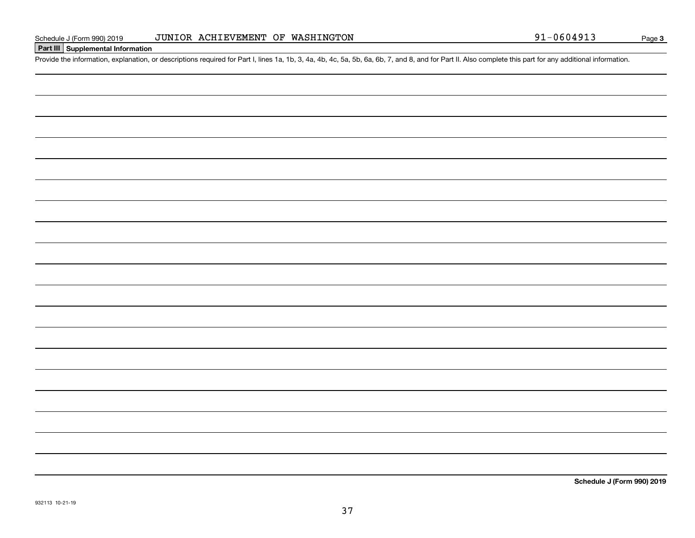**Part III Supplemental Information**

# Schedule J (Form 990) 2019 JUNIOR ACHIEVEMENT OF WASHINGTON<br>Part III Supplemental Information<br>Provide the information, explanation, or descriptions required for Part I, lines 1a, 1b, 3, 4a, 4b, 4c, 5a, 5b, 6a, 6b, 7, and JUNIOR ACHIEVEMENT OF WASHINGTON

**3**

|  |  |  | Schedule J (For |
|--|--|--|-----------------|
|  |  |  |                 |
|  |  |  |                 |
|  |  |  |                 |
|  |  |  |                 |
|  |  |  |                 |
|  |  |  |                 |
|  |  |  |                 |
|  |  |  |                 |
|  |  |  |                 |
|  |  |  |                 |
|  |  |  |                 |
|  |  |  |                 |
|  |  |  |                 |
|  |  |  |                 |
|  |  |  |                 |
|  |  |  |                 |
|  |  |  |                 |
|  |  |  |                 |

37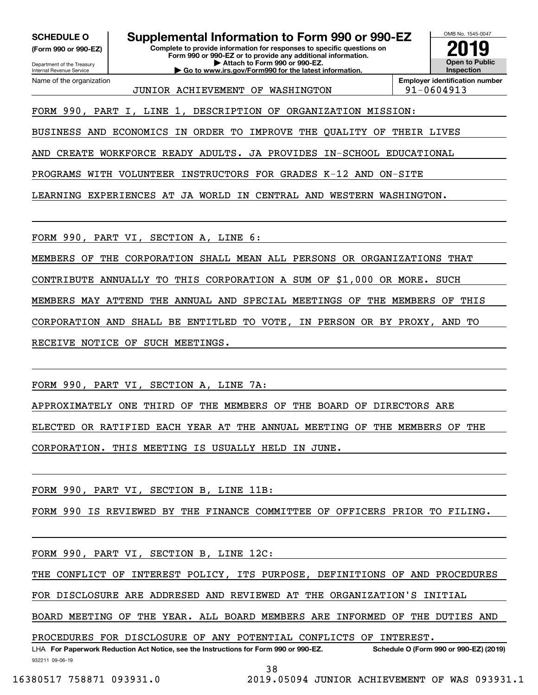Internal Revenue Service

Department of the Treasury **(Form 990 or 990-EZ)**

Name of the organization

**SCHEDULE O Supplemental Information to Form 990 or 990-EZ**

**Complete to provide information for responses to specific questions on Form 990 or 990-EZ or to provide any additional information. | Attach to Form 990 or 990-EZ. | Go to www.irs.gov/Form990 for the latest information.**



JUNIOR ACHIEVEMENT OF WASHINGTON 91-0604913

**Employer identification number**

FORM 990, PART I, LINE 1, DESCRIPTION OF ORGANIZATION MISSION:

BUSINESS AND ECONOMICS IN ORDER TO IMPROVE THE QUALITY OF THEIR LIVES

AND CREATE WORKFORCE READY ADULTS. JA PROVIDES IN-SCHOOL EDUCATIONAL

PROGRAMS WITH VOLUNTEER INSTRUCTORS FOR GRADES K-12 AND ON-SITE

LEARNING EXPERIENCES AT JA WORLD IN CENTRAL AND WESTERN WASHINGTON.

FORM 990, PART VI, SECTION A, LINE 6:

MEMBERS OF THE CORPORATION SHALL MEAN ALL PERSONS OR ORGANIZATIONS THAT

CONTRIBUTE ANNUALLY TO THIS CORPORATION A SUM OF \$1,000 OR MORE. SUCH

MEMBERS MAY ATTEND THE ANNUAL AND SPECIAL MEETINGS OF THE MEMBERS OF THIS

CORPORATION AND SHALL BE ENTITLED TO VOTE, IN PERSON OR BY PROXY, AND TO

RECEIVE NOTICE OF SUCH MEETINGS.

FORM 990, PART VI, SECTION A, LINE 7A:

APPROXIMATELY ONE THIRD OF THE MEMBERS OF THE BOARD OF DIRECTORS ARE ELECTED OR RATIFIED EACH YEAR AT THE ANNUAL MEETING OF THE MEMBERS OF THE CORPORATION. THIS MEETING IS USUALLY HELD IN JUNE.

FORM 990, PART VI, SECTION B, LINE 11B:

FORM 990 IS REVIEWED BY THE FINANCE COMMITTEE OF OFFICERS PRIOR TO FILING.

FORM 990, PART VI, SECTION B, LINE 12C:

THE CONFLICT OF INTEREST POLICY, ITS PURPOSE, DEFINITIONS OF AND PROCEDURES

FOR DISCLOSURE ARE ADDRESED AND REVIEWED AT THE ORGANIZATION'S INITIAL

BOARD MEETING OF THE YEAR. ALL BOARD MEMBERS ARE INFORMED OF THE DUTIES AND

PROCEDURES FOR DISCLOSURE OF ANY POTENTIAL CONFLICTS OF INTEREST.

932211 09-06-19 LHA For Paperwork Reduction Act Notice, see the Instructions for Form 990 or 990-EZ. Schedule O (Form 990 or 990-EZ) (2019)

38